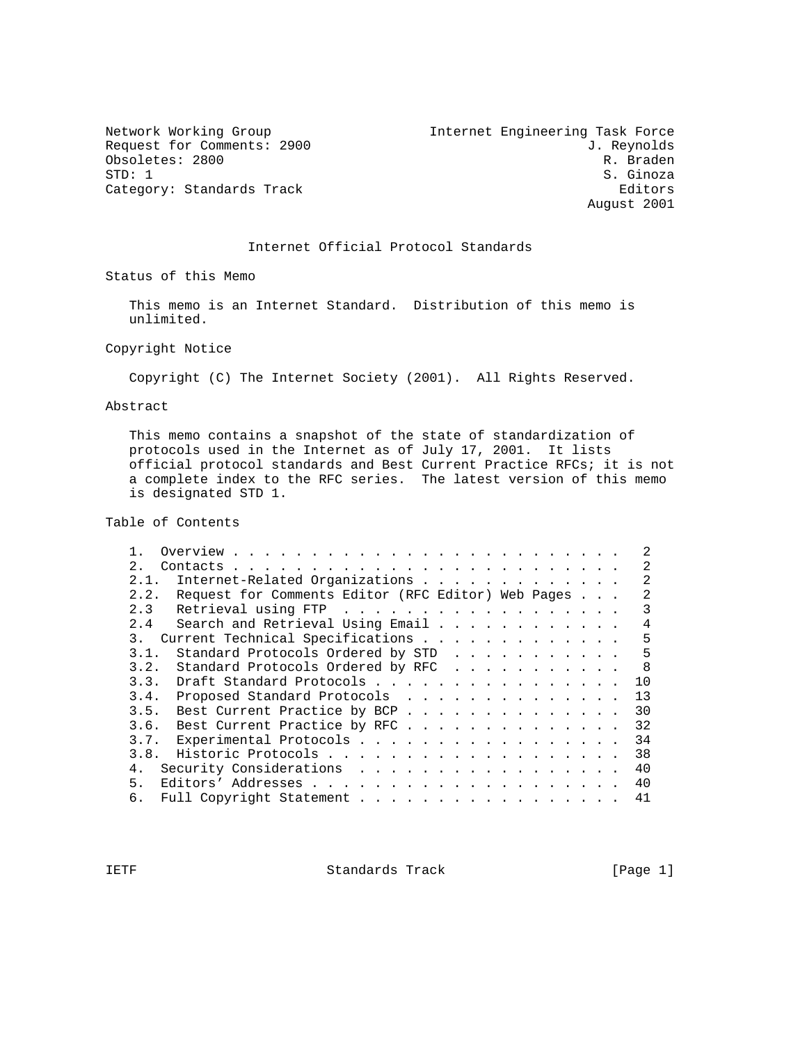Obsoletes: 2800<br>STD: 1 Category: Standards Track

Internet Engineering Task Force Network Working Group 11 Internet Engineering Task Force<br>Request for Comments: 2900 J. Reynolds<br>Obsoletes: 2800 R. Braden S. Ginoza<br>Editors August 2001

#### Internet Official Protocol Standards

Status of this Memo

 This memo is an Internet Standard. Distribution of this memo is unlimited.

Copyright Notice

Copyright (C) The Internet Society (2001). All Rights Reserved.

Abstract

 This memo contains a snapshot of the state of standardization of protocols used in the Internet as of July 17, 2001. It lists official protocol standards and Best Current Practice RFCs; it is not a complete index to the RFC series. The latest version of this memo is designated STD 1.

Table of Contents

| 2                                                          |  | $\mathfrak{D}$ |
|------------------------------------------------------------|--|----------------|
| 2.1. Internet-Related Organizations                        |  |                |
| Request for Comments Editor (RFC Editor) Web Pages<br>2.2. |  |                |
| Retrieval using FTP<br>2.3                                 |  | 3              |
| 2.4<br>Search and Retrieval Using Email                    |  | 4              |
| Current Technical Specifications<br>$\overline{3}$ .       |  | 5              |
| Standard Protocols Ordered by STD<br>3.1.                  |  | 5              |
| Standard Protocols Ordered by RFC<br>3.2.                  |  | - 8            |
| Draft Standard Protocols<br>3.3.                           |  | 10             |
| 3.4. Proposed Standard Protocols                           |  | 13             |
| 3.5.<br>Best Current Practice by BCP                       |  | 30             |
| Best Current Practice by RFC<br>3.6.                       |  | 32             |
| 3.7. Experimental Protocols                                |  | 34             |
|                                                            |  | 38             |
| 4. Security Considerations                                 |  | 40             |
| 5.                                                         |  | 40             |
| Full Copyright Statement<br>6.                             |  | 41             |
|                                                            |  |                |

IETF Standards Track [Page 1]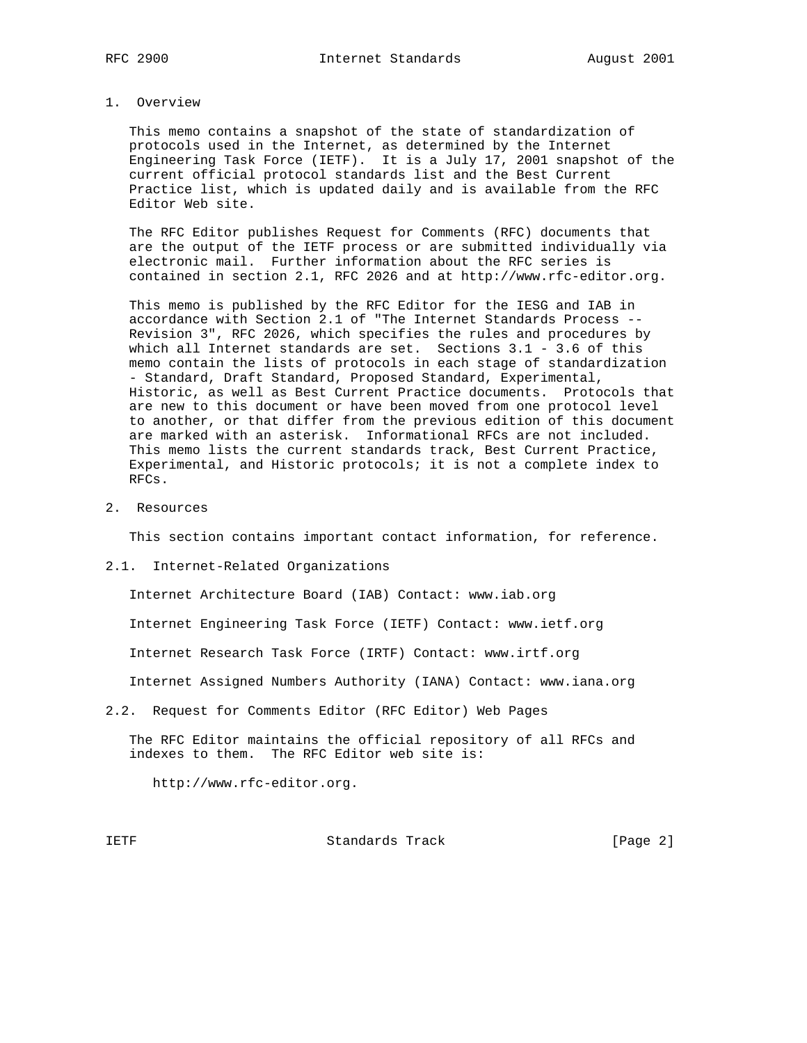#### 1. Overview

 This memo contains a snapshot of the state of standardization of protocols used in the Internet, as determined by the Internet Engineering Task Force (IETF). It is a July 17, 2001 snapshot of the current official protocol standards list and the Best Current Practice list, which is updated daily and is available from the RFC Editor Web site.

 The RFC Editor publishes Request for Comments (RFC) documents that are the output of the IETF process or are submitted individually via electronic mail. Further information about the RFC series is contained in section 2.1, RFC 2026 and at http://www.rfc-editor.org.

 This memo is published by the RFC Editor for the IESG and IAB in accordance with Section 2.1 of "The Internet Standards Process -- Revision 3", RFC 2026, which specifies the rules and procedures by which all Internet standards are set. Sections 3.1 - 3.6 of this memo contain the lists of protocols in each stage of standardization - Standard, Draft Standard, Proposed Standard, Experimental, Historic, as well as Best Current Practice documents. Protocols that are new to this document or have been moved from one protocol level to another, or that differ from the previous edition of this document are marked with an asterisk. Informational RFCs are not included. This memo lists the current standards track, Best Current Practice, Experimental, and Historic protocols; it is not a complete index to RFCs.

2. Resources

This section contains important contact information, for reference.

2.1. Internet-Related Organizations

Internet Architecture Board (IAB) Contact: www.iab.org

Internet Engineering Task Force (IETF) Contact: www.ietf.org

Internet Research Task Force (IRTF) Contact: www.irtf.org

Internet Assigned Numbers Authority (IANA) Contact: www.iana.org

2.2. Request for Comments Editor (RFC Editor) Web Pages

 The RFC Editor maintains the official repository of all RFCs and indexes to them. The RFC Editor web site is:

http://www.rfc-editor.org.

IETF Standards Track (Page 2)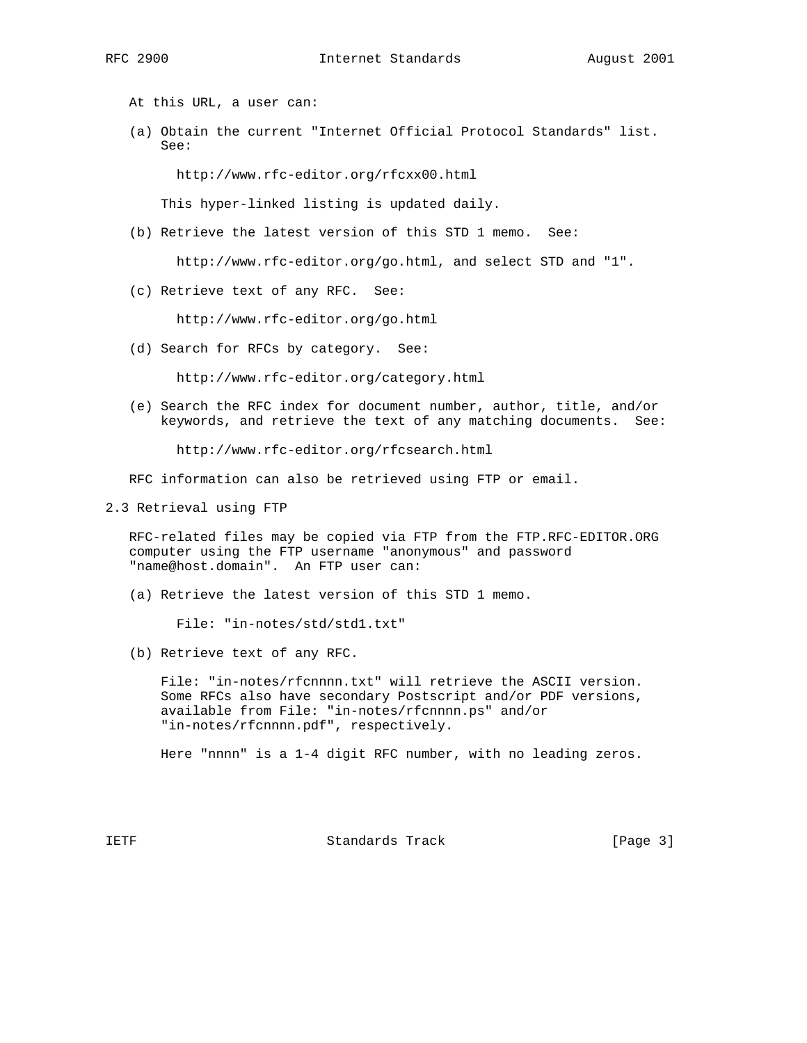At this URL, a user can:

 (a) Obtain the current "Internet Official Protocol Standards" list. See:

http://www.rfc-editor.org/rfcxx00.html

This hyper-linked listing is updated daily.

(b) Retrieve the latest version of this STD 1 memo. See:

http://www.rfc-editor.org/go.html, and select STD and "1".

(c) Retrieve text of any RFC. See:

http://www.rfc-editor.org/go.html

(d) Search for RFCs by category. See:

http://www.rfc-editor.org/category.html

 (e) Search the RFC index for document number, author, title, and/or keywords, and retrieve the text of any matching documents. See:

http://www.rfc-editor.org/rfcsearch.html

RFC information can also be retrieved using FTP or email.

2.3 Retrieval using FTP

 RFC-related files may be copied via FTP from the FTP.RFC-EDITOR.ORG computer using the FTP username "anonymous" and password "name@host.domain". An FTP user can:

(a) Retrieve the latest version of this STD 1 memo.

File: "in-notes/std/std1.txt"

(b) Retrieve text of any RFC.

 File: "in-notes/rfcnnnn.txt" will retrieve the ASCII version. Some RFCs also have secondary Postscript and/or PDF versions, available from File: "in-notes/rfcnnnn.ps" and/or "in-notes/rfcnnnn.pdf", respectively.

Here "nnnn" is a 1-4 digit RFC number, with no leading zeros.

IETF Standards Track [Page 3]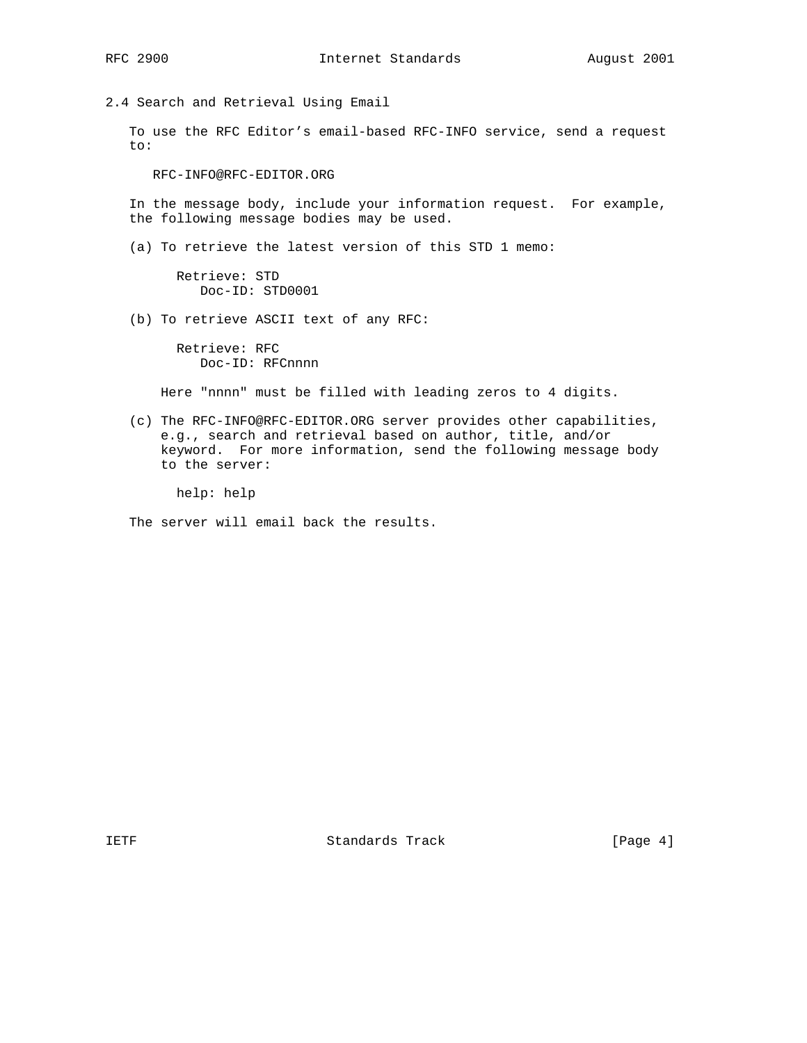2.4 Search and Retrieval Using Email

 To use the RFC Editor's email-based RFC-INFO service, send a request to:

RFC-INFO@RFC-EDITOR.ORG

 In the message body, include your information request. For example, the following message bodies may be used.

(a) To retrieve the latest version of this STD 1 memo:

 Retrieve: STD Doc-ID: STD0001

(b) To retrieve ASCII text of any RFC:

 Retrieve: RFC Doc-ID: RFCnnnn

Here "nnnn" must be filled with leading zeros to 4 digits.

 (c) The RFC-INFO@RFC-EDITOR.ORG server provides other capabilities, e.g., search and retrieval based on author, title, and/or keyword. For more information, send the following message body to the server:

help: help

The server will email back the results.

IETF Standards Track [Page 4]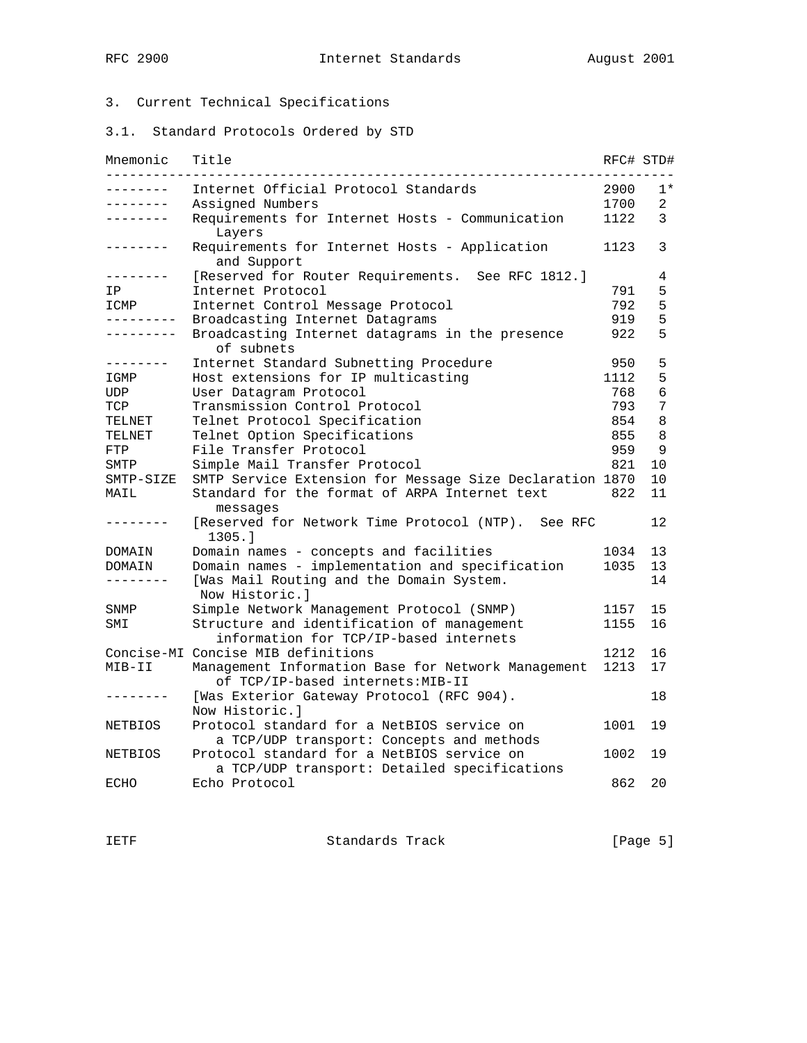# 3. Current Technical Specifications

3.1. Standard Protocols Ordered by STD

| Mnemonic       | Title                                                                                      | RFC# STD# |                |
|----------------|--------------------------------------------------------------------------------------------|-----------|----------------|
| -------        | Internet Official Protocol Standards                                                       | 2900      | $1*$           |
| -------        | Assigned Numbers                                                                           | 1700      | $\overline{2}$ |
| --------       | Requirements for Internet Hosts - Communication<br>Layers                                  | 1122      | 3              |
| -------        | Requirements for Internet Hosts - Application<br>and Support                               | 1123      | 3              |
| -------        | [Reserved for Router Requirements. See RFC 1812.]                                          |           | 4              |
| ΙP             | Internet Protocol                                                                          | 791       | 5              |
| ICMP           | Internet Control Message Protocol                                                          | 792       | 5              |
| ---------      | Broadcasting Internet Datagrams                                                            | 919       | 5              |
|                | Broadcasting Internet datagrams in the presence<br>of subnets                              | 922       | 5              |
| .              | Internet Standard Subnetting Procedure                                                     | 950       | 5              |
| IGMP           | Host extensions for IP multicasting                                                        | 1112      | 5              |
| UDP            | User Datagram Protocol                                                                     | 768       | 6              |
| TCP            | Transmission Control Protocol                                                              | 793       | 7              |
| TELNET         | Telnet Protocol Specification                                                              | 854       | 8              |
| TELNET         | Telnet Option Specifications                                                               | 855       | 8              |
| FTP            | File Transfer Protocol                                                                     | 959       | 9              |
| SMTP           | Simple Mail Transfer Protocol                                                              | 821       | 10             |
| SMTP-SIZE      | SMTP Service Extension for Message Size Declaration 1870                                   |           | 10             |
| MAIL           | Standard for the format of ARPA Internet text<br>messages                                  | 822       | 11             |
|                | [Reserved for Network Time Protocol (NTP). See RFC<br>1305.1                               |           | 12             |
| DOMAIN         | Domain names - concepts and facilities                                                     | 1034      | 13             |
| DOMAIN         | Domain names - implementation and specification                                            | 1035      | 13             |
| --------       | [Was Mail Routing and the Domain System.<br>Now Historic.l                                 |           | 14             |
| SNMP           | Simple Network Management Protocol (SNMP)                                                  | 1157      | 15             |
| SMI            | Structure and identification of management<br>information for TCP/IP-based internets       | 1155      | 16             |
|                | Concise-MI Concise MIB definitions                                                         | 1212      | 16             |
| MIB-II         | Management Information Base for Network Management<br>of TCP/IP-based internets: MIB-II    | 1213      | 17             |
|                | [Was Exterior Gateway Protocol (RFC 904).<br>Now Historic.l                                |           | 18             |
| NETBIOS        | Protocol standard for a NetBIOS service on<br>a TCP/UDP transport: Concepts and methods    | 1001      | 19             |
| <b>NETBIOS</b> | Protocol standard for a NetBIOS service on<br>a TCP/UDP transport: Detailed specifications | 1002      | 19             |
| ECHO           | Echo Protocol                                                                              | 862       | 20             |

IETF Standards Track [Page 5]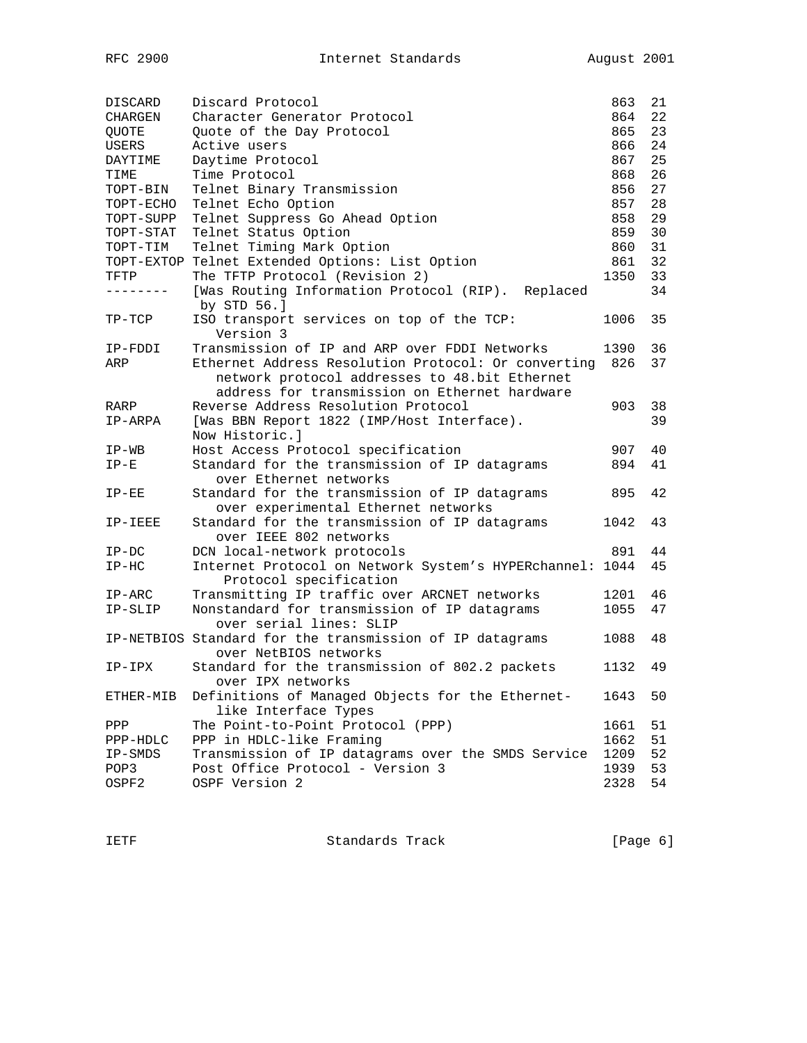| DISCARD   | Discard Protocol                                                                   | 863  | 21 |
|-----------|------------------------------------------------------------------------------------|------|----|
| CHARGEN   | Character Generator Protocol                                                       | 864  | 22 |
| QUOTE     | Quote of the Day Protocol                                                          | 865  | 23 |
| USERS     | Active users                                                                       | 866  | 24 |
| DAYTIME   | Daytime Protocol                                                                   | 867  | 25 |
| TIME      | Time Protocol                                                                      | 868  | 26 |
| TOPT-BIN  | Telnet Binary Transmission                                                         | 856  | 27 |
| TOPT-ECHO | Telnet Echo Option                                                                 | 857  | 28 |
| TOPT-SUPP | Telnet Suppress Go Ahead Option                                                    | 858  | 29 |
| TOPT-STAT | Telnet Status Option                                                               | 859  | 30 |
| TOPT-TIM  | Telnet Timing Mark Option                                                          | 860  | 31 |
|           | TOPT-EXTOP Telnet Extended Options: List Option                                    | 861  | 32 |
| TFTP      | The TFTP Protocol (Revision 2)                                                     | 1350 | 33 |
|           | [Was Routing Information Protocol (RIP). Replaced<br>by STD 56.]                   |      | 34 |
| $TP-TCP$  | ISO transport services on top of the TCP:<br>Version 3                             | 1006 | 35 |
| IP-FDDI   | Transmission of IP and ARP over FDDI Networks                                      | 1390 | 36 |
| ARP       | Ethernet Address Resolution Protocol: Or converting                                | 826  | 37 |
|           | network protocol addresses to 48.bit Ethernet                                      |      |    |
|           | address for transmission on Ethernet hardware                                      |      |    |
| RARP      | Reverse Address Resolution Protocol                                                | 903  | 38 |
| IP-ARPA   | [Was BBN Report 1822 (IMP/Host Interface).                                         |      | 39 |
|           | Now Historic.]                                                                     |      |    |
| IP-WB     | Host Access Protocol specification                                                 | 907  | 40 |
| $IP-E$    | Standard for the transmission of IP datagrams                                      | 894  | 41 |
|           | over Ethernet networks                                                             |      |    |
| $IP-EE$   | Standard for the transmission of IP datagrams                                      | 895  | 42 |
|           | over experimental Ethernet networks                                                |      |    |
| IP-IEEE   | Standard for the transmission of IP datagrams<br>over IEEE 802 networks            | 1042 | 43 |
| $IP-DC$   | DCN local-network protocols                                                        | 891  | 44 |
| $IP-HC$   | Internet Protocol on Network System's HYPERchannel: 1044<br>Protocol specification |      | 45 |
| $IP-ARC$  | Transmitting IP traffic over ARCNET networks                                       | 1201 | 46 |
| IP-SLIP   | Nonstandard for transmission of IP datagrams                                       | 1055 | 47 |
|           | over serial lines: SLIP                                                            |      |    |
|           | IP-NETBIOS Standard for the transmission of IP datagrams<br>over NetBIOS networks  | 1088 | 48 |
| IP-IPX    | Standard for the transmission of 802.2 packets                                     | 1132 | 49 |
|           | over IPX networks                                                                  |      |    |
| ETHER-MIB | Definitions of Managed Objects for the Ethernet-<br>like Interface Types           | 1643 | 50 |
| PPP       | The Point-to-Point Protocol (PPP)                                                  | 1661 | 51 |
| PPP-HDLC  | PPP in HDLC-like Framing                                                           | 1662 | 51 |
| IP-SMDS   | Transmission of IP datagrams over the SMDS Service                                 | 1209 | 52 |
| POP3      | Post Office Protocol - Version 3                                                   | 1939 | 53 |
| OSPF2     | OSPF Version 2                                                                     | 2328 | 54 |
|           |                                                                                    |      |    |

IETF Standards Track [Page 6]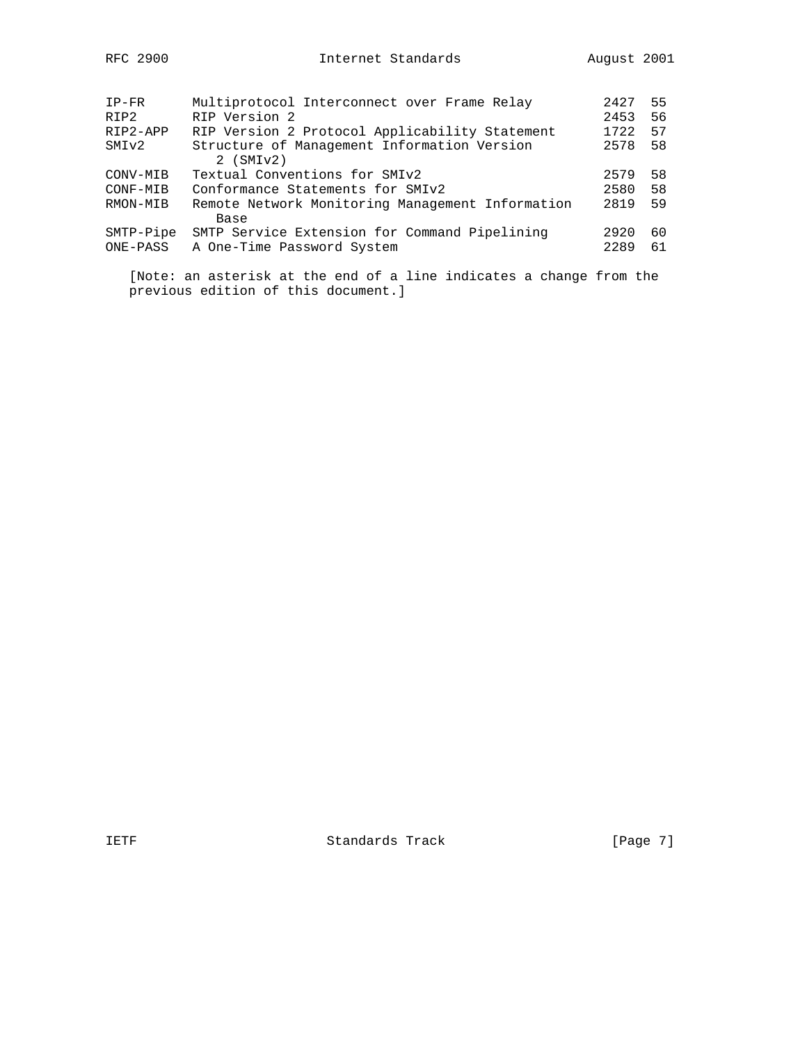| $IP-FR$   | Multiprotocol Interconnect over Frame Relay      | 2427 | 55 |
|-----------|--------------------------------------------------|------|----|
| RIP2      | RIP Version 2                                    | 2453 | 56 |
| RIP2-APP  | RIP Version 2 Protocol Applicability Statement   | 1722 | 57 |
| SMIv2     | Structure of Management Information Version      | 2578 | 58 |
|           | $2$ (SMI $v2$ )                                  |      |    |
| CONV-MIB  | Textual Conventions for SMIv2                    | 2579 | 58 |
| CONF-MIB  | Conformance Statements for SMIv2                 | 2580 | 58 |
| RMON-MIB  | Remote Network Monitoring Management Information | 2819 | 59 |
|           | Base                                             |      |    |
| SMTP-Pipe | SMTP Service Extension for Command Pipelining    | 2920 | 60 |
| ONE-PASS  | A One-Time Password System                       | 2289 | 61 |
|           |                                                  |      |    |

 [Note: an asterisk at the end of a line indicates a change from the previous edition of this document.]

IETF Standards Track [Page 7]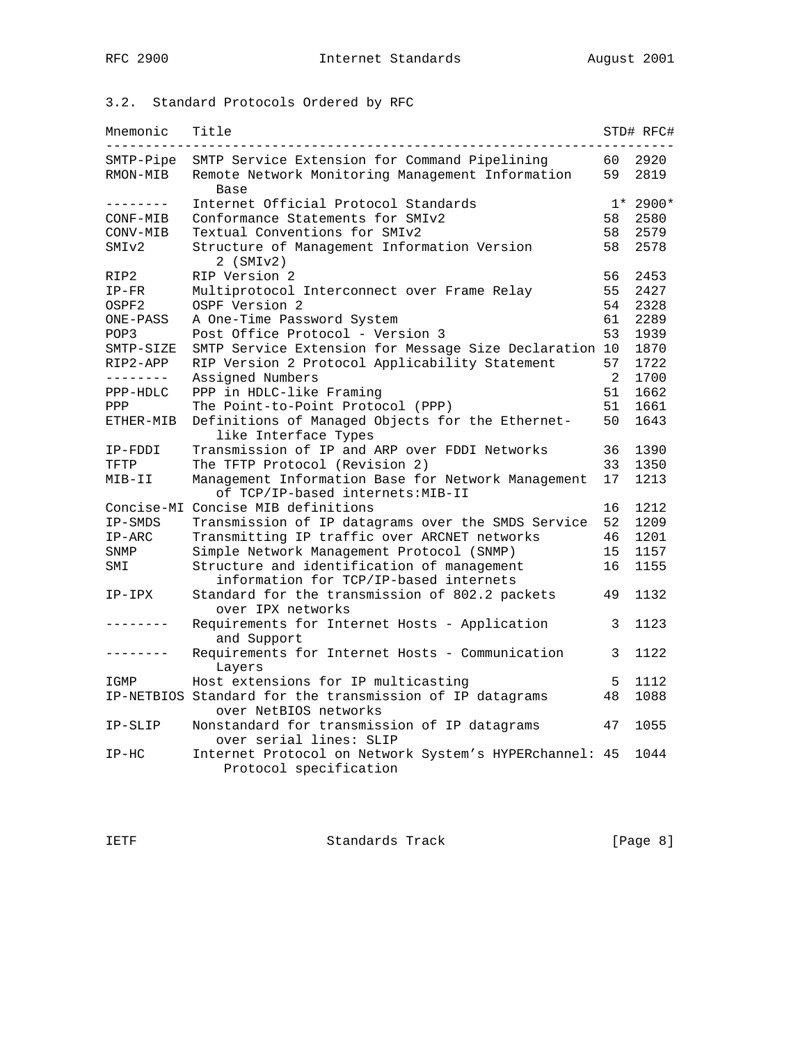# 3.2. Standard Protocols Ordered by RFC

| Mnemonic  | Title                                                                             |                | STD# RFC# |
|-----------|-----------------------------------------------------------------------------------|----------------|-----------|
| SMTP-Pipe | SMTP Service Extension for Command Pipelining                                     | 60             | 2920      |
| RMON-MIB  | Remote Network Monitoring Management Information<br>Base                          | 59             | 2819      |
| --------  | Internet Official Protocol Standards                                              | $1*$           | 2900*     |
| CONF-MIB  | Conformance Statements for SMIv2                                                  | 58             | 2580      |
| CONV-MIB  | Textual Conventions for SMIv2                                                     | 58             | 2579      |
| SMIv2     | Structure of Management Information Version<br>$2$ (SMI $v2$ )                    | 58             | 2578      |
| RIP2      | RIP Version 2                                                                     | 56             | 2453      |
| $IP-FR$   | Multiprotocol Interconnect over Frame Relay                                       | 55             | 2427      |
| OSPF2     | OSPF Version 2                                                                    | 54             | 2328      |
| ONE-PASS  | A One-Time Password System                                                        | 61             | 2289      |
| POP3      | Post Office Protocol - Version 3                                                  | 53             | 1939      |
| SMTP-SIZE | SMTP Service Extension for Message Size Declaration 10                            |                | 1870      |
| RIP2-APP  | RIP Version 2 Protocol Applicability Statement                                    | 57             | 1722      |
| --------  | Assigned Numbers                                                                  | $\overline{2}$ | 1700      |
| PPP-HDLC  | PPP in HDLC-like Framing                                                          | 51             | 1662      |
| PPP       | The Point-to-Point Protocol (PPP)                                                 | 51             | 1661      |
| ETHER-MIB | Definitions of Managed Objects for the Ethernet-                                  | 50             | 1643      |
|           | like Interface Types                                                              |                |           |
| IP-FDDI   | Transmission of IP and ARP over FDDI Networks                                     | 36             | 1390      |
| TFTP      | The TFTP Protocol (Revision 2)                                                    | 33             | 1350      |
| MIB-II    | Management Information Base for Network Management                                | 17             | 1213      |
|           | of TCP/IP-based internets: MIB-II                                                 |                |           |
|           | Concise-MI Concise MIB definitions                                                | 16             | 1212      |
| IP-SMDS   | Transmission of IP datagrams over the SMDS Service                                | 52             | 1209      |
| $IP-ARC$  | Transmitting IP traffic over ARCNET networks                                      | 46             | 1201      |
| SNMP      | Simple Network Management Protocol (SNMP)                                         | 15             | 1157      |
|           |                                                                                   |                |           |
| SMI       | Structure and identification of management                                        | 16             | 1155      |
|           | information for TCP/IP-based internets                                            |                |           |
| IP-IPX    | Standard for the transmission of 802.2 packets<br>over IPX networks               | 49             | 1132      |
|           | Requirements for Internet Hosts - Application<br>and Support                      | 3              | 1123      |
|           | Requirements for Internet Hosts - Communication<br>Layers                         | 3              | 1122      |
| IGMP      | Host extensions for IP multicasting                                               | 5              | 1112      |
|           | IP-NETBIOS Standard for the transmission of IP datagrams<br>over NetBIOS networks | 48             | 1088      |
| IP-SLIP   | Nonstandard for transmission of IP datagrams<br>over serial lines: SLIP           | 47             | 1055      |
| $IP-HC$   | Internet Protocol on Network System's HYPERchannel: 45<br>Protocol specification  |                | 1044      |
|           |                                                                                   |                |           |

IETF Standards Track [Page 8]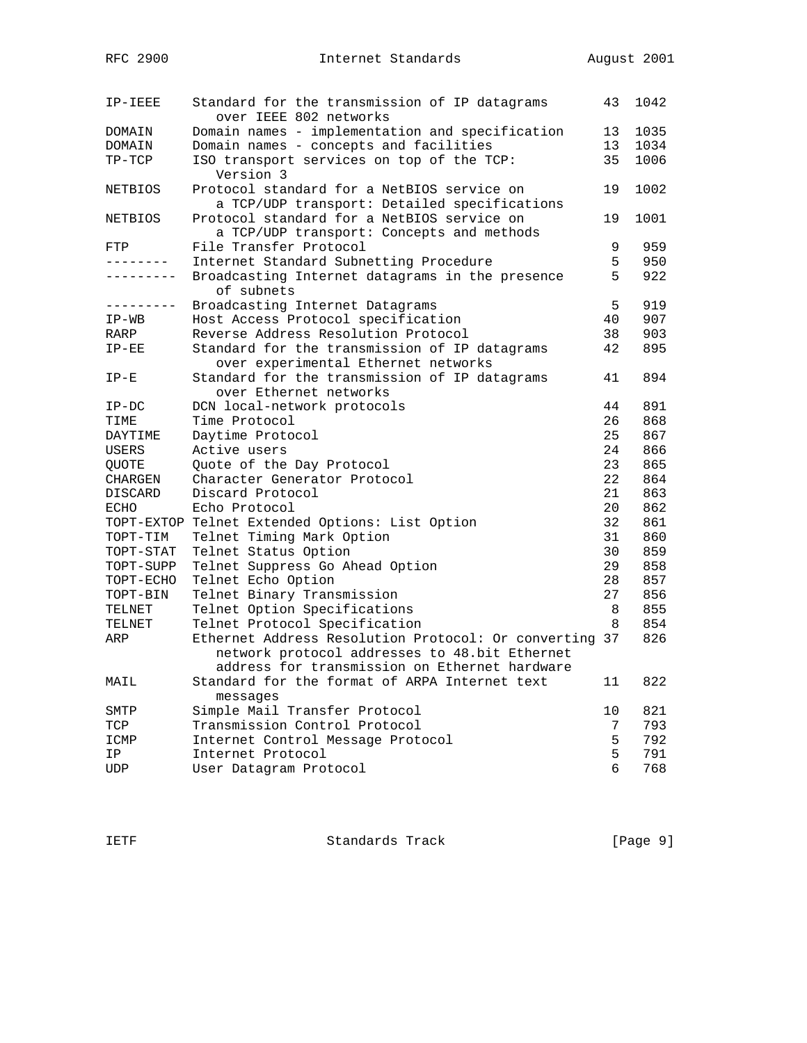| IP-IEEE      | Standard for the transmission of IP datagrams<br>over IEEE 802 networks | 43 | 1042 |
|--------------|-------------------------------------------------------------------------|----|------|
| DOMAIN       | Domain names - implementation and specification                         | 13 | 1035 |
| DOMAIN       | Domain names - concepts and facilities                                  | 13 | 1034 |
| $TP-TCP$     | ISO transport services on top of the TCP:                               | 35 | 1006 |
|              | Version 3                                                               |    |      |
| NETBIOS      | Protocol standard for a NetBIOS service on                              | 19 | 1002 |
|              | a TCP/UDP transport: Detailed specifications                            |    |      |
| NETBIOS      | Protocol standard for a NetBIOS service on                              | 19 | 1001 |
|              | a TCP/UDP transport: Concepts and methods                               |    |      |
| FTP          | File Transfer Protocol                                                  | 9  | 959  |
| -------      | Internet Standard Subnetting Procedure                                  | 5  | 950  |
| . <u>.</u> . | Broadcasting Internet datagrams in the presence                         | 5  | 922  |
|              | of subnets                                                              |    |      |
| ---------    | Broadcasting Internet Datagrams                                         | 5  | 919  |
| $IP-WB$      | Host Access Protocol specification                                      | 40 | 907  |
| RARP         | Reverse Address Resolution Protocol                                     | 38 | 903  |
| $IP-EE$      | Standard for the transmission of IP datagrams                           | 42 | 895  |
|              | over experimental Ethernet networks                                     |    |      |
| $IP-E$       | Standard for the transmission of IP datagrams                           | 41 | 894  |
|              | over Ethernet networks                                                  |    |      |
|              |                                                                         | 44 | 891  |
| $IP-DC$      | DCN local-network protocols                                             | 26 |      |
| TIME         | Time Protocol                                                           |    | 868  |
| DAYTIME      | Daytime Protocol                                                        | 25 | 867  |
| USERS        | Active users                                                            | 24 | 866  |
| QUOTE        | Quote of the Day Protocol                                               | 23 | 865  |
| CHARGEN      | Character Generator Protocol                                            | 22 | 864  |
| DISCARD      | Discard Protocol                                                        | 21 | 863  |
| <b>ECHO</b>  | Echo Protocol                                                           | 20 | 862  |
| TOPT-EXTOP   | Telnet Extended Options: List Option                                    | 32 | 861  |
| TOPT-TIM     | Telnet Timing Mark Option                                               | 31 | 860  |
| TOPT-STAT    | Telnet Status Option                                                    | 30 | 859  |
| TOPT-SUPP    | Telnet Suppress Go Ahead Option                                         | 29 | 858  |
| TOPT-ECHO    | Telnet Echo Option                                                      | 28 | 857  |
| TOPT-BIN     | Telnet Binary Transmission                                              | 27 | 856  |
| TELNET       | Telnet Option Specifications                                            | 8  | 855  |
| TELNET       | Telnet Protocol Specification                                           | 8  | 854  |
| ARP          | Ethernet Address Resolution Protocol: Or converting 37                  |    | 826  |
|              | network protocol addresses to 48.bit Ethernet                           |    |      |
|              | address for transmission on Ethernet hardware                           |    |      |
| MAIL         | Standard for the format of ARPA Internet text                           | 11 | 822  |
|              | messages                                                                |    |      |
| SMTP         | Simple Mail Transfer Protocol                                           | 10 | 821  |
| TCP          | Transmission Control Protocol                                           | 7  | 793  |
| ICMP         | Internet Control Message Protocol                                       | 5  | 792  |
| ΙP           | Internet Protocol                                                       | 5  | 791  |
|              |                                                                         | б  | 768  |
| <b>UDP</b>   | User Datagram Protocol                                                  |    |      |

IETF Standards Track [Page 9]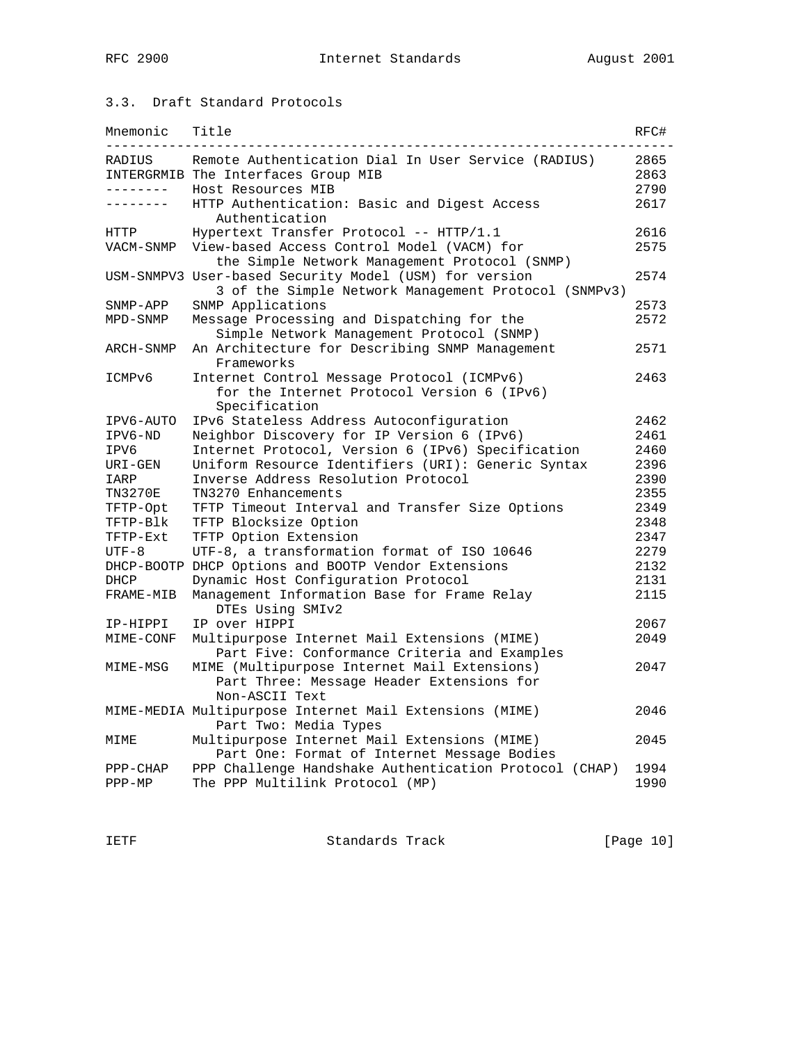## 3.3. Draft Standard Protocols

| Mnemonic             | Title                                                                                                          | RFC#         |
|----------------------|----------------------------------------------------------------------------------------------------------------|--------------|
| RADIUS               | Remote Authentication Dial In User Service (RADIUS)                                                            | 2865         |
|                      | INTERGRMIB The Interfaces Group MIB                                                                            | 2863         |
| . _ _ _ _ _ _ _      | Host Resources MIB                                                                                             | 2790         |
| $- - - - - - - -$    | HTTP Authentication: Basic and Digest Access<br>Authentication                                                 | 2617         |
| HTTP                 | Hypertext Transfer Protocol -- $HTTP/1.1$                                                                      | 2616         |
| VACM-SNMP            | View-based Access Control Model (VACM) for<br>the Simple Network Management Protocol (SNMP)                    | 2575         |
|                      | USM-SNMPV3 User-based Security Model (USM) for version<br>3 of the Simple Network Management Protocol (SNMPv3) | 2574         |
| SNMP-APP             | SNMP Applications                                                                                              | 2573         |
| MPD-SNMP             | Message Processing and Dispatching for the                                                                     | 2572         |
|                      | Simple Network Management Protocol (SNMP)                                                                      |              |
| ARCH-SNMP            | An Architecture for Describing SNMP Management<br>Frameworks                                                   | 2571         |
| ICMPv6               | Internet Control Message Protocol (ICMPv6)                                                                     | 2463         |
|                      | for the Internet Protocol Version 6 (IPv6)<br>Specification                                                    |              |
| IPV6-AUTO            | IPv6 Stateless Address Autoconfiguration                                                                       | 2462         |
| IPV6-ND              | Neighbor Discovery for IP Version 6 (IPv6)                                                                     | 2461         |
| IPV6                 | Internet Protocol, Version 6 (IPv6) Specification                                                              | 2460         |
| URI-GEN              | Uniform Resource Identifiers (URI): Generic Syntax                                                             | 2396         |
| IARP                 | Inverse Address Resolution Protocol                                                                            | 2390         |
| TN3270E              | TN3270 Enhancements                                                                                            | 2355         |
| TFTP-Opt             | TFTP Timeout Interval and Transfer Size Options                                                                | 2349         |
| TFTP-Blk             | TFTP Blocksize Option                                                                                          | 2348         |
| TFTP-Ext             | TFTP Option Extension                                                                                          | 2347         |
| $UTF-8$              | UTF-8, a transformation format of ISO 10646                                                                    | 2279         |
|                      | DHCP-BOOTP DHCP Options and BOOTP Vendor Extensions                                                            | 2132         |
| DHCP                 | Dynamic Host Configuration Protocol                                                                            | 2131         |
| FRAME-MIB            | Management Information Base for Frame Relay<br>DTEs Using SMIv2                                                | 2115         |
| IP-HIPPI             | IP over HIPPI                                                                                                  | 2067         |
| MIME-CONF            | Multipurpose Internet Mail Extensions (MIME)<br>Part Five: Conformance Criteria and Examples                   | 2049         |
| MIME-MSG             | MIME (Multipurpose Internet Mail Extensions)<br>Part Three: Message Header Extensions for<br>Non-ASCII Text    | 2047         |
|                      | MIME-MEDIA Multipurpose Internet Mail Extensions (MIME)<br>Part Two: Media Types                               | 2046         |
| MIME                 | Multipurpose Internet Mail Extensions (MIME)<br>Part One: Format of Internet Message Bodies                    | 2045         |
| PPP-CHAP<br>$PPP-MP$ | PPP Challenge Handshake Authentication Protocol (CHAP)<br>The PPP Multilink Protocol (MP)                      | 1994<br>1990 |

IETF Standards Track [Page 10]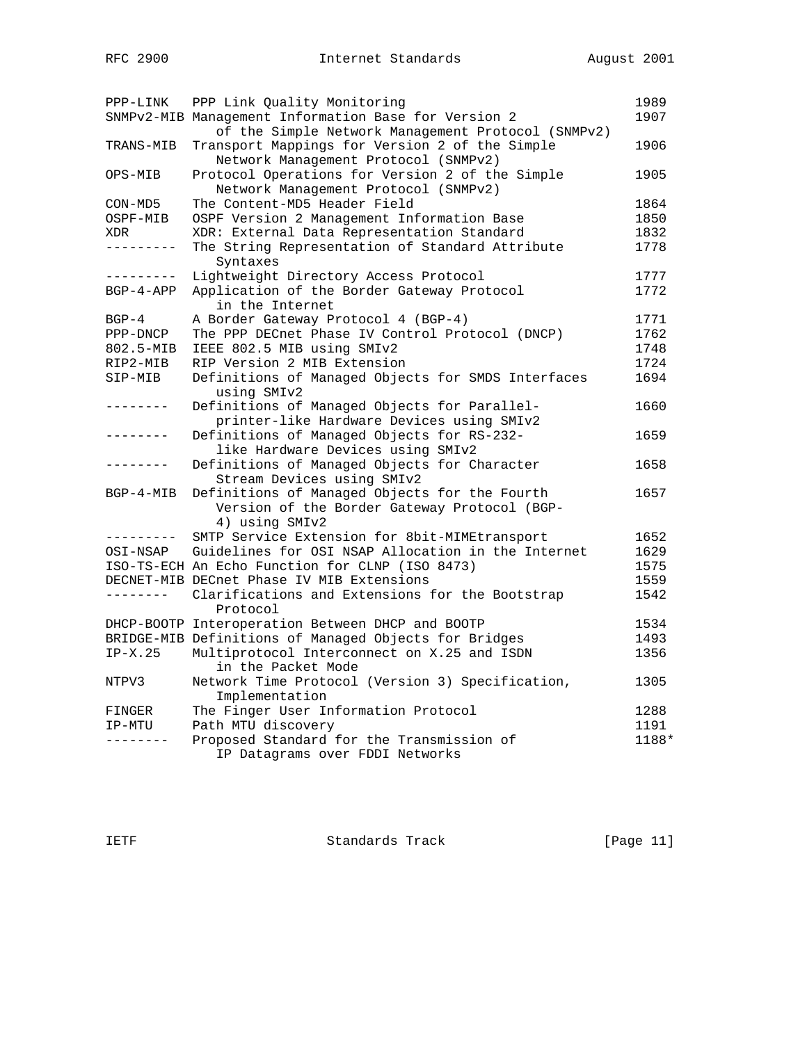| PPP-LINK          | PPP Link Quality Monitoring                           | 1989  |
|-------------------|-------------------------------------------------------|-------|
|                   | SNMPv2-MIB Management Information Base for Version 2  | 1907  |
|                   | of the Simple Network Management Protocol (SNMPv2)    |       |
| TRANS-MIB         | Transport Mappings for Version 2 of the Simple        | 1906  |
|                   | Network Management Protocol (SNMPv2)                  |       |
| OPS-MIB           | Protocol Operations for Version 2 of the Simple       | 1905  |
|                   | Network Management Protocol (SNMPv2)                  |       |
| $CON-MD5$         | The Content-MD5 Header Field                          | 1864  |
| OSPF-MIB          | OSPF Version 2 Management Information Base            | 1850  |
| XDR               | XDR: External Data Representation Standard            | 1832  |
| ---------         | The String Representation of Standard Attribute       | 1778  |
|                   | Syntaxes                                              |       |
| ----------        | Lightweight Directory Access Protocol                 | 1777  |
| $BGP-4-APP$       | Application of the Border Gateway Protocol            | 1772  |
|                   | in the Internet                                       |       |
| $BGP-4$           | A Border Gateway Protocol 4 (BGP-4)                   | 1771  |
| PPP-DNCP          | The PPP DECnet Phase IV Control Protocol (DNCP)       | 1762  |
| $802.5 - MIB$     | IEEE 802.5 MIB using SMIv2                            | 1748  |
| RIP2-MIB          | RIP Version 2 MIB Extension                           | 1724  |
| SIP-MIB           | Definitions of Managed Objects for SMDS Interfaces    | 1694  |
|                   | using SMIv2                                           |       |
| -------           | Definitions of Managed Objects for Parallel-          | 1660  |
|                   | printer-like Hardware Devices using SMIv2             |       |
|                   | Definitions of Managed Objects for RS-232-            | 1659  |
|                   | like Hardware Devices using SMIv2                     |       |
| -------           | Definitions of Managed Objects for Character          | 1658  |
|                   | Stream Devices using SMIv2                            |       |
| $BGP-4-MIB$       | Definitions of Managed Objects for the Fourth         | 1657  |
|                   | Version of the Border Gateway Protocol (BGP-          |       |
|                   | 4) using SMIv2                                        |       |
| . - - - - - - - - | SMTP Service Extension for 8bit-MIMEtransport         | 1652  |
|                   |                                                       |       |
| OSI-NSAP          | Guidelines for OSI NSAP Allocation in the Internet    | 1629  |
|                   | ISO-TS-ECH An Echo Function for CLNP (ISO 8473)       | 1575  |
|                   | DECNET-MIB DECnet Phase IV MIB Extensions             | 1559  |
| ---------         | Clarifications and Extensions for the Bootstrap       | 1542  |
|                   | Protocol                                              |       |
|                   | DHCP-BOOTP Interoperation Between DHCP and BOOTP      | 1534  |
|                   | BRIDGE-MIB Definitions of Managed Objects for Bridges | 1493  |
| $IP-X.25$         | Multiprotocol Interconnect on X.25 and ISDN           | 1356  |
|                   | in the Packet Mode                                    |       |
| NTPV3             | Network Time Protocol (Version 3) Specification,      | 1305  |
|                   | Implementation                                        |       |
| FINGER            | The Finger User Information Protocol                  | 1288  |
| IP-MTU            | Path MTU discovery                                    | 1191  |
| --------          | Proposed Standard for the Transmission of             | 1188* |
|                   | IP Datagrams over FDDI Networks                       |       |

IETF Standards Track [Page 11]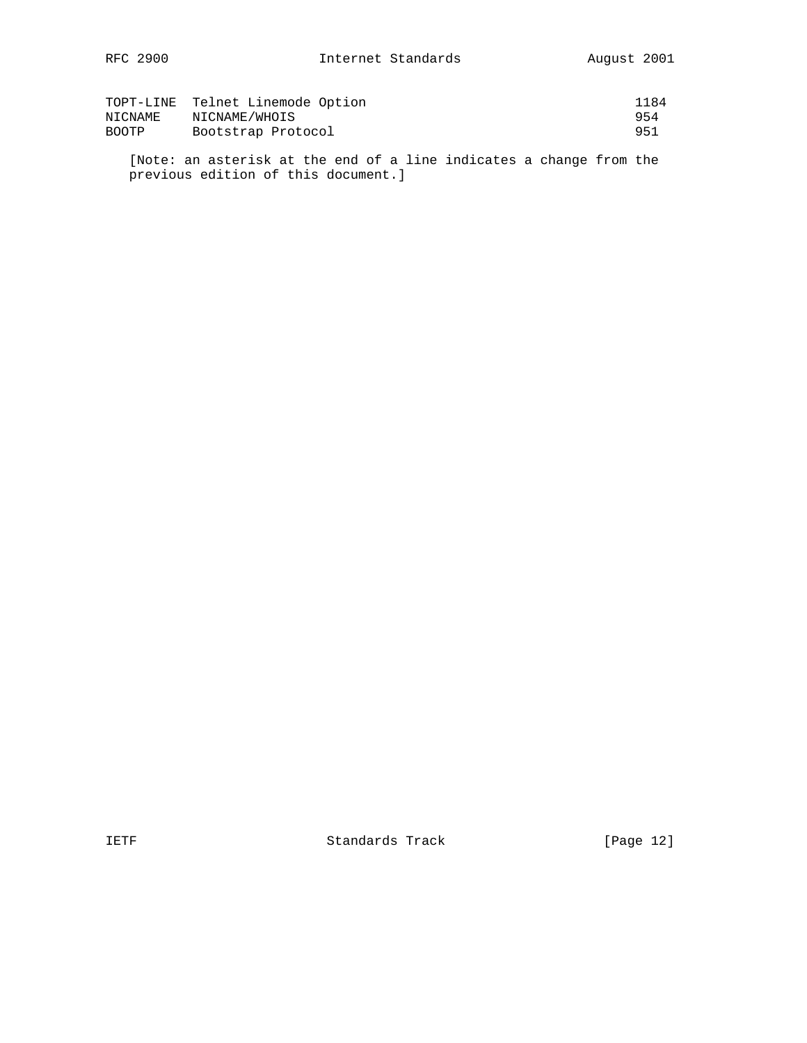|              | TOPT-LINE Telnet Linemode Option | 1184 |
|--------------|----------------------------------|------|
| NICNAME      | NICNAME/WHOIS                    | 954  |
| <b>BOOTP</b> | Bootstrap Protocol               | 951  |

 [Note: an asterisk at the end of a line indicates a change from the previous edition of this document.]

IETF Standards Track [Page 12]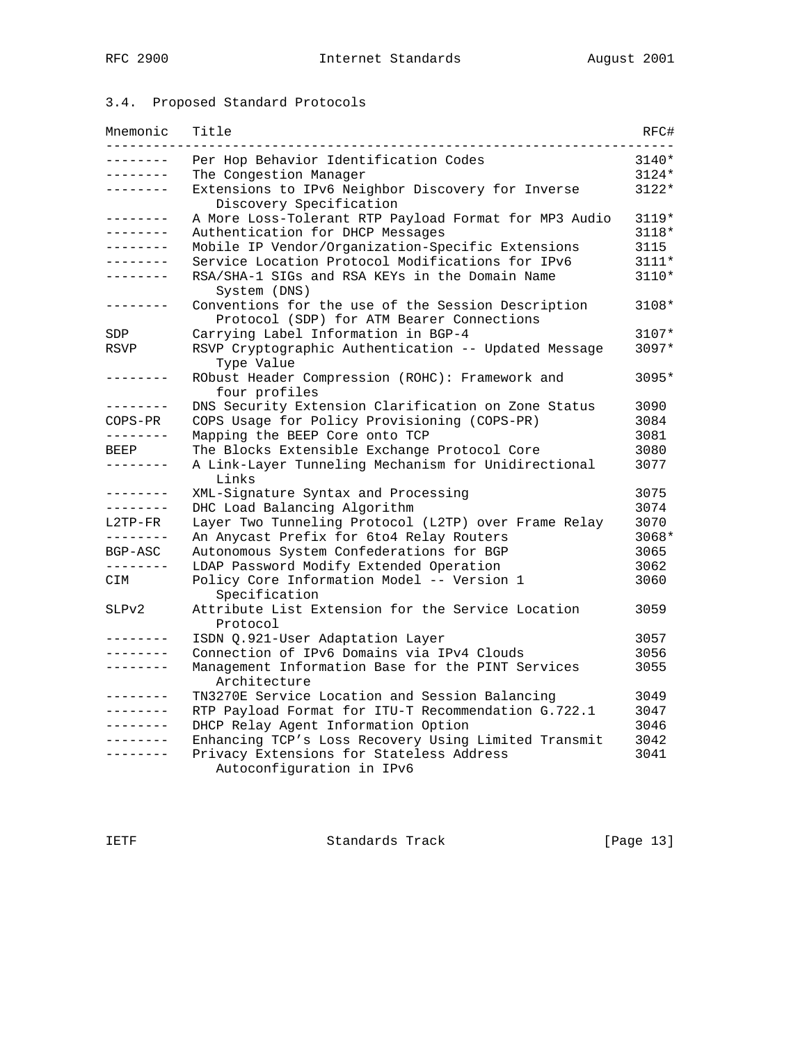# 3.4. Proposed Standard Protocols

| Mnemonic        | Title                                                                                           | RFC#    |
|-----------------|-------------------------------------------------------------------------------------------------|---------|
| .               | Per Hop Behavior Identification Codes                                                           | $3140*$ |
| --------        | The Congestion Manager                                                                          | $3124*$ |
| .               | Extensions to IPv6 Neighbor Discovery for Inverse<br>Discovery Specification                    | 3122*   |
| --------        | A More Loss-Tolerant RTP Payload Format for MP3 Audio                                           | 3119*   |
| .               | Authentication for DHCP Messages                                                                | 3118*   |
| .               | Mobile IP Vendor/Organization-Specific Extensions                                               | 3115    |
| .               | Service Location Protocol Modifications for IPv6                                                | $3111*$ |
| --------        | RSA/SHA-1 SIGs and RSA KEYs in the Domain Name<br>System (DNS)                                  | 3110*   |
| . _ _ _ _ _ _ _ | Conventions for the use of the Session Description<br>Protocol (SDP) for ATM Bearer Connections | 3108*   |
| SDP             | Carrying Label Information in BGP-4                                                             | $3107*$ |
| RSVP            | RSVP Cryptographic Authentication -- Updated Message<br>Type Value                              | $3097*$ |
| . _ _ _ _ _ _ _ | RObust Header Compression (ROHC): Framework and<br>four profiles                                | 3095*   |
| .               | DNS Security Extension Clarification on Zone Status                                             | 3090    |
| $COPS-PR$       | COPS Usage for Policy Provisioning (COPS-PR)                                                    | 3084    |
| --------        | Mapping the BEEP Core onto TCP                                                                  | 3081    |
| BEEP            | The Blocks Extensible Exchange Protocol Core                                                    | 3080    |
| - - - - - - - - | A Link-Layer Tunneling Mechanism for Unidirectional<br>Links                                    | 3077    |
| .               | XML-Signature Syntax and Processing                                                             | 3075    |
| --------        | DHC Load Balancing Algorithm                                                                    | 3074    |
| L2TP-FR         | Layer Two Tunneling Protocol (L2TP) over Frame Relay                                            | 3070    |
| --------        | An Anycast Prefix for 6to4 Relay Routers                                                        | 3068*   |
| BGP-ASC         | Autonomous System Confederations for BGP                                                        | 3065    |
| --------        | LDAP Password Modify Extended Operation                                                         | 3062    |
| CIM             | Policy Core Information Model -- Version 1<br>Specification                                     | 3060    |
| SLPv2           | Attribute List Extension for the Service Location<br>Protocol                                   | 3059    |
| .               | ISDN Q.921-User Adaptation Layer                                                                | 3057    |
| .               | Connection of IPv6 Domains via IPv4 Clouds                                                      | 3056    |
| .               | Management Information Base for the PINT Services<br>Architecture                               | 3055    |
| -------         | TN3270E Service Location and Session Balancing                                                  | 3049    |
| . <u>.</u>      | RTP Payload Format for ITU-T Recommendation G.722.1                                             | 3047    |
| . _ _ _ _ _ _ _ | DHCP Relay Agent Information Option                                                             | 3046    |
| . _ _ _ _ _ _ _ | Enhancing TCP's Loss Recovery Using Limited Transmit                                            | 3042    |
| . _ _ _ _ _ _ _ | Privacy Extensions for Stateless Address<br>Autoconfiguration in IPv6                           | 3041    |

IETF Standards Track [Page 13]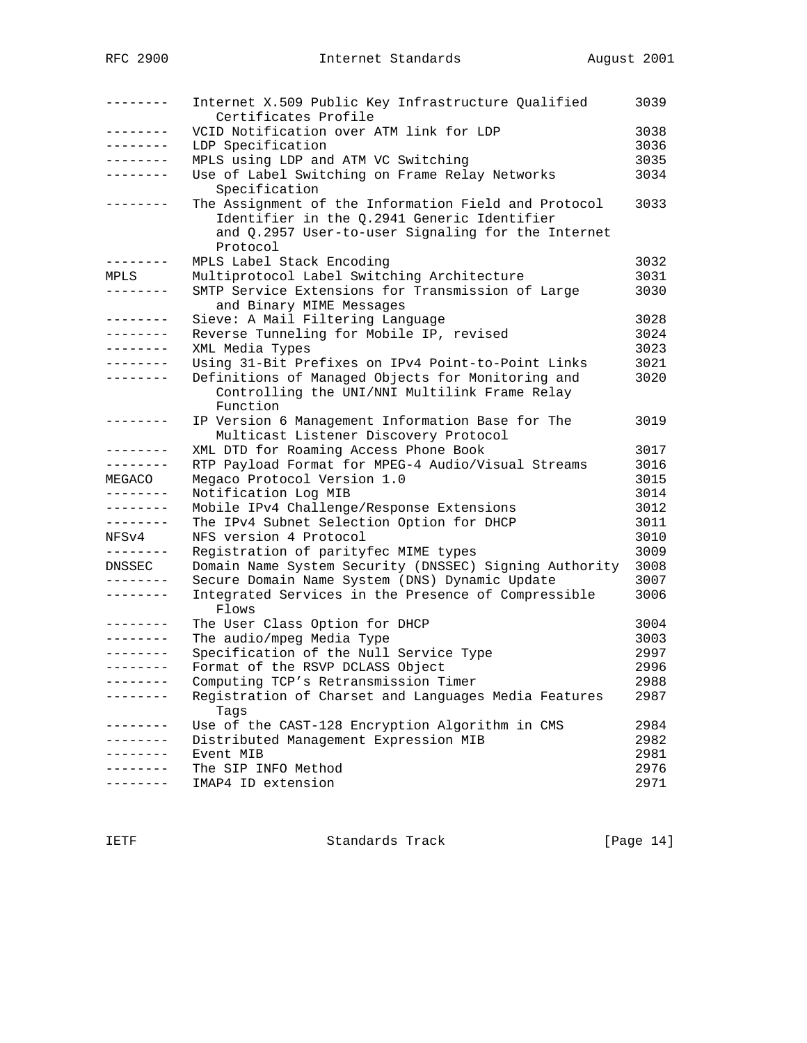| --------            | Internet X.509 Public Key Infrastructure Qualified<br>Certificates Profile                                                                                            | 3039 |
|---------------------|-----------------------------------------------------------------------------------------------------------------------------------------------------------------------|------|
| . <u>.</u> .        | VCID Notification over ATM link for LDP                                                                                                                               | 3038 |
| .                   | LDP Specification                                                                                                                                                     | 3036 |
| --------            | MPLS using LDP and ATM VC Switching                                                                                                                                   | 3035 |
| . <u>.</u>          | Use of Label Switching on Frame Relay Networks<br>Specification                                                                                                       | 3034 |
| . _ _ _ _ _ _ _     | The Assignment of the Information Field and Protocol<br>Identifier in the Q.2941 Generic Identifier<br>and Q.2957 User-to-user Signaling for the Internet<br>Protocol | 3033 |
| --------            | MPLS Label Stack Encoding                                                                                                                                             | 3032 |
| MPLS                | Multiprotocol Label Switching Architecture                                                                                                                            | 3031 |
| --------            | SMTP Service Extensions for Transmission of Large<br>and Binary MIME Messages                                                                                         | 3030 |
| . <u>.</u>          | Sieve: A Mail Filtering Language                                                                                                                                      | 3028 |
| $- - - - - - - - -$ | Reverse Tunneling for Mobile IP, revised                                                                                                                              | 3024 |
| --------            | XML Media Types                                                                                                                                                       | 3023 |
| .                   | Using 31-Bit Prefixes on IPv4 Point-to-Point Links                                                                                                                    | 3021 |
| --------            | Definitions of Managed Objects for Monitoring and<br>Controlling the UNI/NNI Multilink Frame Relay                                                                    | 3020 |
|                     | Function                                                                                                                                                              |      |
| --------            | IP Version 6 Management Information Base for The<br>Multicast Listener Discovery Protocol                                                                             | 3019 |
| --------            | XML DTD for Roaming Access Phone Book                                                                                                                                 | 3017 |
| ---------           | RTP Payload Format for MPEG-4 Audio/Visual Streams                                                                                                                    | 3016 |
| MEGACO              | Megaco Protocol Version 1.0                                                                                                                                           | 3015 |
| $- - - - - - -$     | Notification Log MIB                                                                                                                                                  | 3014 |
| --------            | Mobile IPv4 Challenge/Response Extensions                                                                                                                             | 3012 |
| --------            | The IPv4 Subnet Selection Option for DHCP                                                                                                                             | 3011 |
| NFSv4               | NFS version 4 Protocol                                                                                                                                                | 3010 |
| ---------           | Registration of parityfec MIME types                                                                                                                                  | 3009 |
| DNSSEC              | Domain Name System Security (DNSSEC) Signing Authority                                                                                                                | 3008 |
|                     | Secure Domain Name System (DNS) Dynamic Update                                                                                                                        | 3007 |
| --------            | Integrated Services in the Presence of Compressible<br>Flows                                                                                                          | 3006 |
| --------            | The User Class Option for DHCP                                                                                                                                        | 3004 |
| ---------           | The audio/mpeg Media Type                                                                                                                                             | 3003 |
|                     | Specification of the Null Service Type                                                                                                                                | 2997 |
| --------            | Format of the RSVP DCLASS Object                                                                                                                                      | 2996 |
| $----------$        | Computing TCP's Retransmission Timer                                                                                                                                  | 2988 |
| --------            | Registration of Charset and Languages Media Features                                                                                                                  | 2987 |
|                     | Tags                                                                                                                                                                  |      |
| --------            | Use of the CAST-128 Encryption Algorithm in CMS                                                                                                                       | 2984 |
|                     | Distributed Management Expression MIB                                                                                                                                 | 2982 |
|                     | Event MIB                                                                                                                                                             | 2981 |
|                     | The SIP INFO Method                                                                                                                                                   | 2976 |
| . _ _ _ _ _ _ _     | IMAP4 ID extension                                                                                                                                                    | 2971 |

IETF Standards Track [Page 14]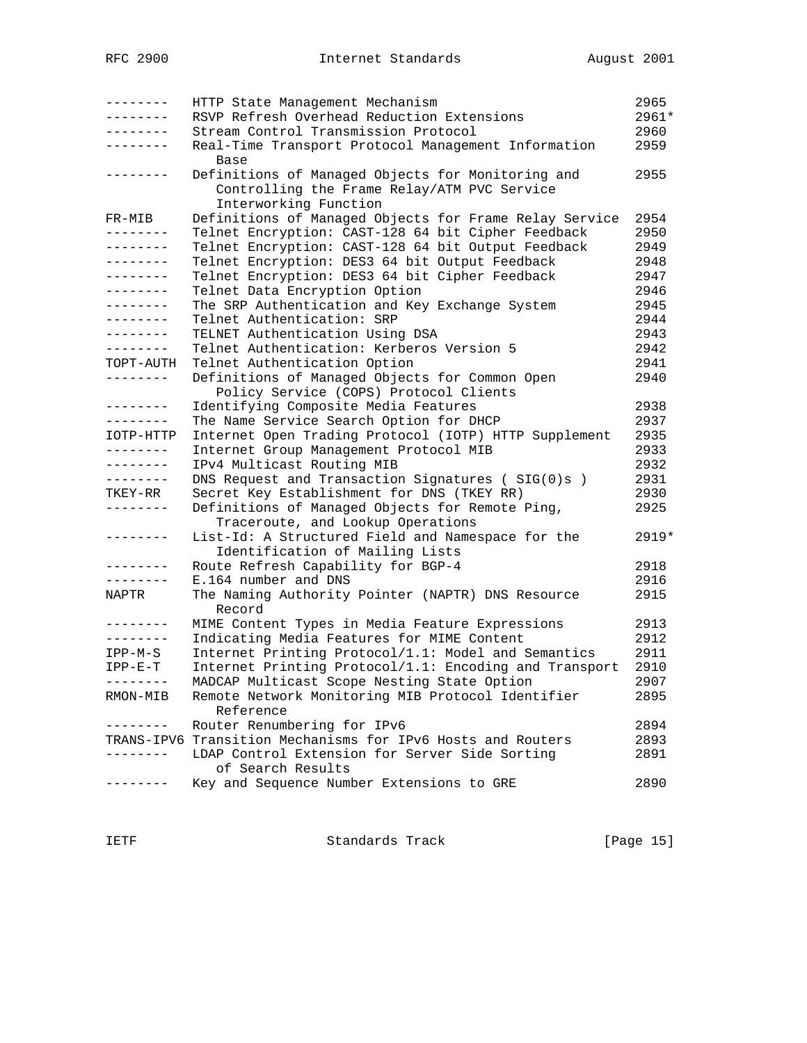| --------          | HTTP State Management Mechanism                             | 2965  |
|-------------------|-------------------------------------------------------------|-------|
| .                 | RSVP Refresh Overhead Reduction Extensions                  | 2961* |
| --------          | Stream Control Transmission Protocol                        | 2960  |
|                   | Real-Time Transport Protocol Management Information         | 2959  |
|                   | <b>Base</b>                                                 |       |
| $- - - - - - - -$ | Definitions of Managed Objects for Monitoring and           | 2955  |
|                   | Controlling the Frame Relay/ATM PVC Service                 |       |
|                   | Interworking Function                                       |       |
| FR-MIB            | Definitions of Managed Objects for Frame Relay Service      | 2954  |
| --------          | Telnet Encryption: CAST-128 64 bit Cipher Feedback          | 2950  |
| --------          | Telnet Encryption: CAST-128 64 bit Output Feedback          | 2949  |
| --------          | Telnet Encryption: DES3 64 bit Output Feedback              | 2948  |
| --------          | Telnet Encryption: DES3 64 bit Cipher Feedback              | 2947  |
| --------          | Telnet Data Encryption Option                               | 2946  |
| --------          | The SRP Authentication and Key Exchange System              | 2945  |
| --------          | Telnet Authentication: SRP                                  | 2944  |
| . - - - - - - -   | TELNET Authentication Using DSA                             | 2943  |
| --------          | Telnet Authentication: Kerberos Version 5                   | 2942  |
| TOPT-AUTH         | Telnet Authentication Option                                | 2941  |
| --------          | Definitions of Managed Objects for Common Open              | 2940  |
|                   |                                                             |       |
| --------          | Policy Service (COPS) Protocol Clients                      | 2938  |
| --------          | Identifying Composite Media Features                        | 2937  |
|                   | The Name Service Search Option for DHCP                     |       |
| IOTP-HTTP         | Internet Open Trading Protocol (IOTP) HTTP Supplement       | 2935  |
| --------          | Internet Group Management Protocol MIB                      | 2933  |
| --------          | IPv4 Multicast Routing MIB                                  | 2932  |
| .                 | DNS Request and Transaction Signatures (SIG(0)s)            | 2931  |
| TKEY-RR           | Secret Key Establishment for DNS (TKEY RR)                  | 2930  |
| .                 | Definitions of Managed Objects for Remote Ping,             | 2925  |
|                   | Traceroute, and Lookup Operations                           |       |
| - - - - - - - -   | List-Id: A Structured Field and Namespace for the           | 2919* |
|                   | Identification of Mailing Lists                             |       |
| --------          | Route Refresh Capability for BGP-4                          | 2918  |
| --------          | E.164 number and DNS                                        | 2916  |
| NAPTR             | The Naming Authority Pointer (NAPTR) DNS Resource           | 2915  |
|                   | Record                                                      |       |
| --------          | MIME Content Types in Media Feature Expressions             | 2913  |
| --------          | Indicating Media Features for MIME Content                  | 2912  |
| $IPP-M-S$         | Internet Printing Protocol/1.1: Model and Semantics         | 2911  |
| $IPP-E-T$         | Internet Printing Protocol/1.1: Encoding and Transport      | 2910  |
|                   | MADCAP Multicast Scope Nesting State Option                 | 2907  |
| RMON-MIB          | Remote Network Monitoring MIB Protocol Identifier           | 2895  |
|                   | Reference                                                   |       |
|                   | Router Renumbering for IPv6                                 | 2894  |
|                   | TRANS-IPV6 Transition Mechanisms for IPv6 Hosts and Routers | 2893  |
|                   | LDAP Control Extension for Server Side Sorting              | 2891  |
|                   | of Search Results                                           |       |
|                   | Key and Sequence Number Extensions to GRE                   | 2890  |
|                   |                                                             |       |

IETF Standards Track [Page 15]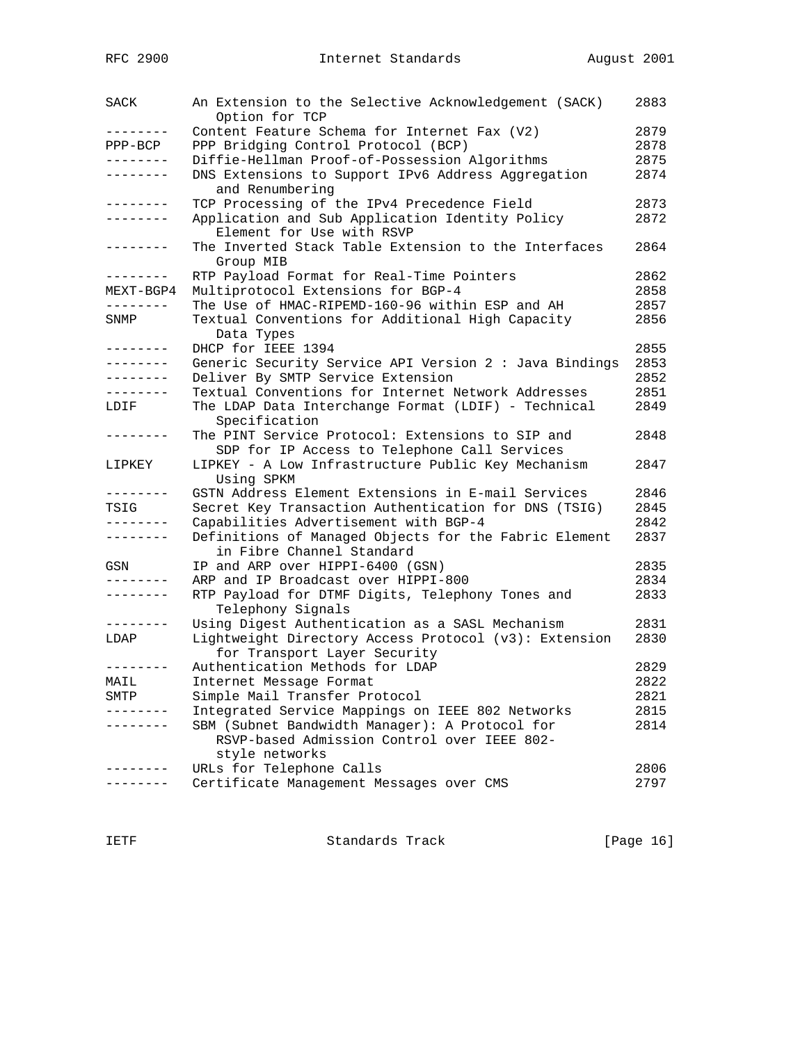| SACK            | An Extension to the Selective Acknowledgement (SACK)<br>Option for TCP | 2883 |
|-----------------|------------------------------------------------------------------------|------|
| . _ _ _ _ _ _ _ | Content Feature Schema for Internet Fax (V2)                           | 2879 |
| $PPP-BCP$       | PPP Bridging Control Protocol (BCP)                                    | 2878 |
| --------        | Diffie-Hellman Proof-of-Possession Algorithms                          | 2875 |
| . - - - - - - - | DNS Extensions to Support IPv6 Address Aggregation                     | 2874 |
|                 | and Renumbering                                                        |      |
|                 | TCP Processing of the IPv4 Precedence Field                            | 2873 |
| --------        | Application and Sub Application Identity Policy                        | 2872 |
|                 | Element for Use with RSVP                                              |      |
| --------        | The Inverted Stack Table Extension to the Interfaces                   | 2864 |
|                 | Group MIB                                                              |      |
| --------        | RTP Payload Format for Real-Time Pointers                              | 2862 |
| MEXT-BGP4       | Multiprotocol Extensions for BGP-4                                     | 2858 |
|                 | The Use of HMAC-RIPEMD-160-96 within ESP and AH                        | 2857 |
| SNMP            | Textual Conventions for Additional High Capacity                       | 2856 |
|                 | Data Types                                                             |      |
| --------        | DHCP for IEEE 1394                                                     | 2855 |
| --------        | Generic Security Service API Version 2 : Java Bindings                 | 2853 |
| --------        | Deliver By SMTP Service Extension                                      | 2852 |
| --------        | Textual Conventions for Internet Network Addresses                     | 2851 |
| LDIF            | The LDAP Data Interchange Format (LDIF) - Technical                    | 2849 |
|                 | Specification                                                          |      |
| -------         | The PINT Service Protocol: Extensions to SIP and                       | 2848 |
|                 | SDP for IP Access to Telephone Call Services                           |      |
| LIPKEY          | LIPKEY - A Low Infrastructure Public Key Mechanism                     | 2847 |
|                 | Using SPKM                                                             |      |
| --------        | GSTN Address Element Extensions in E-mail Services                     | 2846 |
| TSIG            | Secret Key Transaction Authentication for DNS (TSIG)                   | 2845 |
| .               |                                                                        | 2842 |
| ---------       | Capabilities Advertisement with BGP-4                                  |      |
|                 | Definitions of Managed Objects for the Fabric Element                  | 2837 |
|                 | in Fibre Channel Standard                                              |      |
| GSN             | IP and ARP over HIPPI-6400 (GSN)                                       | 2835 |
| --------        | ARP and IP Broadcast over HIPPI-800                                    | 2834 |
| --------        | RTP Payload for DTMF Digits, Telephony Tones and                       | 2833 |
|                 | Telephony Signals                                                      |      |
| --------        | Using Digest Authentication as a SASL Mechanism                        | 2831 |
| LDAP            | Lightweight Directory Access Protocol (v3): Extension                  | 2830 |
|                 | for Transport Layer Security                                           |      |
| --------        | Authentication Methods for LDAP                                        | 2829 |
| MAIL            | Internet Message Format                                                | 2822 |
| SMTP            | Simple Mail Transfer Protocol                                          | 2821 |
|                 | Integrated Service Mappings on IEEE 802 Networks                       | 2815 |
|                 | SBM (Subnet Bandwidth Manager): A Protocol for                         | 2814 |
|                 | RSVP-based Admission Control over IEEE 802-                            |      |
|                 | style networks                                                         |      |
|                 | URLs for Telephone Calls                                               | 2806 |
|                 | Certificate Management Messages over CMS                               | 2797 |
|                 |                                                                        |      |

IETF Standards Track [Page 16]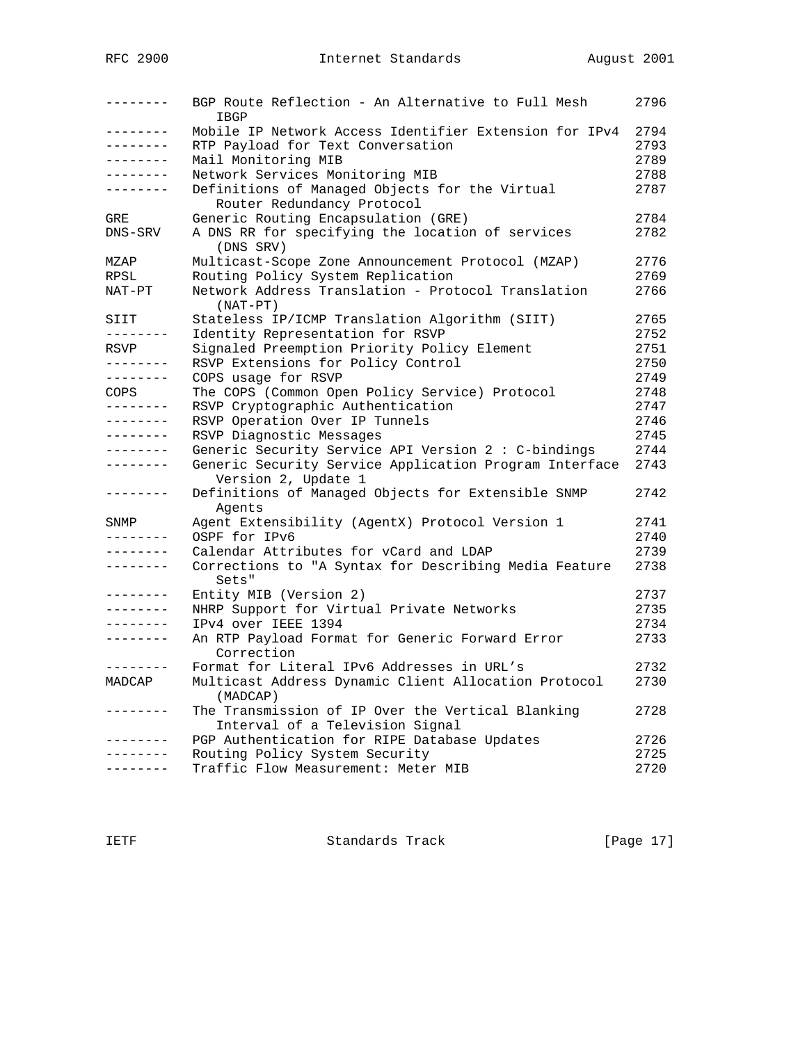| --------                 | BGP Route Reflection - An Alternative to Full Mesh<br>IBGP                           | 2796         |
|--------------------------|--------------------------------------------------------------------------------------|--------------|
| --------                 | Mobile IP Network Access Identifier Extension for IPv4                               | 2794         |
| --------                 | RTP Payload for Text Conversation                                                    | 2793         |
| --------                 | Mail Monitoring MIB                                                                  | 2789         |
| . <u>.</u> .             | Network Services Monitoring MIB                                                      | 2788         |
| --------                 | Definitions of Managed Objects for the Virtual<br>Router Redundancy Protocol         | 2787         |
| GRE                      | Generic Routing Encapsulation (GRE)                                                  | 2784         |
| DNS-SRV                  | A DNS RR for specifying the location of services<br>(DNS SRV)                        | 2782         |
| MZAP                     | Multicast-Scope Zone Announcement Protocol (MZAP)                                    | 2776         |
| RPSL                     | Routing Policy System Replication                                                    | 2769         |
| NAT-PT                   | Network Address Translation - Protocol Translation<br>$(NAT-PT)$                     | 2766         |
| SIIT                     | Stateless IP/ICMP Translation Algorithm (SIIT)                                       | 2765         |
| --------                 | Identity Representation for RSVP                                                     | 2752         |
| RSVP                     | Signaled Preemption Priority Policy Element                                          | 2751         |
| --------                 | RSVP Extensions for Policy Control                                                   | 2750         |
| --------                 | COPS usage for RSVP                                                                  | 2749         |
| COPS                     | The COPS (Common Open Policy Service) Protocol                                       | 2748         |
| --------                 | RSVP Cryptographic Authentication                                                    | 2747         |
| --------                 | RSVP Operation Over IP Tunnels                                                       | 2746         |
| --------                 | RSVP Diagnostic Messages                                                             | 2745         |
| ---------                | Generic Security Service API Version 2 : C-bindings                                  | 2744         |
| --------                 | Generic Security Service Application Program Interface<br>Version 2, Update 1        | 2743         |
| $- - - - - - - -$        | Definitions of Managed Objects for Extensible SNMP                                   | 2742         |
|                          | Agents                                                                               |              |
| SNMP                     | Agent Extensibility (AgentX) Protocol Version 1<br>OSPF for IPv6                     | 2741<br>2740 |
| --------<br>. <u>.</u> . |                                                                                      | 2739         |
| ---------                | Calendar Attributes for vCard and LDAP                                               |              |
|                          | Corrections to "A Syntax for Describing Media Feature<br>Sets"                       | 2738         |
| . <u>.</u> .             | Entity MIB (Version 2)                                                               | 2737         |
| --------                 | NHRP Support for Virtual Private Networks                                            | 2735         |
| . <u>.</u> .             | IPv4 over IEEE 1394                                                                  | 2734         |
| --------                 | An RTP Payload Format for Generic Forward Error<br>Correction                        | 2733         |
| --------                 | Format for Literal IPv6 Addresses in URL's                                           | 2732         |
| MADCAP                   | Multicast Address Dynamic Client Allocation Protocol<br>(MADCAP)                     | 2730         |
| --------                 | The Transmission of IP Over the Vertical Blanking<br>Interval of a Television Signal | 2728         |
| $- - - - - - -$          | PGP Authentication for RIPE Database Updates                                         | 2726         |
| . <u>.</u>               | Routing Policy System Security                                                       | 2725         |
| --------                 | Traffic Flow Measurement: Meter MIB                                                  | 2720         |

IETF Standards Track [Page 17]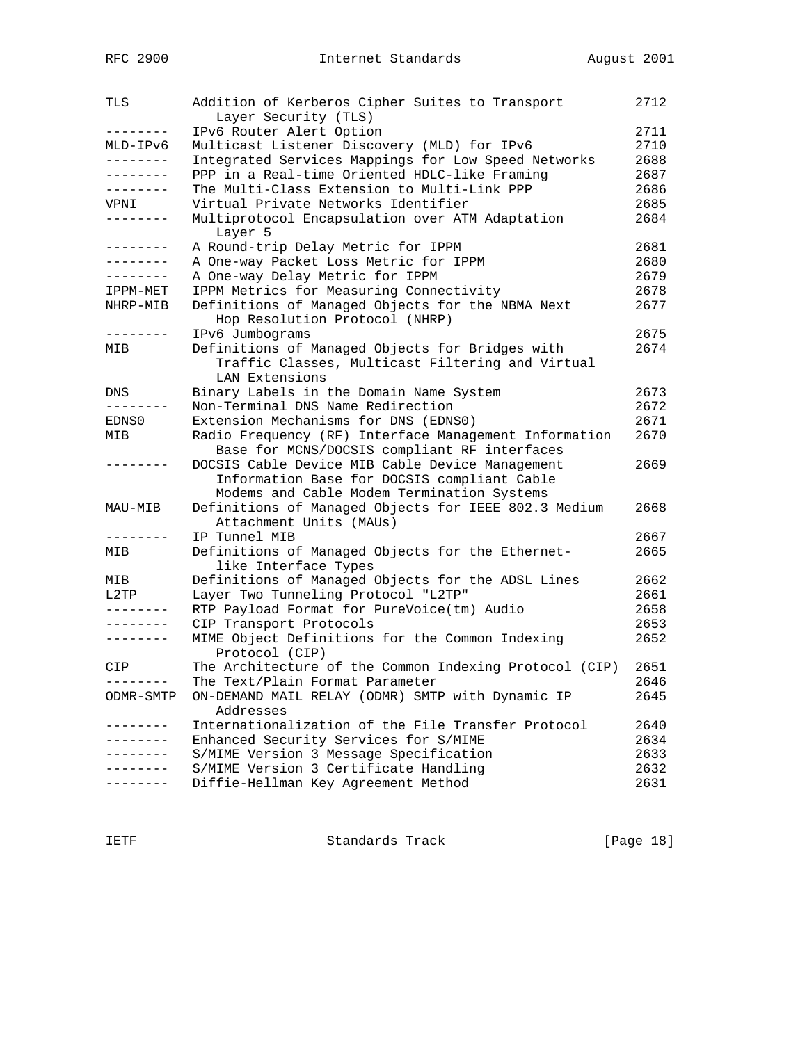| TLS             | Addition of Kerberos Cipher Suites to Transport<br>Layer Security (TLS) | 2712 |
|-----------------|-------------------------------------------------------------------------|------|
|                 |                                                                         |      |
| --------        | IPv6 Router Alert Option                                                | 2711 |
| MLD-IPv6        | Multicast Listener Discovery (MLD) for IPv6                             | 2710 |
| --------        | Integrated Services Mappings for Low Speed Networks                     | 2688 |
| --------        | PPP in a Real-time Oriented HDLC-like Framing                           | 2687 |
| --------        | The Multi-Class Extension to Multi-Link PPP                             | 2686 |
| VPNI            | Virtual Private Networks Identifier                                     | 2685 |
| --------        | Multiprotocol Encapsulation over ATM Adaptation<br>Layer 5              | 2684 |
| --------        | A Round-trip Delay Metric for IPPM                                      | 2681 |
| --------        | A One-way Packet Loss Metric for IPPM                                   | 2680 |
|                 | A One-way Delay Metric for IPPM                                         | 2679 |
| IPPM-MET        | IPPM Metrics for Measuring Connectivity                                 | 2678 |
| NHRP-MIB        | Definitions of Managed Objects for the NBMA Next                        | 2677 |
|                 | Hop Resolution Protocol (NHRP)                                          |      |
| --------        | IPv6 Jumbograms                                                         | 2675 |
| MIB             | Definitions of Managed Objects for Bridges with                         | 2674 |
|                 | Traffic Classes, Multicast Filtering and Virtual                        |      |
|                 | LAN Extensions                                                          |      |
| DNS             | Binary Labels in the Domain Name System                                 | 2673 |
|                 | Non-Terminal DNS Name Redirection                                       | 2672 |
| EDNS0           | Extension Mechanisms for DNS (EDNS0)                                    | 2671 |
| MIB             | Radio Frequency (RF) Interface Management Information                   | 2670 |
|                 | Base for MCNS/DOCSIS compliant RF interfaces                            |      |
|                 | DOCSIS Cable Device MIB Cable Device Management                         | 2669 |
|                 | Information Base for DOCSIS compliant Cable                             |      |
|                 | Modems and Cable Modem Termination Systems                              |      |
| MAU-MIB         | Definitions of Managed Objects for IEEE 802.3 Medium                    | 2668 |
|                 | Attachment Units (MAUs)                                                 |      |
| . <u>.</u> .    | IP Tunnel MIB                                                           | 2667 |
| MIB             | Definitions of Managed Objects for the Ethernet-                        | 2665 |
|                 | like Interface Types                                                    |      |
| MIB             | Definitions of Managed Objects for the ADSL Lines                       | 2662 |
| L2TP            | Layer Two Tunneling Protocol "L2TP"                                     | 2661 |
|                 | RTP Payload Format for PureVoice(tm) Audio                              | 2658 |
|                 | CIP Transport Protocols                                                 | 2653 |
|                 | MIME Object Definitions for the Common Indexing                         | 2652 |
|                 | Protocol (CIP)                                                          |      |
| CIP.            | The Architecture of the Common Indexing Protocol (CIP)                  | 2651 |
|                 |                                                                         | 2646 |
|                 | The Text/Plain Format Parameter                                         |      |
| ODMR-SMTP       | ON-DEMAND MAIL RELAY (ODMR) SMTP with Dynamic IP<br>Addresses           | 2645 |
|                 | Internationalization of the File Transfer Protocol                      | 2640 |
| . - - - - - - - | Enhanced Security Services for S/MIME                                   | 2634 |
| . – – – – – – – | S/MIME Version 3 Message Specification                                  | 2633 |
|                 | S/MIME Version 3 Certificate Handling                                   | 2632 |
|                 | Diffie-Hellman Key Agreement Method                                     | 2631 |

IETF Standards Track [Page 18]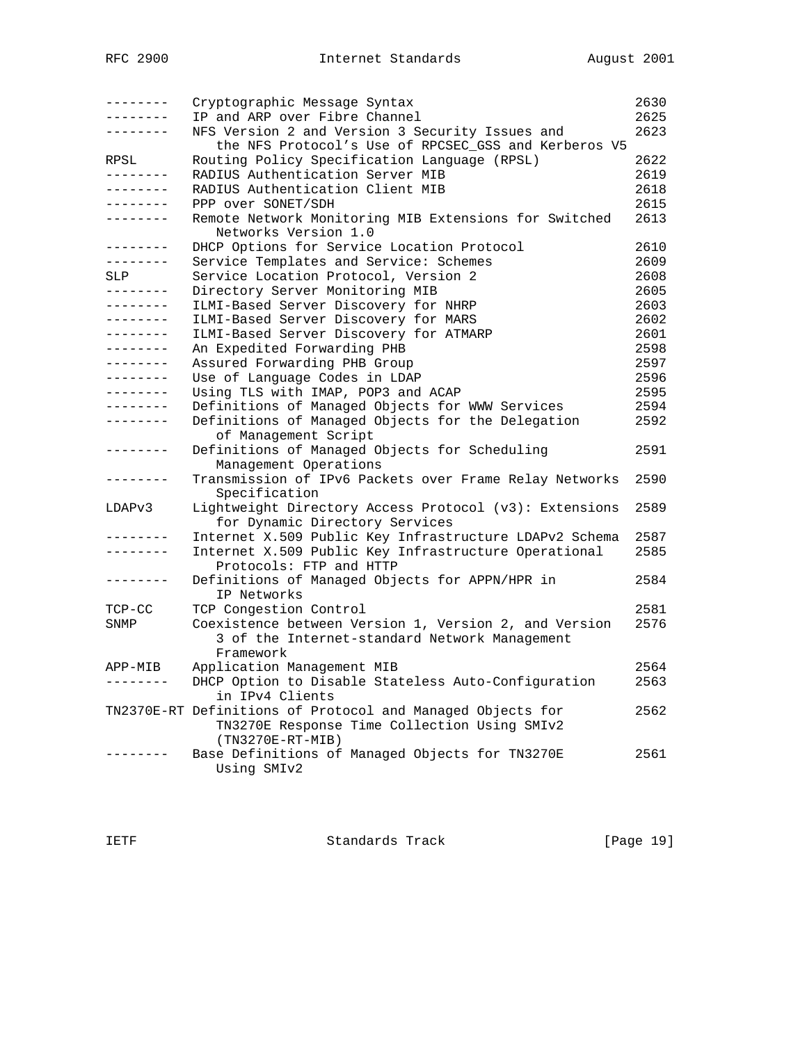| --------<br>-------- | Cryptographic Message Syntax<br>IP and ARP over Fibre Channel                    | 2630<br>2625 |
|----------------------|----------------------------------------------------------------------------------|--------------|
| -------              | NFS Version 2 and Version 3 Security Issues and                                  | 2623         |
|                      | the NFS Protocol's Use of RPCSEC_GSS and Kerberos V5                             |              |
| RPSL<br>---------    | Routing Policy Specification Language (RPSL)<br>RADIUS Authentication Server MIB | 2622         |
| --------             | RADIUS Authentication Client MIB                                                 | 2619<br>2618 |
| --------             | PPP over SONET/SDH                                                               | 2615         |
| .                    | Remote Network Monitoring MIB Extensions for Switched                            | 2613         |
|                      | Networks Version 1.0                                                             |              |
| --------             | DHCP Options for Service Location Protocol                                       | 2610         |
| --------             | Service Templates and Service: Schemes                                           | 2609         |
| SLP                  | Service Location Protocol, Version 2                                             | 2608         |
| - - - - - - - -      | Directory Server Monitoring MIB                                                  | 2605         |
| . <u>.</u> .         | ILMI-Based Server Discovery for NHRP                                             | 2603         |
| . _ _ _ _ _ _ _      | ILMI-Based Server Discovery for MARS                                             | 2602         |
| --------             | ILMI-Based Server Discovery for ATMARP                                           | 2601         |
| --------             | An Expedited Forwarding PHB                                                      | 2598         |
| ---------            | Assured Forwarding PHB Group                                                     | 2597         |
| --------             | Use of Language Codes in LDAP                                                    | 2596         |
| --------             | Using TLS with IMAP, POP3 and ACAP                                               | 2595         |
| --------             | Definitions of Managed Objects for WWW Services                                  | 2594         |
| --------             | Definitions of Managed Objects for the Delegation<br>of Management Script        | 2592         |
| --------             | Definitions of Managed Objects for Scheduling                                    | 2591         |
|                      | Management Operations                                                            |              |
|                      | Transmission of IPv6 Packets over Frame Relay Networks<br>Specification          | 2590         |
| LDAPv3               | Lightweight Directory Access Protocol (v3): Extensions                           | 2589         |
|                      | for Dynamic Directory Services                                                   |              |
| -------              | Internet X.509 Public Key Infrastructure LDAPv2 Schema                           | 2587         |
| --------             | Internet X.509 Public Key Infrastructure Operational<br>Protocols: FTP and HTTP  | 2585         |
| --------             | Definitions of Managed Objects for APPN/HPR in                                   | 2584         |
|                      | IP Networks                                                                      |              |
| $TCP-CC$             | TCP Congestion Control                                                           | 2581         |
| SNMP                 | Coexistence between Version 1, Version 2, and Version                            | 2576         |
|                      | 3 of the Internet-standard Network Management                                    |              |
|                      | Framework                                                                        |              |
| APP-MIB              | Application Management MIB                                                       | 2564         |
|                      | DHCP Option to Disable Stateless Auto-Configuration<br>in IPv4 Clients           | 2563         |
|                      | TN2370E-RT Definitions of Protocol and Managed Objects for                       | 2562         |
|                      | TN3270E Response Time Collection Using SMIv2<br>$(TN3270E-RT-MIB)$               |              |
|                      | Base Definitions of Managed Objects for TN3270E                                  | 2561         |
|                      | Using SMIv2                                                                      |              |
|                      |                                                                                  |              |

IETF Standards Track [Page 19]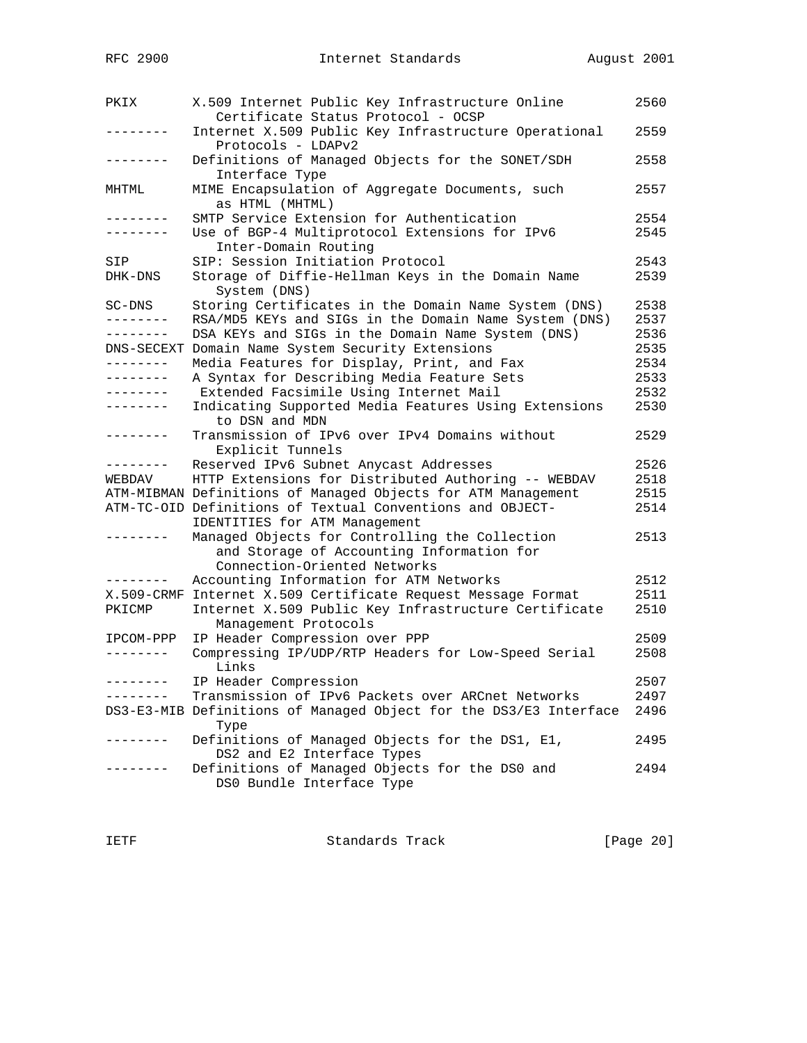| PKIX              | X.509 Internet Public Key Infrastructure Online<br>Certificate Status Protocol - OCSP                                       | 2560 |
|-------------------|-----------------------------------------------------------------------------------------------------------------------------|------|
|                   | Internet X.509 Public Key Infrastructure Operational<br>Protocols - LDAPv2                                                  | 2559 |
|                   | Definitions of Managed Objects for the SONET/SDH<br>Interface Type                                                          | 2558 |
| MHTML             | MIME Encapsulation of Aggregate Documents, such<br>as HTML (MHTML)                                                          | 2557 |
| --------          | SMTP Service Extension for Authentication                                                                                   | 2554 |
| --------          | Use of BGP-4 Multiprotocol Extensions for IPv6<br>Inter-Domain Routing                                                      | 2545 |
| SIP               | SIP: Session Initiation Protocol                                                                                            | 2543 |
| DHK-DNS           | Storage of Diffie-Hellman Keys in the Domain Name<br>System (DNS)                                                           | 2539 |
| SC-DNS            | Storing Certificates in the Domain Name System (DNS)                                                                        | 2538 |
|                   | RSA/MD5 KEYs and SIGs in the Domain Name System (DNS)                                                                       | 2537 |
| --------          | DSA KEYs and SIGs in the Domain Name System (DNS)                                                                           | 2536 |
| DNS-SECEXT        | Domain Name System Security Extensions                                                                                      | 2535 |
| --------          | Media Features for Display, Print, and Fax                                                                                  | 2534 |
| --------          | A Syntax for Describing Media Feature Sets                                                                                  | 2533 |
| --------          | Extended Facsimile Using Internet Mail                                                                                      | 2532 |
| - - - - - - - - - | Indicating Supported Media Features Using Extensions<br>to DSN and MDN                                                      | 2530 |
| --------          | Transmission of IPv6 over IPv4 Domains without<br>Explicit Tunnels                                                          | 2529 |
| --------          | Reserved IPv6 Subnet Anycast Addresses                                                                                      | 2526 |
| WEBDAV            | HTTP Extensions for Distributed Authoring -- WEBDAV                                                                         | 2518 |
|                   | ATM-MIBMAN Definitions of Managed Objects for ATM Management                                                                | 2515 |
|                   | ATM-TC-OID Definitions of Textual Conventions and OBJECT-<br>IDENTITIES for ATM Management                                  | 2514 |
|                   | Managed Objects for Controlling the Collection<br>and Storage of Accounting Information for<br>Connection-Oriented Networks | 2513 |
| -------           | Accounting Information for ATM Networks                                                                                     | 2512 |
|                   | X.509-CRMF Internet X.509 Certificate Request Message Format                                                                | 2511 |
| PKICMP            | Internet X.509 Public Key Infrastructure Certificate<br>Management Protocols                                                | 2510 |
| IPCOM-PPP         | IP Header Compression over PPP                                                                                              | 2509 |
| --------          | Compressing IP/UDP/RTP Headers for Low-Speed Serial<br>Links                                                                | 2508 |
| --------          | IP Header Compression                                                                                                       | 2507 |
|                   | Transmission of IPv6 Packets over ARCnet Networks                                                                           | 2497 |
|                   | DS3-E3-MIB Definitions of Managed Object for the DS3/E3 Interface<br>Type                                                   | 2496 |
|                   | Definitions of Managed Objects for the DS1, E1,<br>DS2 and E2 Interface Types                                               | 2495 |
|                   | Definitions of Managed Objects for the DS0 and<br>DS0 Bundle Interface Type                                                 | 2494 |

IETF Standards Track [Page 20]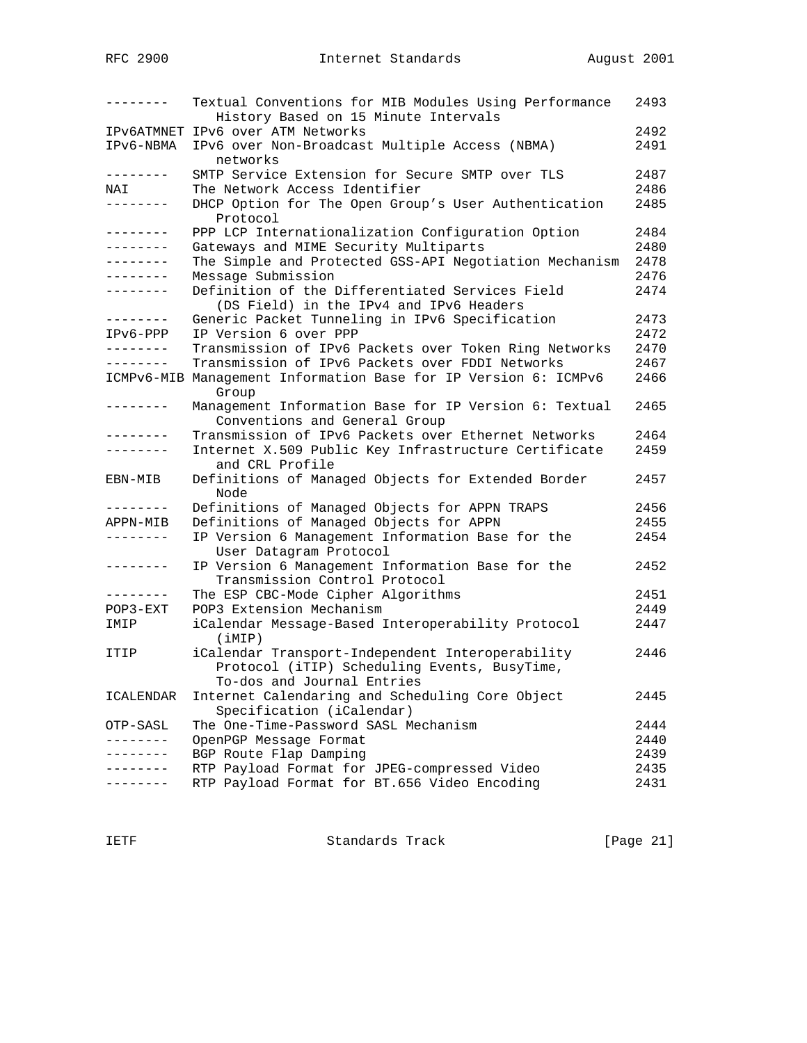| -------             | Textual Conventions for MIB Modules Using Performance<br>History Based on 15 Minute Intervals                                  | 2493 |
|---------------------|--------------------------------------------------------------------------------------------------------------------------------|------|
|                     | IPV6ATMNET IPV6 over ATM Networks                                                                                              | 2492 |
| IPv6-NBMA           | IPv6 over Non-Broadcast Multiple Access (NBMA)<br>networks                                                                     | 2491 |
| --------            | SMTP Service Extension for Secure SMTP over TLS                                                                                | 2487 |
| NAI                 | The Network Access Identifier                                                                                                  | 2486 |
| --------            | DHCP Option for The Open Group's User Authentication<br>Protocol                                                               | 2485 |
| --------            | PPP LCP Internationalization Configuration Option                                                                              | 2484 |
| ---------           | Gateways and MIME Security Multiparts                                                                                          | 2480 |
| --------            | The Simple and Protected GSS-API Negotiation Mechanism                                                                         | 2478 |
| .                   | Message Submission                                                                                                             | 2476 |
| . <u>.</u>          | Definition of the Differentiated Services Field<br>(DS Field) in the IPv4 and IPv6 Headers                                     | 2474 |
| --------            | Generic Packet Tunneling in IPv6 Specification                                                                                 | 2473 |
| $IPv6-PPP$          | IP Version 6 over PPP                                                                                                          | 2472 |
| --------            | Transmission of IPv6 Packets over Token Ring Networks                                                                          | 2470 |
| --------            | Transmission of IPv6 Packets over FDDI Networks                                                                                | 2467 |
|                     | ICMPv6-MIB Management Information Base for IP Version 6: ICMPv6<br>Group                                                       | 2466 |
| -------             | Management Information Base for IP Version 6: Textual<br>Conventions and General Group                                         | 2465 |
| .                   | Transmission of IPv6 Packets over Ethernet Networks                                                                            | 2464 |
| -------             | Internet X.509 Public Key Infrastructure Certificate<br>and CRL Profile                                                        | 2459 |
| EBN-MIB             | Definitions of Managed Objects for Extended Border<br>Node                                                                     | 2457 |
| --------            | Definitions of Managed Objects for APPN TRAPS                                                                                  | 2456 |
| APPN-MIB            | Definitions of Managed Objects for APPN                                                                                        | 2455 |
| --------            | IP Version 6 Management Information Base for the<br>User Datagram Protocol                                                     | 2454 |
| --------            | IP Version 6 Management Information Base for the<br>Transmission Control Protocol                                              | 2452 |
| --------            | The ESP CBC-Mode Cipher Algorithms                                                                                             | 2451 |
| $POP3 - EXT$        | POP3 Extension Mechanism                                                                                                       | 2449 |
| IMIP                | iCalendar Message-Based Interoperability Protocol<br>(iMIP)                                                                    | 2447 |
| ITIP                | iCalendar Transport-Independent Interoperability<br>Protocol (iTIP) Scheduling Events, BusyTime,<br>To-dos and Journal Entries | 2446 |
| ICALENDAR           | Internet Calendaring and Scheduling Core Object<br>Specification (iCalendar)                                                   | 2445 |
| OTP-SASL            | The One-Time-Password SASL Mechanism                                                                                           | 2444 |
| $- - - - - - - - -$ | OpenPGP Message Format                                                                                                         | 2440 |
| -------             | BGP Route Flap Damping                                                                                                         | 2439 |
|                     | RTP Payload Format for JPEG-compressed Video                                                                                   | 2435 |
| .                   | RTP Payload Format for BT.656 Video Encoding                                                                                   | 2431 |
|                     |                                                                                                                                |      |

IETF Standards Track [Page 21]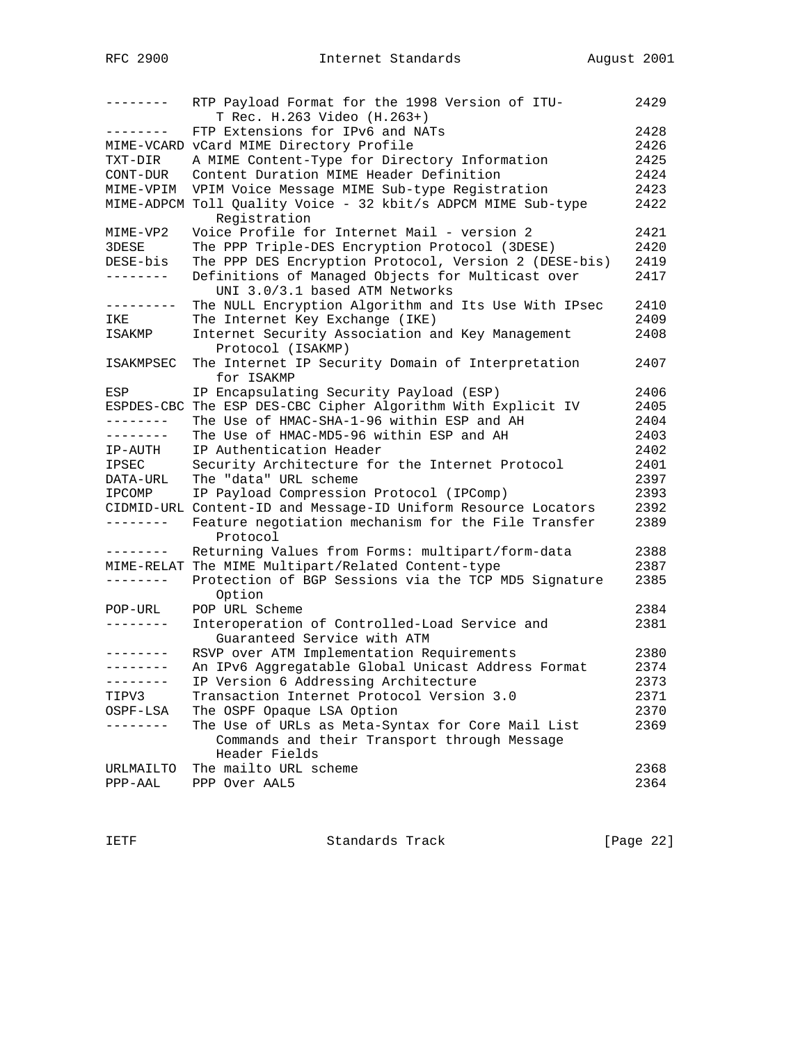| --------          | RTP Payload Format for the 1998 Version of ITU-<br>T Rec. H.263 Video (H.263+) | 2429 |
|-------------------|--------------------------------------------------------------------------------|------|
| --------          | FTP Extensions for IPv6 and NATs                                               | 2428 |
|                   | MIME-VCARD vCard MIME Directory Profile                                        | 2426 |
| TXT-DIR           | A MIME Content-Type for Directory Information                                  | 2425 |
| CONT-DUR          | Content Duration MIME Header Definition                                        | 2424 |
| MIME-VPIM         | VPIM Voice Message MIME Sub-type Registration                                  | 2423 |
|                   | MIME-ADPCM Toll Quality Voice - 32 kbit/s ADPCM MIME Sub-type                  | 2422 |
|                   | Registration                                                                   |      |
| MIME-VP2          | Voice Profile for Internet Mail - version 2                                    | 2421 |
| 3DESE             | The PPP Triple-DES Encryption Protocol (3DESE)                                 | 2420 |
| DESE-bis          | The PPP DES Encryption Protocol, Version 2 (DESE-bis)                          | 2419 |
| .                 | Definitions of Managed Objects for Multicast over                              | 2417 |
|                   | UNI 3.0/3.1 based ATM Networks                                                 |      |
|                   | The NULL Encryption Algorithm and Its Use With IPsec                           | 2410 |
| IKE               | The Internet Key Exchange (IKE)                                                | 2409 |
| ISAKMP            | Internet Security Association and Key Management                               | 2408 |
|                   | Protocol (ISAKMP)                                                              |      |
| ISAKMPSEC         | The Internet IP Security Domain of Interpretation                              | 2407 |
|                   | for ISAKMP                                                                     |      |
| ESP               | IP Encapsulating Security Payload (ESP)                                        | 2406 |
| ESPDES-CBC        | The ESP DES-CBC Cipher Algorithm With Explicit IV                              | 2405 |
| --------          | The Use of HMAC-SHA-1-96 within ESP and AH                                     | 2404 |
| $- - - - - - - -$ | The Use of HMAC-MD5-96 within ESP and AH                                       | 2403 |
| IP-AUTH           | IP Authentication Header                                                       | 2402 |
| IPSEC             | Security Architecture for the Internet Protocol                                | 2401 |
| DATA-URL          | The "data" URL scheme                                                          | 2397 |
| IPCOMP            | IP Payload Compression Protocol (IPComp)                                       | 2393 |
|                   | CIDMID-URL Content-ID and Message-ID Uniform Resource Locators                 | 2392 |
| --------          | Feature negotiation mechanism for the File Transfer<br>Protocol                | 2389 |
| . <i>.</i> .      | Returning Values from Forms: multipart/form-data                               | 2388 |
|                   | MIME-RELAT The MIME Multipart/Related Content-type                             | 2387 |
| --------          | Protection of BGP Sessions via the TCP MD5 Signature<br>Option                 | 2385 |
| POP-URL           | POP URL Scheme                                                                 | 2384 |
| $- - - - - - -$   | Interoperation of Controlled-Load Service and                                  | 2381 |
|                   | Guaranteed Service with ATM                                                    |      |
| --------          | RSVP over ATM Implementation Requirements                                      | 2380 |
| $- - - - - - - -$ | An IPv6 Aggregatable Global Unicast Address Format                             | 2374 |
| --------          | IP Version 6 Addressing Architecture                                           | 2373 |
| TIPV3             | Transaction Internet Protocol Version 3.0                                      | 2371 |
| OSPF-LSA          | The OSPF Opaque LSA Option                                                     | 2370 |
|                   | The Use of URLs as Meta-Syntax for Core Mail List                              | 2369 |
|                   | Commands and their Transport through Message                                   |      |
|                   | Header Fields                                                                  |      |
| URLMAILTO         | The mailto URL scheme                                                          | 2368 |
| PPP-AAL           | PPP Over AAL5                                                                  | 2364 |

IETF Standards Track [Page 22]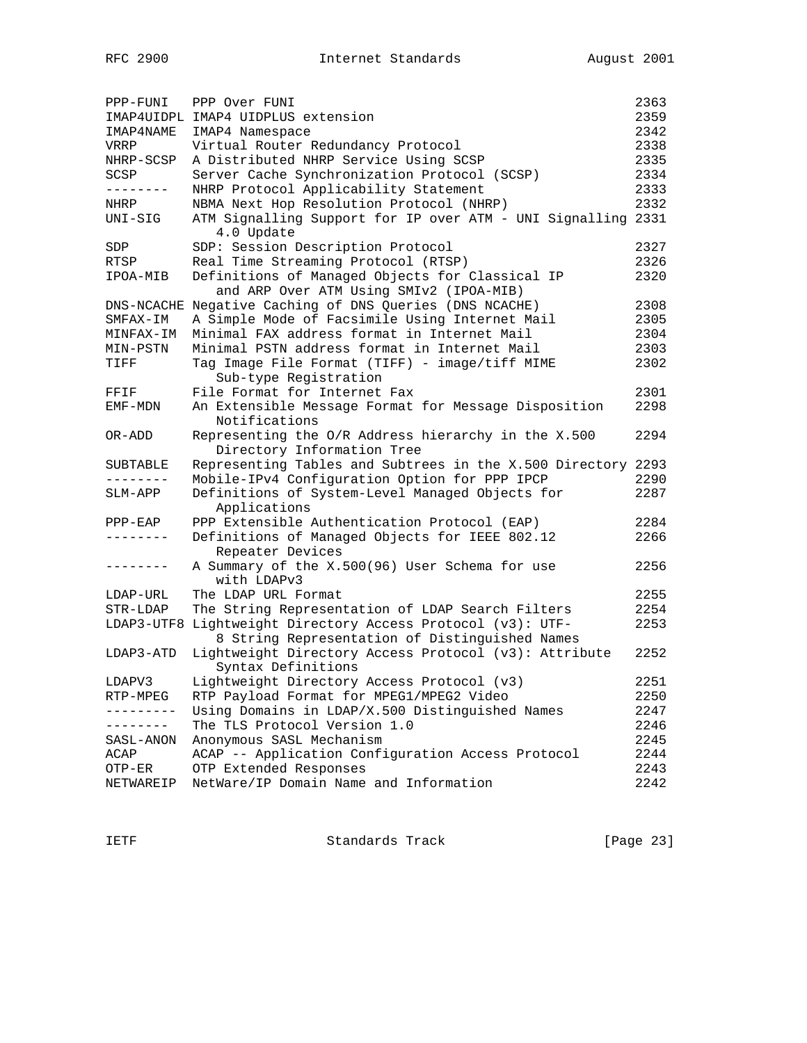| PPP-FUNI   | PPP Over FUNI                                                                                      | 2363 |
|------------|----------------------------------------------------------------------------------------------------|------|
|            | IMAP4UIDPL IMAP4 UIDPLUS extension                                                                 | 2359 |
| IMAP4NAME  | IMAP4 Namespace                                                                                    | 2342 |
| VRRP       | Virtual Router Redundancy Protocol                                                                 | 2338 |
| NHRP-SCSP  | A Distributed NHRP Service Using SCSP                                                              | 2335 |
| SCSP       | Server Cache Synchronization Protocol (SCSP)                                                       | 2334 |
|            | NHRP Protocol Applicability Statement                                                              | 2333 |
| NHRP       | NBMA Next Hop Resolution Protocol (NHRP)                                                           | 2332 |
| UNI-SIG    | ATM Signalling Support for IP over ATM - UNI Signalling 2331<br>4.0 Update                         |      |
| SDP        | SDP: Session Description Protocol                                                                  | 2327 |
| RTSP       | Real Time Streaming Protocol (RTSP)                                                                | 2326 |
| IPOA-MIB   | Definitions of Managed Objects for Classical IP<br>and ARP Over ATM Using SMIv2 (IPOA-MIB)         | 2320 |
|            | DNS-NCACHE Negative Caching of DNS Queries (DNS NCACHE)                                            | 2308 |
| SMFAX-IM   | A Simple Mode of Facsimile Using Internet Mail                                                     | 2305 |
| MINFAX-IM  | Minimal FAX address format in Internet Mail                                                        | 2304 |
| MIN-PSTN   | Minimal PSTN address format in Internet Mail                                                       | 2303 |
| TIFF       | Tag Image File Format (TIFF) - image/tiff MIME<br>Sub-type Registration                            | 2302 |
| FFIF       | File Format for Internet Fax                                                                       | 2301 |
| EMF-MDN    | An Extensible Message Format for Message Disposition<br>Notifications                              | 2298 |
| OR-ADD     | Representing the O/R Address hierarchy in the X.500<br>Directory Information Tree                  | 2294 |
| SUBTABLE   | Representing Tables and Subtrees in the X.500 Directory 2293                                       |      |
|            | Mobile-IPv4 Configuration Option for PPP IPCP                                                      | 2290 |
| SLM-APP    | Definitions of System-Level Managed Objects for<br>Applications                                    | 2287 |
| $PPP-ERP$  | PPP Extensible Authentication Protocol (EAP)                                                       | 2284 |
| --------   | Definitions of Managed Objects for IEEE 802.12<br>Repeater Devices                                 | 2266 |
| --------   | A Summary of the X.500(96) User Schema for use<br>with LDAPv3                                      | 2256 |
| LDAP-URL   | The LDAP URL Format                                                                                | 2255 |
| STR-LDAP   | The String Representation of LDAP Search Filters                                                   | 2254 |
| LDAP3-UTF8 | Lightweight Directory Access Protocol (v3): UTF-<br>8 String Representation of Distinguished Names | 2253 |
| LDAP3-ATD  | Lightweight Directory Access Protocol (v3): Attribute<br>Syntax Definitions                        | 2252 |
| LDAPV3     | Lightweight Directory Access Protocol (v3)                                                         | 2251 |
| RTP-MPEG   | RTP Payload Format for MPEG1/MPEG2 Video                                                           | 2250 |
| ---------  | Using Domains in LDAP/X.500 Distinguished Names                                                    | 2247 |
| --------   | The TLS Protocol Version 1.0                                                                       | 2246 |
| SASL-ANON  | Anonymous SASL Mechanism                                                                           | 2245 |
| ACAP       | ACAP -- Application Configuration Access Protocol                                                  | 2244 |
| OTP-ER     | OTP Extended Responses                                                                             | 2243 |
| NETWAREIP  | NetWare/IP Domain Name and Information                                                             | 2242 |

IETF Standards Track [Page 23]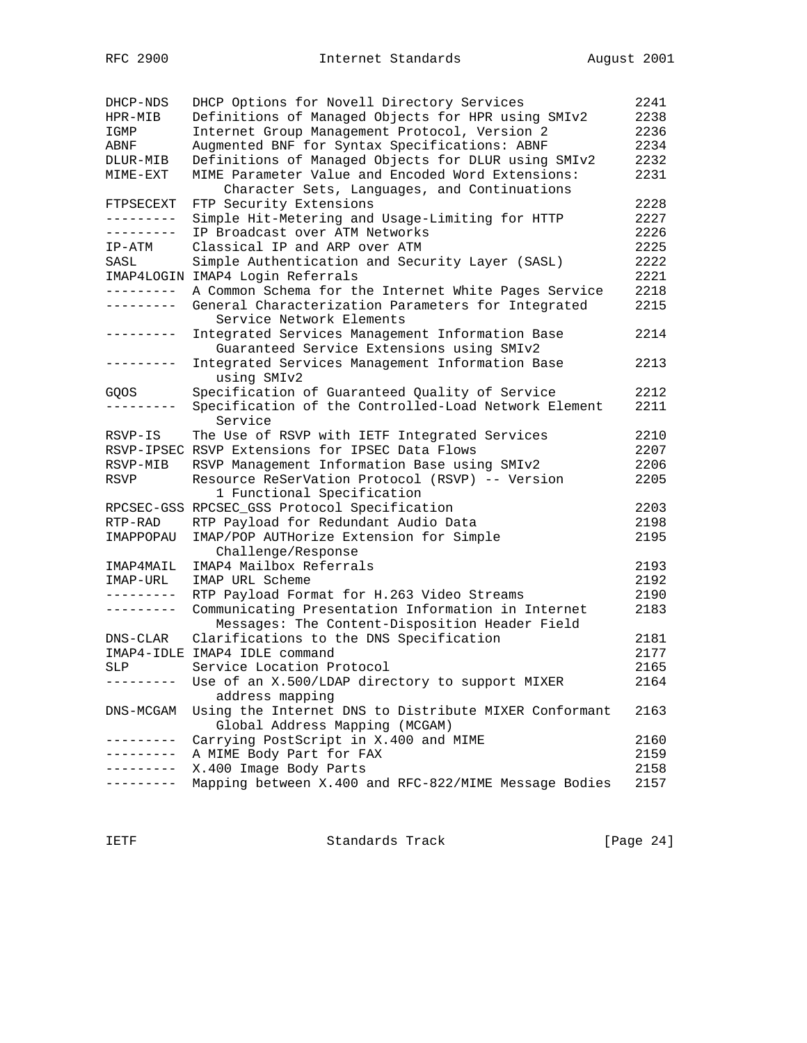| DHCP-NDS            | DHCP Options for Novell Directory Services            | 2241 |
|---------------------|-------------------------------------------------------|------|
| HPR-MIB             | Definitions of Managed Objects for HPR using SMIv2    | 2238 |
| IGMP                | Internet Group Management Protocol, Version 2         | 2236 |
| ABNF                | Augmented BNF for Syntax Specifications: ABNF         | 2234 |
| DLUR-MIB            | Definitions of Managed Objects for DLUR using SMIv2   | 2232 |
| MIME-EXT            | MIME Parameter Value and Encoded Word Extensions:     | 2231 |
|                     | Character Sets, Languages, and Continuations          |      |
| FTPSECEXT           | FTP Security Extensions                               | 2228 |
| ----------          | Simple Hit-Metering and Usage-Limiting for HTTP       | 2227 |
| ---------           | IP Broadcast over ATM Networks                        | 2226 |
| IP-ATM              | Classical IP and ARP over ATM                         | 2225 |
| SASL                | Simple Authentication and Security Layer (SASL)       | 2222 |
|                     | IMAP4LOGIN IMAP4 Login Referrals                      | 2221 |
| .                   | A Common Schema for the Internet White Pages Service  | 2218 |
| ---------           | General Characterization Parameters for Integrated    | 2215 |
|                     | Service Network Elements                              |      |
| .                   | Integrated Services Management Information Base       | 2214 |
|                     | Guaranteed Service Extensions using SMIv2             |      |
| ---------           | Integrated Services Management Information Base       | 2213 |
|                     | using SMIv2                                           |      |
| GQOS                | Specification of Guaranteed Quality of Service        | 2212 |
| $- - - - - - - - -$ | Specification of the Controlled-Load Network Element  | 2211 |
|                     | Service                                               |      |
| RSVP-IS             | The Use of RSVP with IETF Integrated Services         | 2210 |
|                     | RSVP-IPSEC RSVP Extensions for IPSEC Data Flows       | 2207 |
| RSVP-MIB            | RSVP Management Information Base using SMIv2          | 2206 |
| RSVP                | Resource ReSerVation Protocol (RSVP) -- Version       | 2205 |
|                     | 1 Functional Specification                            |      |
|                     | RPCSEC-GSS RPCSEC_GSS Protocol Specification          | 2203 |
| RTP-RAD             | RTP Payload for Redundant Audio Data                  | 2198 |
| IMAPPOPAU           | IMAP/POP AUTHorize Extension for Simple               | 2195 |
|                     | Challenge/Response                                    |      |
| IMAP4MAIL           | IMAP4 Mailbox Referrals                               | 2193 |
| IMAP-URL            | IMAP URL Scheme                                       | 2192 |
| ---------           | RTP Payload Format for H.263 Video Streams            | 2190 |
| ---------           | Communicating Presentation Information in Internet    | 2183 |
|                     | Messages: The Content-Disposition Header Field        |      |
| DNS-CLAR            | Clarifications to the DNS Specification               | 2181 |
|                     | IMAP4-IDLE IMAP4 IDLE command                         | 2177 |
| SLP                 | Service Location Protocol                             | 2165 |
| ----------          | Use of an X.500/LDAP directory to support MIXER       | 2164 |
|                     | address mapping                                       |      |
| DNS-MCGAM           | Using the Internet DNS to Distribute MIXER Conformant | 2163 |
|                     | Global Address Mapping (MCGAM)                        |      |
|                     | Carrying PostScript in X.400 and MIME                 | 2160 |
|                     | A MIME Body Part for FAX                              | 2159 |
|                     | X.400 Image Body Parts                                | 2158 |
|                     | Mapping between X.400 and RFC-822/MIME Message Bodies | 2157 |
|                     |                                                       |      |

IETF Standards Track [Page 24]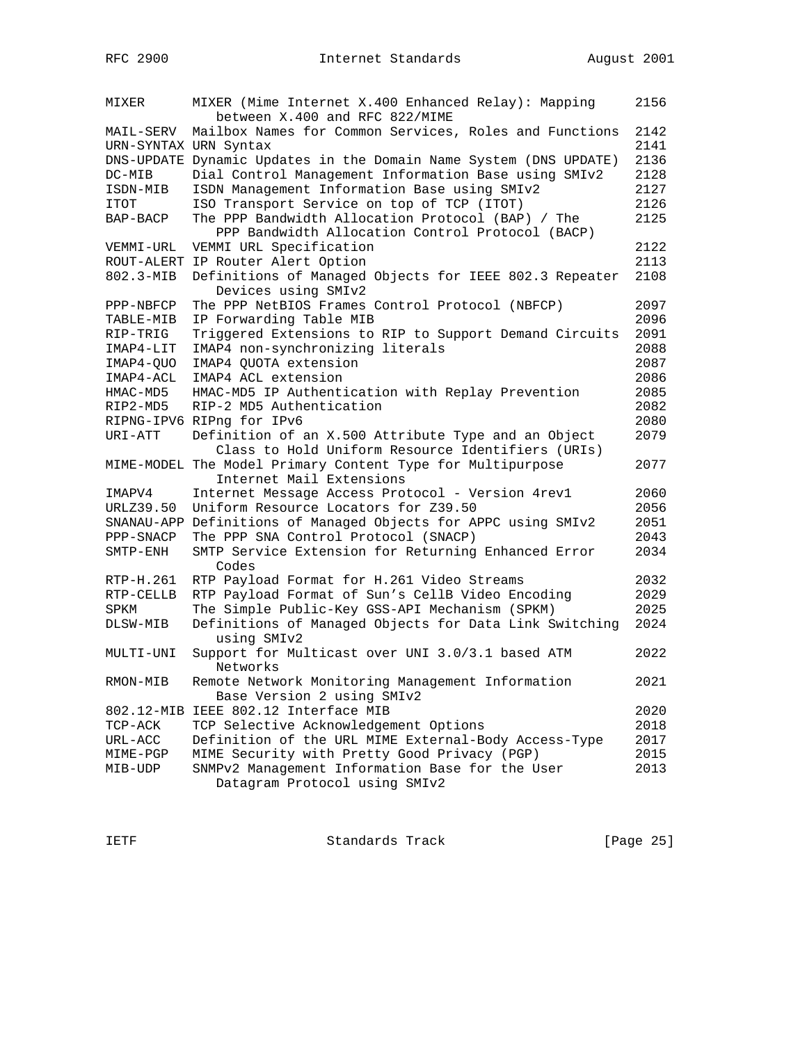| MIXER                              | MIXER (Mime Internet X.400 Enhanced Relay): Mapping<br>between X.400 and RFC 822/MIME                 | 2156         |
|------------------------------------|-------------------------------------------------------------------------------------------------------|--------------|
| MAIL-SERV<br>URN-SYNTAX URN Syntax | Mailbox Names for Common Services, Roles and Functions                                                | 2142<br>2141 |
|                                    | DNS-UPDATE Dynamic Updates in the Domain Name System (DNS UPDATE)                                     | 2136         |
| DC-MIB                             | Dial Control Management Information Base using SMIv2                                                  | 2128         |
| ISDN-MIB                           | ISDN Management Information Base using SMIv2                                                          | 2127         |
| ITOT                               | ISO Transport Service on top of TCP (ITOT)                                                            | 2126         |
| BAP-BACP                           | The PPP Bandwidth Allocation Protocol (BAP) / The<br>PPP Bandwidth Allocation Control Protocol (BACP) | 2125         |
| VEMMI-URL                          | VEMMI URL Specification                                                                               | 2122         |
|                                    | ROUT-ALERT IP Router Alert Option                                                                     | 2113         |
| 802.3-MIB                          | Definitions of Managed Objects for IEEE 802.3 Repeater<br>Devices using SMIv2                         | 2108         |
| PPP-NBFCP                          | The PPP NetBIOS Frames Control Protocol (NBFCP)                                                       | 2097         |
| TABLE-MIB                          | IP Forwarding Table MIB                                                                               | 2096         |
| RIP-TRIG                           | Triggered Extensions to RIP to Support Demand Circuits                                                | 2091         |
| IMAP4-LIT                          | IMAP4 non-synchronizing literals                                                                      | 2088         |
| IMAP4-QUO                          | IMAP4 QUOTA extension                                                                                 | 2087         |
| IMAP4-ACL                          | IMAP4 ACL extension                                                                                   | 2086         |
| HMAC-MD5                           | HMAC-MD5 IP Authentication with Replay Prevention                                                     | 2085         |
| RIP2-MD5                           | RIP-2 MD5 Authentication                                                                              | 2082         |
|                                    | RIPNG-IPV6 RIPng for IPv6                                                                             | 2080         |
| URI-ATT                            | Definition of an X.500 Attribute Type and an Object                                                   | 2079         |
|                                    | Class to Hold Uniform Resource Identifiers (URIs)                                                     |              |
|                                    | MIME-MODEL The Model Primary Content Type for Multipurpose                                            | 2077         |
|                                    | Internet Mail Extensions                                                                              |              |
| IMAPV4                             | Internet Message Access Protocol - Version 4rev1                                                      | 2060         |
| URLZ39.50                          | Uniform Resource Locators for Z39.50                                                                  | 2056         |
| SNANAU-APP                         | Definitions of Managed Objects for APPC using SMIv2                                                   | 2051         |
| PPP-SNACP                          | The PPP SNA Control Protocol (SNACP)                                                                  | 2043         |
| $SMTP$ - $ENH$                     | SMTP Service Extension for Returning Enhanced Error<br>Codes                                          | 2034         |
| RTP-H.261                          | RTP Payload Format for H.261 Video Streams                                                            | 2032         |
| RTP-CELLB                          | RTP Payload Format of Sun's CellB Video Encoding                                                      | 2029         |
| SPKM                               | The Simple Public-Key GSS-API Mechanism (SPKM)                                                        | 2025         |
| DLSW-MIB                           | Definitions of Managed Objects for Data Link Switching<br>using SMIv2                                 | 2024         |
| MULTI-UNI                          | Support for Multicast over UNI 3.0/3.1 based ATM<br>Networks                                          | 2022         |
| RMON-MIB                           | Remote Network Monitoring Management Information<br>Base Version 2 using SMIv2                        | 2021         |
|                                    | 802.12-MIB IEEE 802.12 Interface MIB                                                                  | 2020         |
| TCP-ACK                            | TCP Selective Acknowledgement Options                                                                 | 2018         |
| URL-ACC                            | Definition of the URL MIME External-Body Access-Type                                                  | 2017         |
| MIME-PGP                           | MIME Security with Pretty Good Privacy (PGP)                                                          | 2015         |
| MIB-UDP                            | SNMPv2 Management Information Base for the User<br>Datagram Protocol using SMIv2                      | 2013         |

IETF Standards Track [Page 25]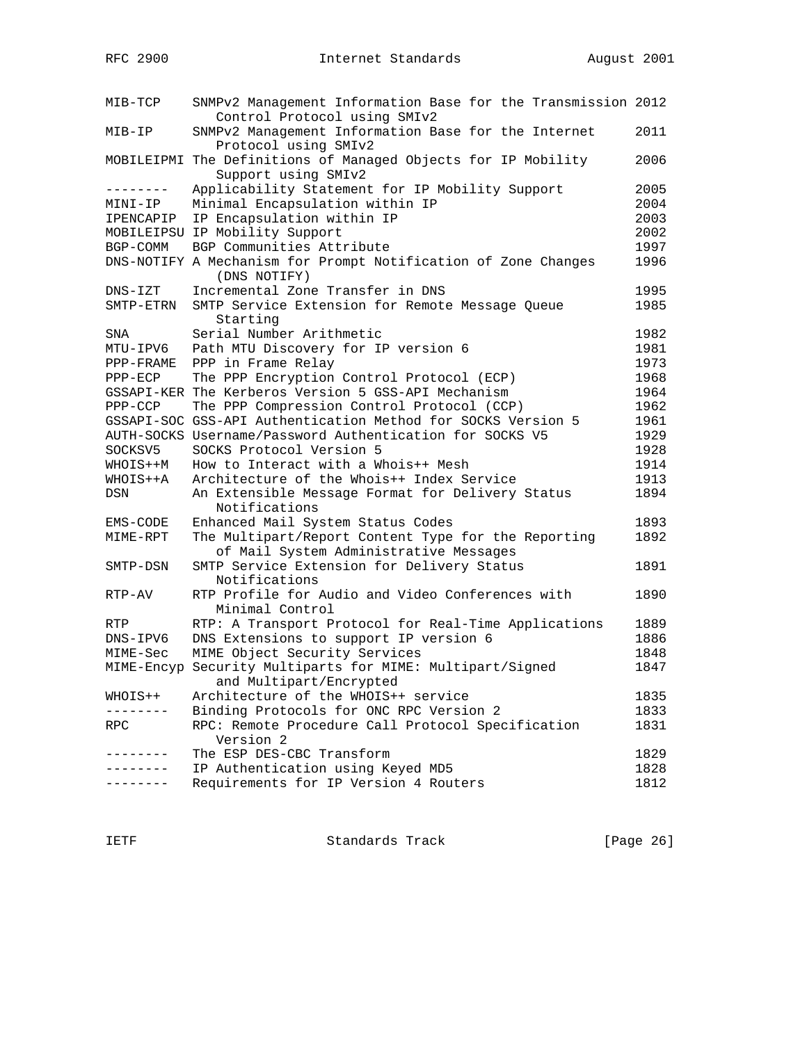| MIB-TCP     | SNMPv2 Management Information Base for the Transmission 2012<br>Control Protocol using SMIv2  |      |
|-------------|-----------------------------------------------------------------------------------------------|------|
| MIB-IP      | SNMPv2 Management Information Base for the Internet<br>Protocol using SMIv2                   | 2011 |
|             | MOBILEIPMI The Definitions of Managed Objects for IP Mobility<br>Support using SMIv2          | 2006 |
| --------    | Applicability Statement for IP Mobility Support                                               | 2005 |
| MINI-IP     | Minimal Encapsulation within IP                                                               | 2004 |
| IPENCAPIP   | IP Encapsulation within IP                                                                    | 2003 |
|             | MOBILEIPSU IP Mobility Support                                                                | 2002 |
| BGP-COMM    | BGP Communities Attribute                                                                     | 1997 |
|             | DNS-NOTIFY A Mechanism for Prompt Notification of Zone Changes<br>(DNS NOTIFY)                | 1996 |
| $DNS - IZT$ | Incremental Zone Transfer in DNS                                                              | 1995 |
| SMTP-ETRN   | SMTP Service Extension for Remote Message Queue<br>Starting                                   | 1985 |
| SNA         | Serial Number Arithmetic                                                                      | 1982 |
| MTU-IPV6    | Path MTU Discovery for IP version 6                                                           | 1981 |
| PPP-FRAME   | PPP in Frame Relay                                                                            | 1973 |
| $PPP-ECP$   | The PPP Encryption Control Protocol (ECP)                                                     | 1968 |
|             | GSSAPI-KER The Kerberos Version 5 GSS-API Mechanism                                           | 1964 |
| PPP-CCP     | The PPP Compression Control Protocol (CCP)                                                    | 1962 |
|             | GSSAPI-SOC GSS-API Authentication Method for SOCKS Version 5                                  | 1961 |
|             | AUTH-SOCKS Username/Password Authentication for SOCKS V5                                      | 1929 |
| SOCKSV5     | SOCKS Protocol Version 5                                                                      | 1928 |
| WHOIS++M    | How to Interact with a Whois++ Mesh                                                           | 1914 |
| WHOIS++A    | Architecture of the Whois++ Index Service                                                     | 1913 |
| DSN         | An Extensible Message Format for Delivery Status<br>Notifications                             | 1894 |
| EMS-CODE    | Enhanced Mail System Status Codes                                                             | 1893 |
| MIME-RPT    | The Multipart/Report Content Type for the Reporting<br>of Mail System Administrative Messages | 1892 |
| SMTP-DSN    | SMTP Service Extension for Delivery Status<br>Notifications                                   | 1891 |
| RTP-AV      | RTP Profile for Audio and Video Conferences with<br>Minimal Control                           | 1890 |
| RTP         | RTP: A Transport Protocol for Real-Time Applications                                          | 1889 |
| DNS-IPV6    | DNS Extensions to support IP version 6                                                        | 1886 |
| MIME-Sec    | MIME Object Security Services                                                                 | 1848 |
|             | MIME-Encyp Security Multiparts for MIME: Multipart/Signed<br>and Multipart/Encrypted          | 1847 |
| WHOIS++     | Architecture of the WHOIS++ service                                                           | 1835 |
|             | Binding Protocols for ONC RPC Version 2                                                       | 1833 |
| RPC         | RPC: Remote Procedure Call Protocol Specification                                             | 1831 |
|             | Version 2                                                                                     |      |
|             | The ESP DES-CBC Transform                                                                     | 1829 |
|             | IP Authentication using Keyed MD5                                                             | 1828 |
|             | Requirements for IP Version 4 Routers                                                         | 1812 |

IETF Standards Track [Page 26]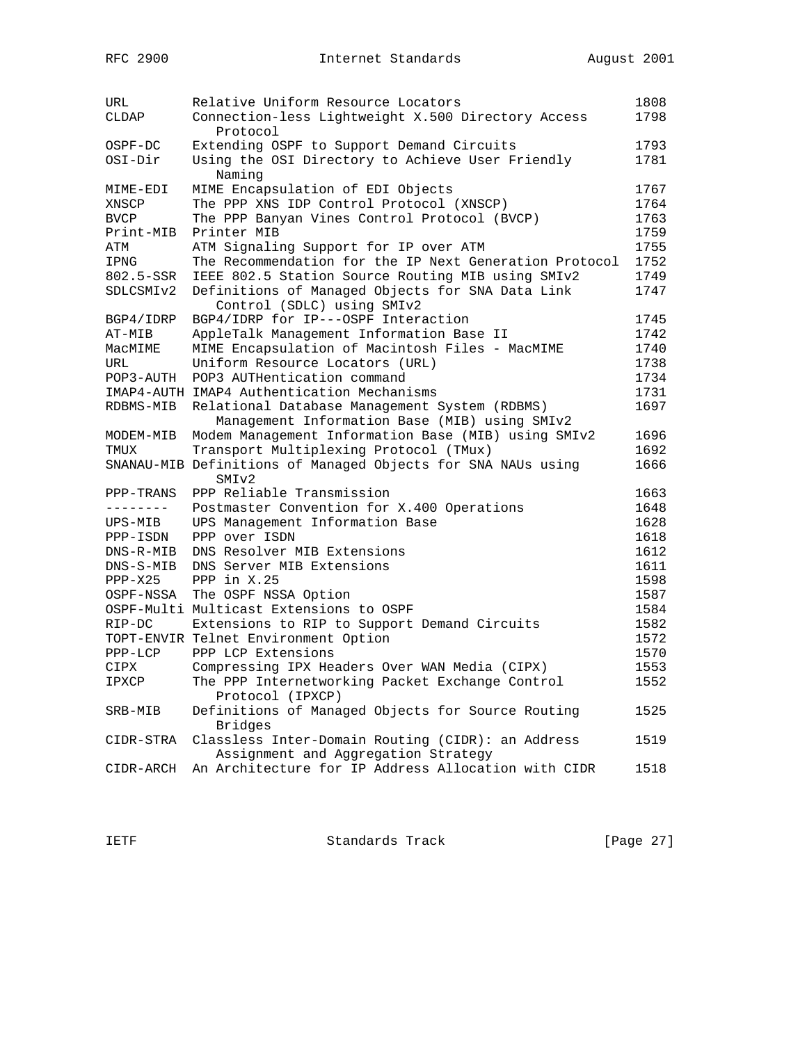| URL              | Relative Uniform Resource Locators                                                             | 1808 |
|------------------|------------------------------------------------------------------------------------------------|------|
| CLDAP            | Connection-less Lightweight X.500 Directory Access<br>Protocol                                 | 1798 |
| OSPF-DC          | Extending OSPF to Support Demand Circuits                                                      | 1793 |
| OSI-Dir          | Using the OSI Directory to Achieve User Friendly<br>Naming                                     | 1781 |
| MIME-EDI         | MIME Encapsulation of EDI Objects                                                              | 1767 |
| XNSCP            | The PPP XNS IDP Control Protocol (XNSCP)                                                       | 1764 |
| <b>BVCP</b>      | The PPP Banyan Vines Control Protocol (BVCP)                                                   | 1763 |
| Print-MIB        | Printer MIB                                                                                    | 1759 |
| ATM              | ATM Signaling Support for IP over ATM                                                          | 1755 |
| IPNG             | The Recommendation for the IP Next Generation Protocol                                         | 1752 |
| 802.5-SSR        | IEEE 802.5 Station Source Routing MIB using SMIv2                                              | 1749 |
| SDLCSMIv2        | Definitions of Managed Objects for SNA Data Link<br>Control (SDLC) using SMIv2                 | 1747 |
| BGP4/IDRP        | BGP4/IDRP for IP---OSPF Interaction                                                            | 1745 |
| AT-MIB           | AppleTalk Management Information Base II                                                       | 1742 |
| MacMIME          | MIME Encapsulation of Macintosh Files - MacMIME                                                | 1740 |
| URL              |                                                                                                | 1738 |
|                  | Uniform Resource Locators (URL)<br>POP3 AUTHentication command                                 | 1734 |
| POP3-AUTH        |                                                                                                |      |
|                  | IMAP4-AUTH IMAP4 Authentication Mechanisms                                                     | 1731 |
| RDBMS-MIB        | Relational Database Management System (RDBMS)<br>Management Information Base (MIB) using SMIv2 | 1697 |
| MODEM-MIB        | Modem Management Information Base (MIB) using SMIv2                                            | 1696 |
| TMUX             | Transport Multiplexing Protocol (TMux)                                                         | 1692 |
|                  | SNANAU-MIB Definitions of Managed Objects for SNA NAUs using<br>SMI <sub>v2</sub>              | 1666 |
| PPP-TRANS        | PPP Reliable Transmission                                                                      | 1663 |
| $-- - - - - - -$ | Postmaster Convention for X.400 Operations                                                     | 1648 |
| UPS-MIB          | UPS Management Information Base                                                                | 1628 |
| PPP-ISDN         | PPP over ISDN                                                                                  | 1618 |
| DNS-R-MIB        | DNS Resolver MIB Extensions                                                                    | 1612 |
| $DNS-S-MIB$      | DNS Server MIB Extensions                                                                      | 1611 |
| $PPP-X25$        | PPP in X.25                                                                                    | 1598 |
| OSPF-NSSA        | The OSPF NSSA Option                                                                           | 1587 |
|                  | OSPF-Multi Multicast Extensions to OSPF                                                        | 1584 |
| RIP-DC           | Extensions to RIP to Support Demand Circuits                                                   | 1582 |
|                  | TOPT-ENVIR Telnet Environment Option                                                           | 1572 |
| $PPP-LCP$        | PPP LCP Extensions                                                                             | 1570 |
| CIPX             | Compressing IPX Headers Over WAN Media (CIPX)                                                  | 1553 |
| IPXCP            | The PPP Internetworking Packet Exchange Control                                                | 1552 |
|                  | Protocol (IPXCP)                                                                               |      |
| SRB-MIB          | Definitions of Managed Objects for Source Routing<br>Bridges                                   | 1525 |
| CIDR-STRA        | Classless Inter-Domain Routing (CIDR): an Address<br>Assignment and Aggregation Strategy       | 1519 |
| CIDR-ARCH        | An Architecture for IP Address Allocation with CIDR                                            | 1518 |

IETF Standards Track [Page 27]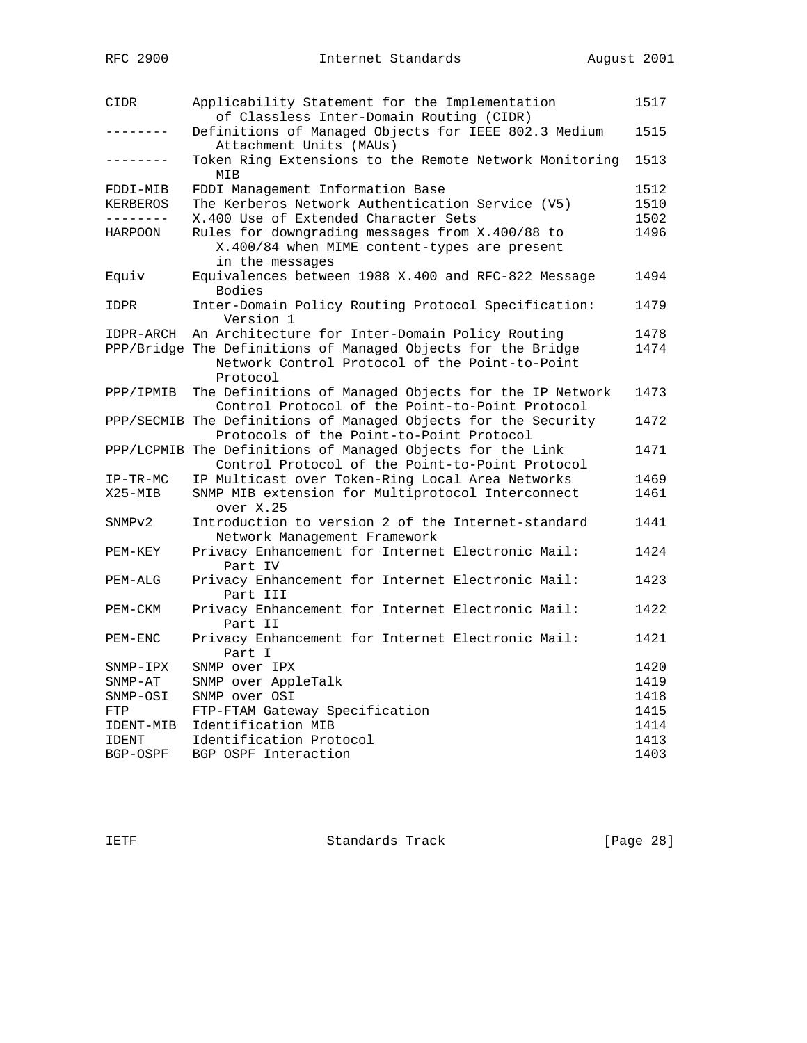| CIDR         | Applicability Statement for the Implementation<br>of Classless Inter-Domain Routing (CIDR)                                 | 1517 |
|--------------|----------------------------------------------------------------------------------------------------------------------------|------|
| -------      | Definitions of Managed Objects for IEEE 802.3 Medium<br>Attachment Units (MAUs)                                            | 1515 |
| .            | Token Ring Extensions to the Remote Network Monitoring<br>MIB                                                              | 1513 |
| FDDI-MIB     | FDDI Management Information Base                                                                                           | 1512 |
| KERBEROS     | The Kerberos Network Authentication Service (V5)                                                                           | 1510 |
| --------     | X.400 Use of Extended Character Sets                                                                                       | 1502 |
| HARPOON      | Rules for downgrading messages from X.400/88 to<br>X.400/84 when MIME content-types are present<br>in the messages         | 1496 |
| Equiv        | Equivalences between 1988 X.400 and RFC-822 Message<br>Bodies                                                              | 1494 |
| IDPR         | Inter-Domain Policy Routing Protocol Specification:<br>Version 1                                                           | 1479 |
| IDPR-ARCH    | An Architecture for Inter-Domain Policy Routing                                                                            | 1478 |
|              | PPP/Bridge The Definitions of Managed Objects for the Bridge<br>Network Control Protocol of the Point-to-Point<br>Protocol | 1474 |
| PPP/IPMIB    | The Definitions of Managed Objects for the IP Network<br>Control Protocol of the Point-to-Point Protocol                   | 1473 |
|              | PPP/SECMIB The Definitions of Managed Objects for the Security<br>Protocols of the Point-to-Point Protocol                 | 1472 |
|              | PPP/LCPMIB The Definitions of Managed Objects for the Link<br>Control Protocol of the Point-to-Point Protocol              | 1471 |
| $IP-TR-MC$   | IP Multicast over Token-Ring Local Area Networks                                                                           | 1469 |
| X25-MIB      | SNMP MIB extension for Multiprotocol Interconnect<br>over X.25                                                             | 1461 |
| SNMPv2       | Introduction to version 2 of the Internet-standard<br>Network Management Framework                                         | 1441 |
| PEM-KEY      | Privacy Enhancement for Internet Electronic Mail:<br>Part IV                                                               | 1424 |
| PEM-ALG      | Privacy Enhancement for Internet Electronic Mail:<br>Part III                                                              | 1423 |
| PEM-CKM      | Privacy Enhancement for Internet Electronic Mail:<br>Part II                                                               | 1422 |
| PEM-ENC      | Privacy Enhancement for Internet Electronic Mail:<br>Part I                                                                | 1421 |
| SNMP-IPX     | SNMP over IPX                                                                                                              | 1420 |
| $SNNP-AT$    | SNMP over AppleTalk                                                                                                        | 1419 |
| SNMP-OSI     | SNMP over OSI                                                                                                              | 1418 |
| FTP          | FTP-FTAM Gateway Specification                                                                                             | 1415 |
| IDENT-MIB    | Identification MIB                                                                                                         | 1414 |
| <b>IDENT</b> | Identification Protocol                                                                                                    | 1413 |
| BGP-OSPF     | BGP OSPF Interaction                                                                                                       | 1403 |

IETF Standards Track [Page 28]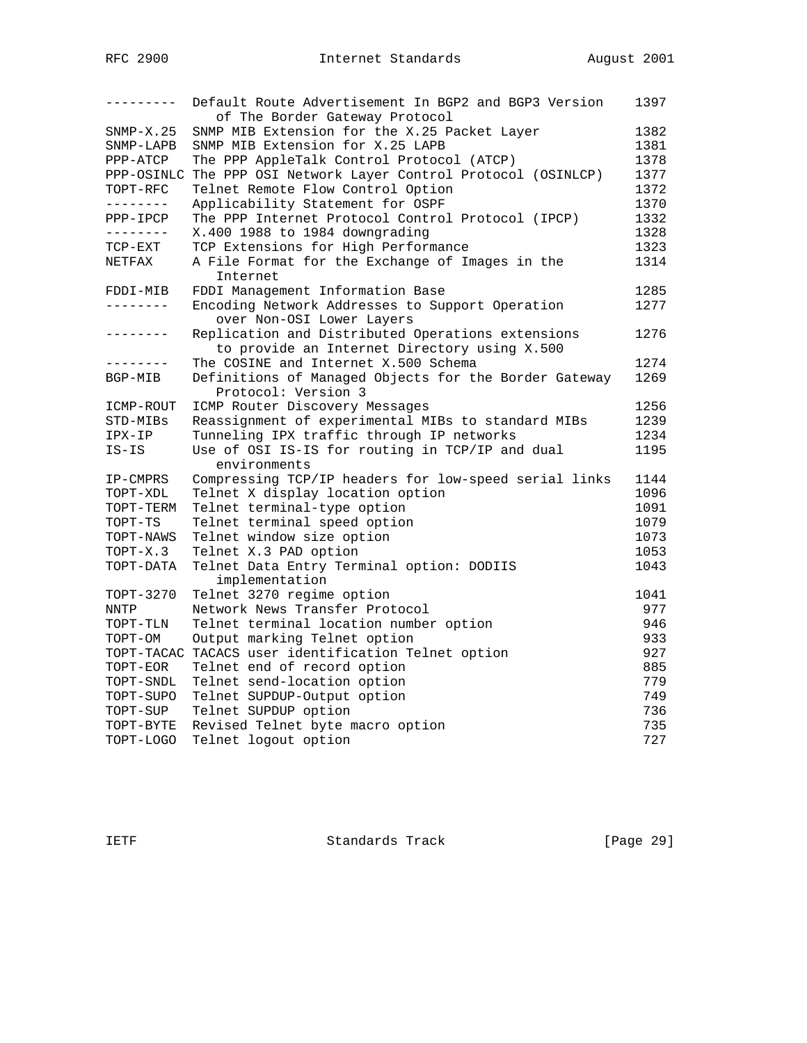| ---------   | Default Route Advertisement In BGP2 and BGP3 Version<br>of The Border Gateway Protocol            | 1397 |
|-------------|---------------------------------------------------------------------------------------------------|------|
| $SNMP-X.25$ | SNMP MIB Extension for the X.25 Packet Layer                                                      | 1382 |
| SNMP-LAPB   | SNMP MIB Extension for X.25 LAPB                                                                  | 1381 |
| PPP-ATCP    | The PPP AppleTalk Control Protocol (ATCP)                                                         | 1378 |
| PPP-OSINLC  | The PPP OSI Network Layer Control Protocol (OSINLCP)                                              | 1377 |
| TOPT-RFC    | Telnet Remote Flow Control Option                                                                 | 1372 |
| --------    | Applicability Statement for OSPF                                                                  | 1370 |
| PPP-IPCP    | The PPP Internet Protocol Control Protocol (IPCP)                                                 | 1332 |
| --------    | X.400 1988 to 1984 downgrading                                                                    | 1328 |
| TCP-EXT     | TCP Extensions for High Performance                                                               | 1323 |
| NETFAX      | A File Format for the Exchange of Images in the<br>Internet                                       | 1314 |
| FDDI-MIB    | FDDI Management Information Base                                                                  | 1285 |
| ---------   | Encoding Network Addresses to Support Operation<br>over Non-OSI Lower Layers                      | 1277 |
| ---------   | Replication and Distributed Operations extensions<br>to provide an Internet Directory using X.500 | 1276 |
| --------    | The COSINE and Internet X.500 Schema                                                              | 1274 |
| BGP-MIB     | Definitions of Managed Objects for the Border Gateway<br>Protocol: Version 3                      | 1269 |
| ICMP-ROUT   | ICMP Router Discovery Messages                                                                    | 1256 |
| STD-MIBs    | Reassignment of experimental MIBs to standard MIBs                                                | 1239 |
| IPX-IP      | Tunneling IPX traffic through IP networks                                                         | 1234 |
| IS-IS       | Use of OSI IS-IS for routing in TCP/IP and dual                                                   | 1195 |
|             | environments                                                                                      |      |
| IP-CMPRS    | Compressing TCP/IP headers for low-speed serial links                                             | 1144 |
| TOPT-XDL    | Telnet X display location option                                                                  | 1096 |
| TOPT-TERM   | Telnet terminal-type option                                                                       | 1091 |
| TOPT-TS     | Telnet terminal speed option                                                                      | 1079 |
| TOPT-NAWS   | Telnet window size option                                                                         | 1073 |
| TOPT-X.3    | Telnet X.3 PAD option                                                                             | 1053 |
| TOPT-DATA   | Telnet Data Entry Terminal option: DODIIS<br>implementation                                       | 1043 |
| TOPT-3270   | Telnet 3270 regime option                                                                         | 1041 |
| NNTP        | Network News Transfer Protocol                                                                    | 977  |
| TOPT-TLN    | Telnet terminal location number option                                                            | 946  |
| TOPT-OM     | Output marking Telnet option                                                                      | 933  |
|             | TOPT-TACAC TACACS user identification Telnet option                                               | 927  |
| TOPT-EOR    | Telnet end of record option                                                                       | 885  |
| TOPT-SNDL   | Telnet send-location option                                                                       | 779  |
| TOPT-SUPO   | Telnet SUPDUP-Output option                                                                       | 749  |
| TOPT-SUP    | Telnet SUPDUP option                                                                              | 736  |
| TOPT-BYTE   | Revised Telnet byte macro option                                                                  | 735  |
| TOPT-LOGO   | Telnet logout option                                                                              | 727  |

IETF Standards Track [Page 29]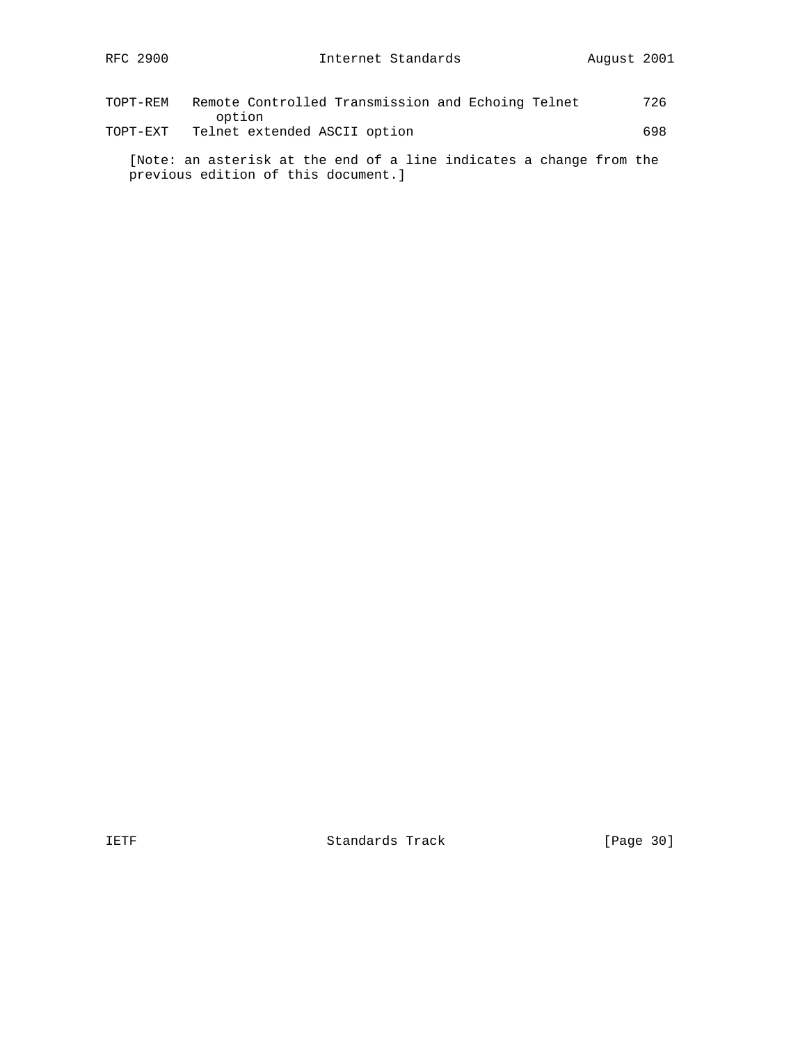| TOPT-REM | Remote Controlled Transmission and Echoing Telnet | 726 |
|----------|---------------------------------------------------|-----|
|          | option                                            |     |
| TOPT-EXT | Telnet extended ASCII option                      | 698 |

 [Note: an asterisk at the end of a line indicates a change from the previous edition of this document.]

IETF Standards Track [Page 30]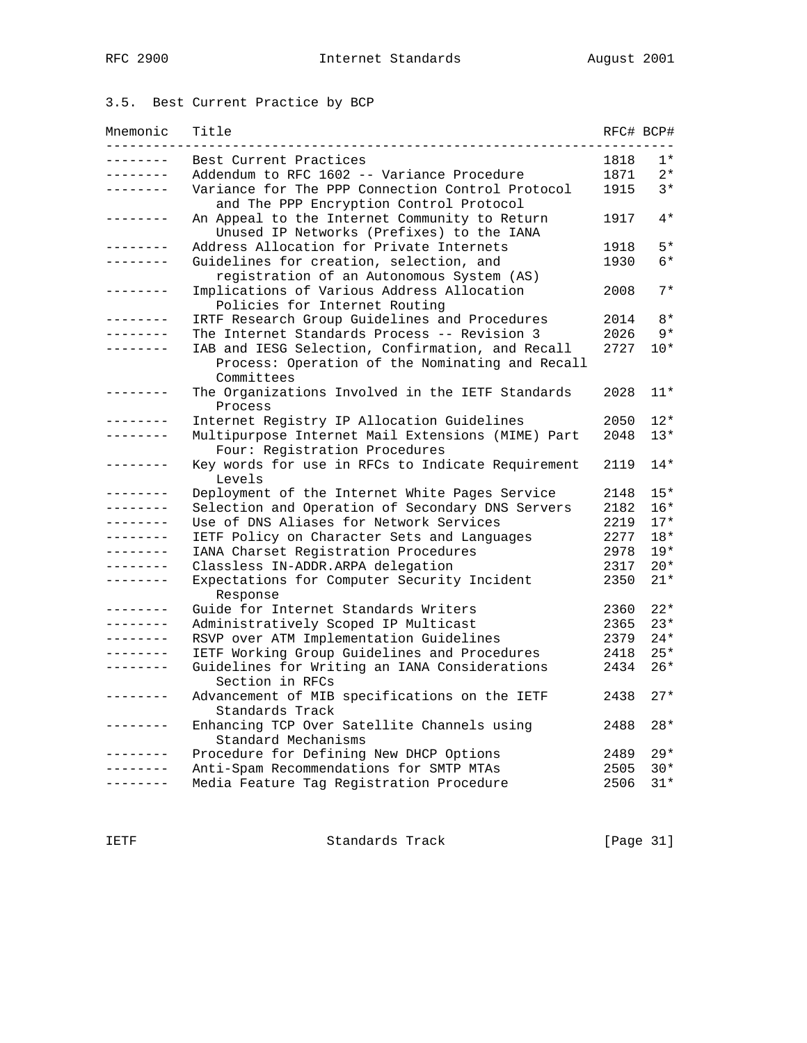# 3.5. Best Current Practice by BCP

| Mnemonic        | Title                                                                                       |      | RFC# BCP# |
|-----------------|---------------------------------------------------------------------------------------------|------|-----------|
|                 | Best Current Practices                                                                      | 1818 | 1*        |
| . <u>.</u> .    | Addendum to RFC 1602 -- Variance Procedure                                                  | 1871 | $2*$      |
|                 | Variance for The PPP Connection Control Protocol<br>and The PPP Encryption Control Protocol | 1915 | $3*$      |
|                 | An Appeal to the Internet Community to Return<br>Unused IP Networks (Prefixes) to the IANA  | 1917 | $4*$      |
|                 | Address Allocation for Private Internets                                                    | 1918 | $5*$      |
| .               | Guidelines for creation, selection, and<br>registration of an Autonomous System (AS)        | 1930 | $6*$      |
|                 | Implications of Various Address Allocation<br>Policies for Internet Routing                 | 2008 | $7*$      |
|                 | IRTF Research Group Guidelines and Procedures                                               | 2014 | $8*$      |
|                 | The Internet Standards Process -- Revision 3                                                | 2026 | $9*$      |
|                 | IAB and IESG Selection, Confirmation, and Recall                                            | 2727 | $10*$     |
|                 | Process: Operation of the Nominating and Recall<br>Committees                               |      |           |
|                 | The Organizations Involved in the IETF Standards<br>Process                                 | 2028 | $11*$     |
|                 | Internet Registry IP Allocation Guidelines                                                  | 2050 | $12*$     |
| -------         | Multipurpose Internet Mail Extensions (MIME) Part<br>Four: Registration Procedures          | 2048 | $13*$     |
| . <u>.</u>      | Key words for use in RFCs to Indicate Requirement<br>Levels                                 | 2119 | $14*$     |
|                 | Deployment of the Internet White Pages Service                                              | 2148 | $15*$     |
| -------         | Selection and Operation of Secondary DNS Servers                                            | 2182 | $16*$     |
| ------          | Use of DNS Aliases for Network Services                                                     | 2219 | $17*$     |
| -------         | IETF Policy on Character Sets and Languages                                                 | 2277 | $18*$     |
|                 | IANA Charset Registration Procedures                                                        | 2978 | $19*$     |
| - - - - - - -   | Classless IN-ADDR.ARPA delegation                                                           | 2317 | $20*$     |
| .               | Expectations for Computer Security Incident<br>Response                                     | 2350 | $21*$     |
| - - - - - - -   | Guide for Internet Standards Writers                                                        | 2360 | $22*$     |
| ------          | Administratively Scoped IP Multicast                                                        | 2365 | $23*$     |
|                 | RSVP over ATM Implementation Guidelines                                                     | 2379 | $24*$     |
|                 | IETF Working Group Guidelines and Procedures                                                | 2418 | $25*$     |
| . _ _ _ _ _ _ _ | Guidelines for Writing an IANA Considerations                                               | 2434 | $26*$     |
|                 | Section in RFCs                                                                             |      |           |
|                 | Advancement of MIB specifications on the IETF<br>Standards Track                            | 2438 | $27*$     |
|                 | Enhancing TCP Over Satellite Channels using<br>Standard Mechanisms                          | 2488 | $28*$     |
|                 | Procedure for Defining New DHCP Options                                                     | 2489 | $29*$     |
|                 | Anti-Spam Recommendations for SMTP MTAs                                                     | 2505 | $30*$     |
|                 | Media Feature Tag Registration Procedure                                                    | 2506 | $31*$     |

IETF Standards Track [Page 31]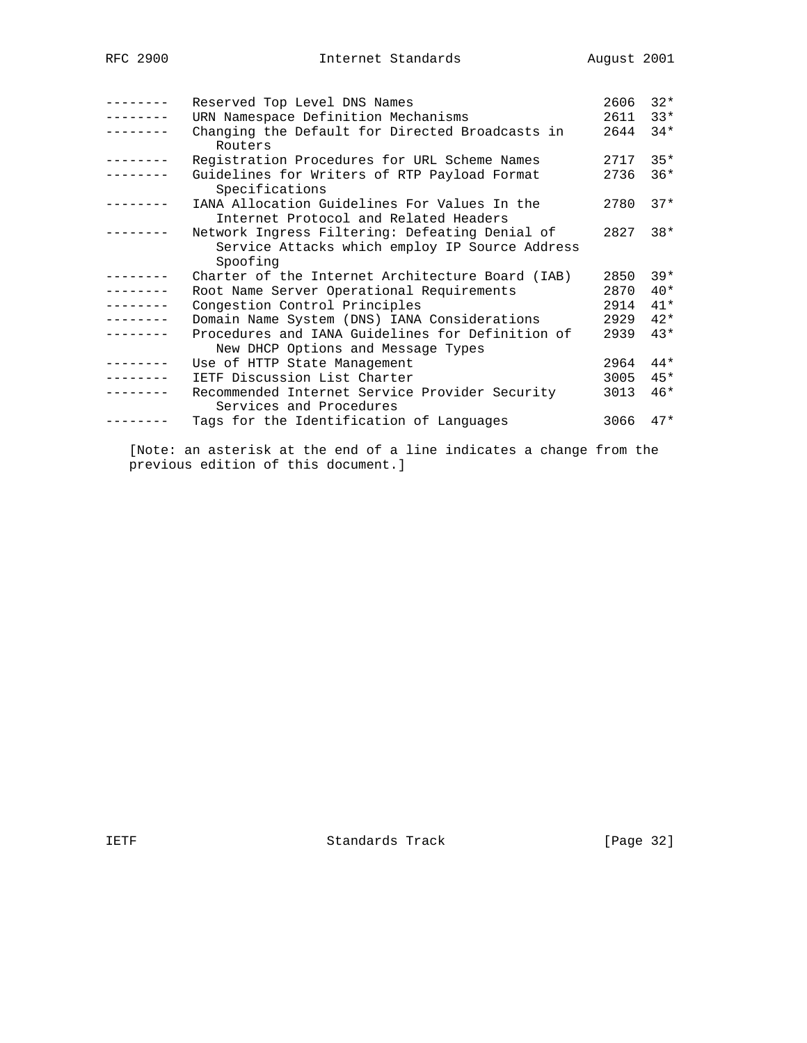|          |                                                                                                  | 2606 | $32*$ |
|----------|--------------------------------------------------------------------------------------------------|------|-------|
|          | Reserved Top Level DNS Names                                                                     |      |       |
|          | URN Namespace Definition Mechanisms                                                              | 2611 | $33*$ |
|          | Changing the Default for Directed Broadcasts in<br>Routers                                       | 2644 | $34*$ |
|          | Registration Procedures for URL Scheme Names                                                     | 2717 | $35*$ |
|          | Guidelines for Writers of RTP Payload Format<br>Specifications                                   | 2736 | $36*$ |
|          | IANA Allocation Guidelines For Values In the<br>Internet Protocol and Related Headers            | 2780 | $37*$ |
|          | Network Ingress Filtering: Defeating Denial of<br>Service Attacks which employ IP Source Address | 2827 | $38*$ |
|          | Spoofing                                                                                         |      |       |
|          | Charter of the Internet Architecture Board (IAB)                                                 | 2850 | $39*$ |
|          | Root Name Server Operational Requirements                                                        | 2870 | $40*$ |
| -------- | Congestion Control Principles                                                                    | 2914 | $41*$ |
|          | Domain Name System (DNS) IANA Considerations                                                     | 2929 | $42*$ |
|          | Procedures and IANA Guidelines for Definition of                                                 | 2939 | $43*$ |
|          | New DHCP Options and Message Types                                                               |      |       |
|          | Use of HTTP State Management                                                                     | 2964 | $44*$ |
|          | IETF Discussion List Charter                                                                     | 3005 | $45*$ |
|          | Recommended Internet Service Provider Security<br>Services and Procedures                        | 3013 | $46*$ |
|          | Tags for the Identification of Languages                                                         | 3066 | $47*$ |

 [Note: an asterisk at the end of a line indicates a change from the previous edition of this document.]

IETF Standards Track [Page 32]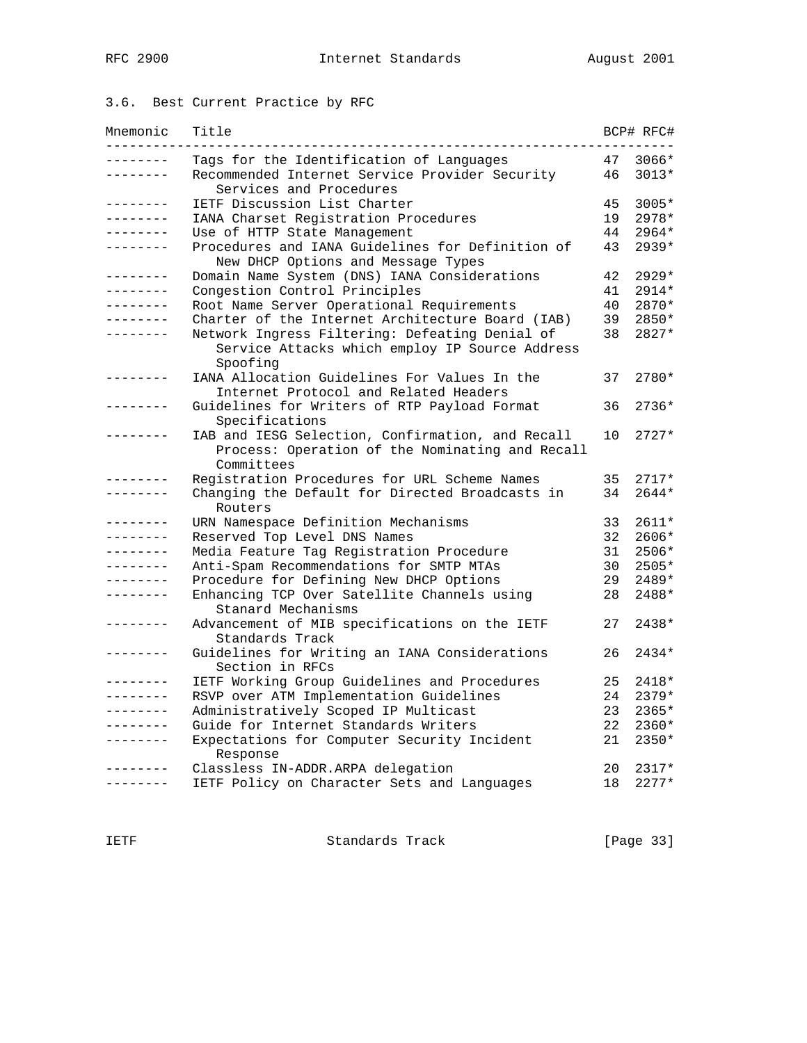# 3.6. Best Current Practice by RFC

| Mnemonic        | Title                                                                                                             |    | BCP# RFC# |
|-----------------|-------------------------------------------------------------------------------------------------------------------|----|-----------|
| ت ب ب ب ب ب     | Tags for the Identification of Languages                                                                          | 47 | $3066*$   |
| . <i>.</i> .    | Recommended Internet Service Provider Security<br>Services and Procedures                                         | 46 | $3013*$   |
| .               | IETF Discussion List Charter                                                                                      | 45 | 3005*     |
| --------        | IANA Charset Registration Procedures                                                                              | 19 | 2978*     |
| --------        | Use of HTTP State Management                                                                                      | 44 | 2964*     |
| .               | Procedures and IANA Guidelines for Definition of<br>New DHCP Options and Message Types                            | 43 | 2939*     |
| . _ _ _ _ _ _ _ | Domain Name System (DNS) IANA Considerations                                                                      | 42 | $2929*$   |
| .               | Congestion Control Principles                                                                                     | 41 | $2914*$   |
| --------        | Root Name Server Operational Requirements                                                                         | 40 | 2870*     |
| . _ _ _ _ _ _ _ | Charter of the Internet Architecture Board (IAB)                                                                  | 39 | 2850*     |
| -------         | Network Ingress Filtering: Defeating Denial of<br>Service Attacks which employ IP Source Address<br>Spoofing      | 38 | 2827*     |
| -------         | IANA Allocation Guidelines For Values In the<br>Internet Protocol and Related Headers                             | 37 | 2780*     |
| -------         | Guidelines for Writers of RTP Payload Format<br>Specifications                                                    | 36 | $2736*$   |
|                 | IAB and IESG Selection, Confirmation, and Recall<br>Process: Operation of the Nominating and Recall<br>Committees | 10 | $2727*$   |
| -------         | Registration Procedures for URL Scheme Names                                                                      | 35 | $2717*$   |
|                 | Changing the Default for Directed Broadcasts in<br>Routers                                                        | 34 | $2644*$   |
| . <u>.</u> .    | URN Namespace Definition Mechanisms                                                                               | 33 | $2611*$   |
| . <u>.</u> .    | Reserved Top Level DNS Names                                                                                      | 32 | 2606*     |
| . <u>.</u>      | Media Feature Tag Registration Procedure                                                                          | 31 | 2506*     |
| . _ _ _ _ _ _ _ | Anti-Spam Recommendations for SMTP MTAs                                                                           | 30 | 2505*     |
| . _ _ _ _ _ _ _ | Procedure for Defining New DHCP Options                                                                           | 29 | 2489*     |
| -------         | Enhancing TCP Over Satellite Channels using<br>Stanard Mechanisms                                                 | 28 | 2488*     |
| - - - - - - -   | Advancement of MIB specifications on the IETF<br>Standards Track                                                  | 27 | $2438*$   |
|                 | Guidelines for Writing an IANA Considerations<br>Section in RFCs                                                  | 26 | 2434*     |
| - - - - - - -   | IETF Working Group Guidelines and Procedures                                                                      | 25 | $2418*$   |
| .               | RSVP over ATM Implementation Guidelines                                                                           | 24 | $2379*$   |
| . _ _ _ _ _ _ _ | Administratively Scoped IP Multicast                                                                              | 23 | 2365*     |
| --------        | Guide for Internet Standards Writers                                                                              | 22 | 2360*     |
| - - - - - - - - | Expectations for Computer Security Incident<br>Response                                                           | 21 | 2350*     |
|                 | Classless IN-ADDR. ARPA delegation                                                                                | 20 | 2317*     |
| .               | IETF Policy on Character Sets and Languages                                                                       | 18 | $2277*$   |

IETF Standards Track [Page 33]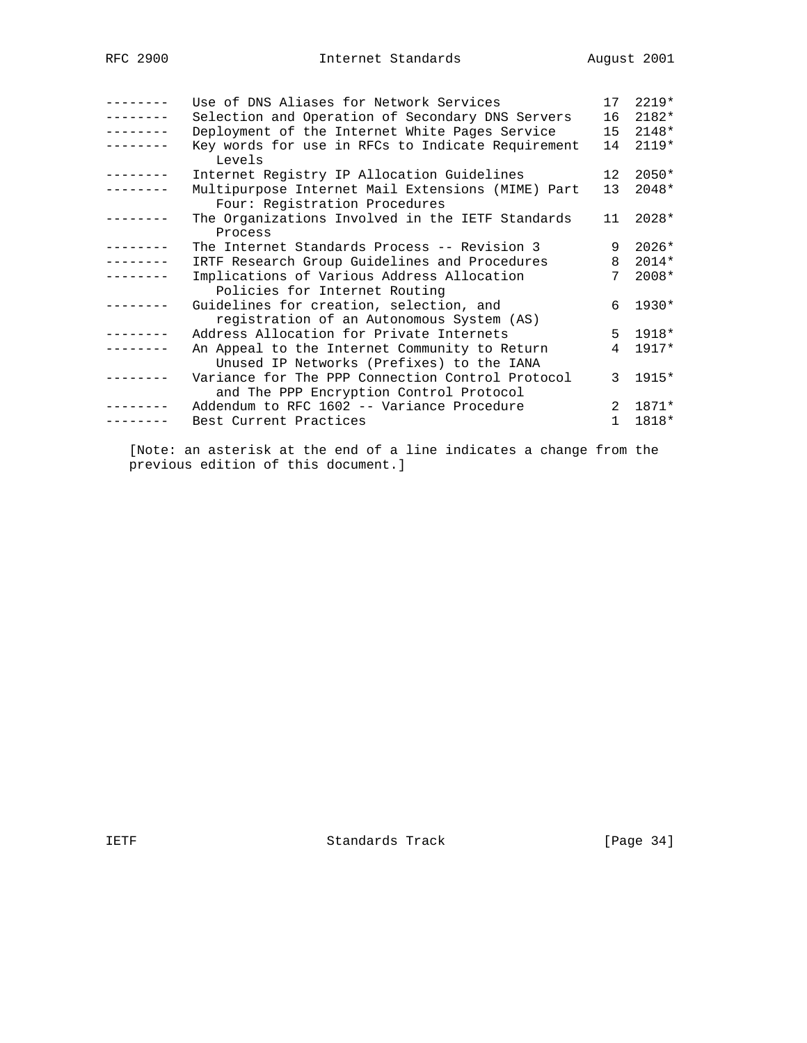| Use of DNS Aliases for Network Services                                                     | 17              | $2219*$     |
|---------------------------------------------------------------------------------------------|-----------------|-------------|
| Selection and Operation of Secondary DNS Servers                                            | 16              | $2182*$     |
| Deployment of the Internet White Pages Service                                              | 15              | $2148*$     |
| Key words for use in RFCs to Indicate Requirement<br>Levels                                 | 14              | $2119*$     |
| Internet Registry IP Allocation Guidelines                                                  | 12 <sup>°</sup> | $2050*$     |
| Multipurpose Internet Mail Extensions (MIME) Part<br>Four: Registration Procedures          | 13 <sup>7</sup> | $2048*$     |
| The Organizations Involved in the IETF Standards<br>Process                                 | 11              | $2028*$     |
| The Internet Standards Process -- Revision 3                                                | 9               | $2026*$     |
| IRTF Research Group Guidelines and Procedures                                               | 8               | $2014*$     |
| Implications of Various Address Allocation                                                  | 7               | $2008*$     |
| Policies for Internet Routing                                                               |                 |             |
| Guidelines for creation, selection, and                                                     | б.              | $1930*$     |
| registration of an Autonomous System (AS)                                                   |                 |             |
| Address Allocation for Private Internets                                                    |                 | $5 \t1918*$ |
| An Appeal to the Internet Community to Return                                               | $\overline{4}$  | $1917*$     |
| Unused IP Networks (Prefixes) to the IANA                                                   |                 |             |
| Variance for The PPP Connection Control Protocol<br>and The PPP Encryption Control Protocol | 3               | 1915*       |
| Addendum to RFC 1602 -- Variance Procedure                                                  | $2^{\circ}$     | 1871*       |
|                                                                                             |                 |             |
| Best Current Practices                                                                      | $\mathbf{1}$    | 1818*       |
|                                                                                             |                 |             |

 [Note: an asterisk at the end of a line indicates a change from the previous edition of this document.]

IETF Standards Track [Page 34]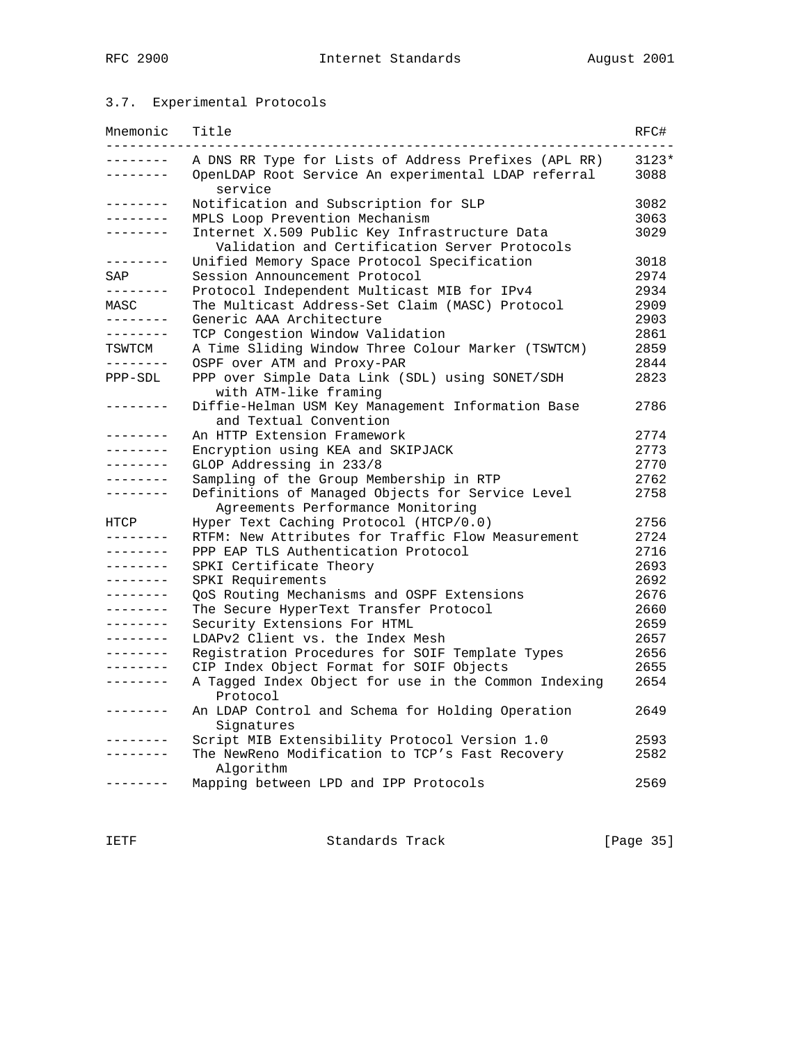## 3.7. Experimental Protocols

| Mnemonic        | Title                                                                                          | RFC#    |
|-----------------|------------------------------------------------------------------------------------------------|---------|
| -------         | A DNS RR Type for Lists of Address Prefixes (APL RR)                                           | $3123*$ |
| . <u>.</u> .    | OpenLDAP Root Service An experimental LDAP referral<br>service                                 | 3088    |
| . _ _ _ _ _ _ _ | Notification and Subscription for SLP                                                          | 3082    |
| . _ _ _ _ _ _ _ | MPLS Loop Prevention Mechanism                                                                 | 3063    |
| -------         | Internet X.509 Public Key Infrastructure Data<br>Validation and Certification Server Protocols | 3029    |
| ---------       | Unified Memory Space Protocol Specification                                                    | 3018    |
| SAP             | Session Announcement Protocol                                                                  | 2974    |
| ________        | Protocol Independent Multicast MIB for IPv4                                                    | 2934    |
| MASC            | The Multicast Address-Set Claim (MASC) Protocol                                                | 2909    |
| . <u>.</u>      | Generic AAA Architecture                                                                       | 2903    |
| . _ _ _ _ _ _ _ | TCP Congestion Window Validation                                                               | 2861    |
| TSWTCM          | A Time Sliding Window Three Colour Marker (TSWTCM)                                             | 2859    |
| . _ _ _ _ _ _ _ | OSPF over ATM and Proxy-PAR                                                                    | 2844    |
| PPP-SDL         | PPP over Simple Data Link (SDL) using SONET/SDH<br>with ATM-like framing                       | 2823    |
| --------        | Diffie-Helman USM Key Management Information Base<br>and Textual Convention                    | 2786    |
| .               | An HTTP Extension Framework                                                                    | 2774    |
| .               | Encryption using KEA and SKIPJACK                                                              | 2773    |
| --------        | GLOP Addressing in 233/8                                                                       | 2770    |
| .               | Sampling of the Group Membership in RTP                                                        | 2762    |
| .               | Definitions of Managed Objects for Service Level<br>Agreements Performance Monitoring          | 2758    |
| HTCP            | Hyper Text Caching Protocol (HTCP/0.0)                                                         | 2756    |
| .               | RTFM: New Attributes for Traffic Flow Measurement                                              | 2724    |
| . <i>.</i> .    | PPP EAP TLS Authentication Protocol                                                            | 2716    |
| . <i>.</i> .    | SPKI Certificate Theory                                                                        | 2693    |
| . <u>.</u>      | SPKI Requirements                                                                              | 2692    |
| .               | QoS Routing Mechanisms and OSPF Extensions                                                     | 2676    |
| . <u>.</u> .    | The Secure HyperText Transfer Protocol                                                         | 2660    |
| . <u>.</u>      | Security Extensions For HTML                                                                   | 2659    |
| .               | LDAPv2 Client vs. the Index Mesh                                                               | 2657    |
| . <u>.</u>      | Registration Procedures for SOIF Template Types                                                | 2656    |
| . _ _ _ _ _ _ _ | CIP Index Object Format for SOIF Objects                                                       | 2655    |
| --------        | A Tagged Index Object for use in the Common Indexing                                           | 2654    |
|                 | Protocol                                                                                       |         |
| . _ _ _ _ _ _ _ | An LDAP Control and Schema for Holding Operation<br>Signatures                                 | 2649    |
|                 | Script MIB Extensibility Protocol Version 1.0                                                  | 2593    |
|                 | The NewReno Modification to TCP's Fast Recovery<br>Algorithm                                   | 2582    |
|                 | Mapping between LPD and IPP Protocols                                                          | 2569    |

IETF Standards Track [Page 35]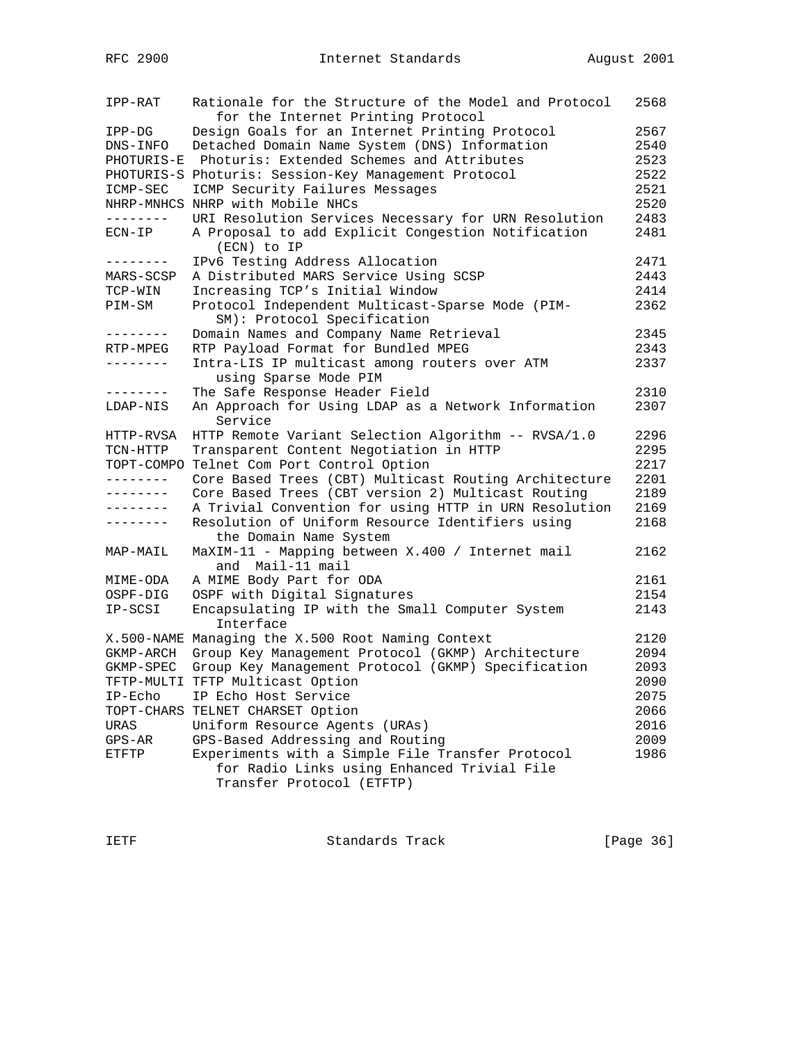| IPP-RAT           | Rationale for the Structure of the Model and Protocol<br>for the Internet Printing Protocol | 2568 |
|-------------------|---------------------------------------------------------------------------------------------|------|
| IPP-DG            | Design Goals for an Internet Printing Protocol                                              | 2567 |
| DNS-INFO          | Detached Domain Name System (DNS) Information                                               | 2540 |
| PHOTURIS-E        | Photuris: Extended Schemes and Attributes                                                   | 2523 |
|                   | PHOTURIS-S Photuris: Session-Key Management Protocol                                        | 2522 |
| ICMP-SEC          | ICMP Security Failures Messages                                                             | 2521 |
|                   | NHRP-MNHCS NHRP with Mobile NHCs                                                            | 2520 |
| --------          | URI Resolution Services Necessary for URN Resolution                                        | 2483 |
| $ECN-IP$          | A Proposal to add Explicit Congestion Notification<br>(ECN) to IP                           | 2481 |
| --------          | IPv6 Testing Address Allocation                                                             | 2471 |
| MARS-SCSP         | A Distributed MARS Service Using SCSP                                                       | 2443 |
| TCP-WIN           | Increasing TCP's Initial Window                                                             | 2414 |
| PIM-SM            | Protocol Independent Multicast-Sparse Mode (PIM-<br>SM): Protocol Specification             | 2362 |
| --------          | Domain Names and Company Name Retrieval                                                     | 2345 |
| RTP-MPEG          | RTP Payload Format for Bundled MPEG                                                         | 2343 |
| --------          | Intra-LIS IP multicast among routers over ATM<br>using Sparse Mode PIM                      | 2337 |
| ---------         | The Safe Response Header Field                                                              | 2310 |
| LDAP-NIS          | An Approach for Using LDAP as a Network Information<br>Service                              | 2307 |
| HTTP-RVSA         | HTTP Remote Variant Selection Algorithm -- RVSA/1.0                                         | 2296 |
| TCN-HTTP          | Transparent Content Negotiation in HTTP                                                     | 2295 |
| TOPT-COMPO        | Telnet Com Port Control Option                                                              | 2217 |
| --------          | Core Based Trees (CBT) Multicast Routing Architecture                                       | 2201 |
| $- - - - - - - -$ | Core Based Trees (CBT version 2) Multicast Routing                                          | 2189 |
|                   | A Trivial Convention for using HTTP in URN Resolution                                       | 2169 |
| --------          | Resolution of Uniform Resource Identifiers using<br>the Domain Name System                  | 2168 |
| MAP-MAIL          | MaXIM-11 - Mapping between X.400 / Internet mail<br>and Mail-11 mail                        | 2162 |
| MIME-ODA          | A MIME Body Part for ODA                                                                    | 2161 |
| OSPF-DIG          | OSPF with Digital Signatures                                                                | 2154 |
| IP-SCSI           | Encapsulating IP with the Small Computer System<br>Interface                                | 2143 |
|                   | X.500-NAME Managing the X.500 Root Naming Context                                           | 2120 |
| GKMP-ARCH         | Group Key Management Protocol (GKMP) Architecture                                           | 2094 |
| GKMP-SPEC         | Group Key Management Protocol (GKMP) Specification                                          | 2093 |
|                   | TFTP-MULTI TFTP Multicast Option                                                            | 2090 |
| IP-Echo           | IP Echo Host Service                                                                        | 2075 |
|                   | TOPT-CHARS TELNET CHARSET Option                                                            | 2066 |
| URAS              | Uniform Resource Agents (URAs)                                                              | 2016 |
| $GPS-AR$          | GPS-Based Addressing and Routing                                                            | 2009 |
| ETFTP             | Experiments with a Simple File Transfer Protocol                                            | 1986 |
|                   | for Radio Links using Enhanced Trivial File<br>Transfer Protocol (ETFTP)                    |      |
|                   |                                                                                             |      |

IETF Standards Track [Page 36]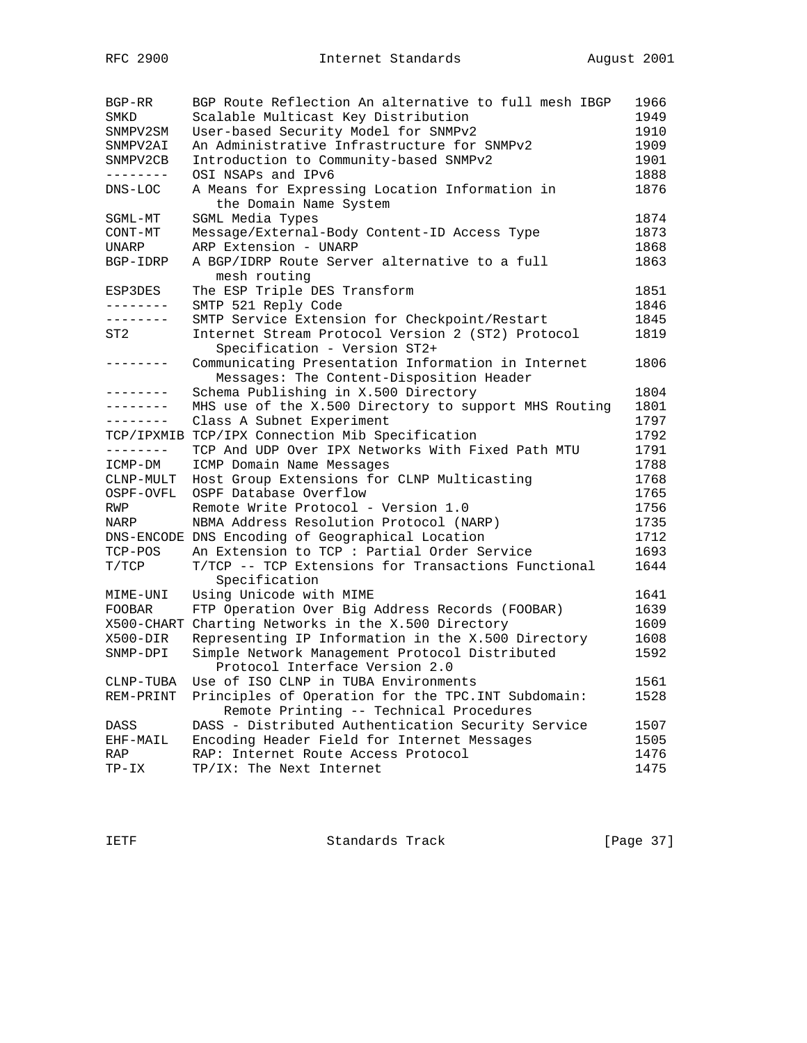| BGP-RR          | BGP Route Reflection An alternative to full mesh IBGP                                          | 1966 |
|-----------------|------------------------------------------------------------------------------------------------|------|
| SMKD            | Scalable Multicast Key Distribution                                                            | 1949 |
| SNMPV2SM        | User-based Security Model for SNMPv2                                                           | 1910 |
| SNMPV2AI        | An Administrative Infrastructure for SNMPv2                                                    | 1909 |
| SNMPV2CB        | Introduction to Community-based SNMPv2                                                         | 1901 |
| --------        | OSI NSAPs and IPv6                                                                             | 1888 |
| DNS-LOC         | A Means for Expressing Location Information in<br>the Domain Name System                       | 1876 |
| SGML-MT         | SGML Media Types                                                                               | 1874 |
| CONT-MT         | Message/External-Body Content-ID Access Type                                                   | 1873 |
| <b>UNARP</b>    | ARP Extension - UNARP                                                                          | 1868 |
| BGP-IDRP        | A BGP/IDRP Route Server alternative to a full<br>mesh routing                                  | 1863 |
| ESP3DES         | The ESP Triple DES Transform                                                                   | 1851 |
| ---------       | SMTP 521 Reply Code                                                                            | 1846 |
| --------        | SMTP Service Extension for Checkpoint/Restart                                                  | 1845 |
| ST <sub>2</sub> | Internet Stream Protocol Version 2 (ST2) Protocol<br>Specification - Version ST2+              | 1819 |
| -------         | Communicating Presentation Information in Internet<br>Messages: The Content-Disposition Header | 1806 |
| .               | Schema Publishing in X.500 Directory                                                           | 1804 |
| --------        | MHS use of the X.500 Directory to support MHS Routing                                          | 1801 |
| .               | Class A Subnet Experiment                                                                      | 1797 |
|                 | TCP/IPXMIB TCP/IPX Connection Mib Specification                                                | 1792 |
| --------        | TCP And UDP Over IPX Networks With Fixed Path MTU                                              | 1791 |
| ICMP-DM         | ICMP Domain Name Messages                                                                      | 1788 |
| CLNP-MULT       | Host Group Extensions for CLNP Multicasting                                                    | 1768 |
| OSPF-OVFL       | OSPF Database Overflow                                                                         | 1765 |
| RWP             | Remote Write Protocol - Version 1.0                                                            | 1756 |
| NARP            | NBMA Address Resolution Protocol (NARP)                                                        | 1735 |
|                 | DNS-ENCODE DNS Encoding of Geographical Location                                               | 1712 |
| TCP-POS         | An Extension to TCP : Partial Order Service                                                    | 1693 |
| T/TCP           | T/TCP -- TCP Extensions for Transactions Functional<br>Specification                           | 1644 |
| MIME-UNI        | Using Unicode with MIME                                                                        | 1641 |
| <b>FOOBAR</b>   | FTP Operation Over Big Address Records (FOOBAR)                                                | 1639 |
|                 | X500-CHART Charting Networks in the X.500 Directory                                            | 1609 |
| X500-DIR        | Representing IP Information in the X.500 Directory                                             | 1608 |
| SNMP-DPI        | Simple Network Management Protocol Distributed                                                 | 1592 |
|                 | Protocol Interface Version 2.0                                                                 |      |
| CLNP-TUBA       | Use of ISO CLNP in TUBA Environments                                                           | 1561 |
| REM-PRINT       | Principles of Operation for the TPC. INT Subdomain:                                            | 1528 |
|                 | Remote Printing -- Technical Procedures                                                        |      |
| DASS            | DASS - Distributed Authentication Security Service                                             | 1507 |
| EHF-MAIL        | Encoding Header Field for Internet Messages                                                    | 1505 |
| RAP             | RAP: Internet Route Access Protocol                                                            | 1476 |
| $TP-IX$         | TP/IX: The Next Internet                                                                       | 1475 |

IETF Standards Track [Page 37]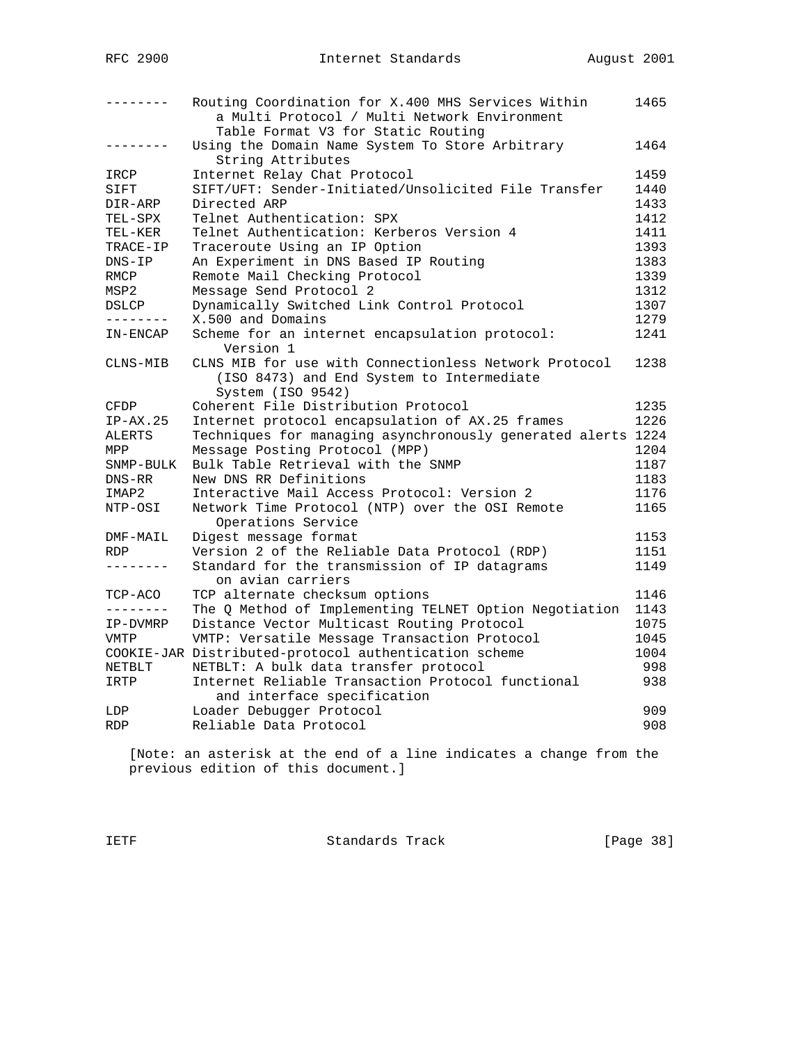| --------     | Routing Coordination for X.400 MHS Services Within<br>a Multi Protocol / Multi Network Environment                      | 1465 |
|--------------|-------------------------------------------------------------------------------------------------------------------------|------|
|              | Table Format V3 for Static Routing                                                                                      |      |
| --------     | Using the Domain Name System To Store Arbitrary<br>String Attributes                                                    | 1464 |
| IRCP         | Internet Relay Chat Protocol                                                                                            | 1459 |
| SIFT         | SIFT/UFT: Sender-Initiated/Unsolicited File Transfer                                                                    | 1440 |
| DIR-ARP      | Directed ARP                                                                                                            | 1433 |
| TEL-SPX      | Telnet Authentication: SPX                                                                                              | 1412 |
| TEL-KER      | Telnet Authentication: Kerberos Version 4                                                                               | 1411 |
| TRACE-IP     | Traceroute Using an IP Option                                                                                           | 1393 |
| $DNS-IP$     | An Experiment in DNS Based IP Routing                                                                                   | 1383 |
| RMCP         | Remote Mail Checking Protocol                                                                                           | 1339 |
| MSP2         | Message Send Protocol 2                                                                                                 | 1312 |
| <b>DSLCP</b> | Dynamically Switched Link Control Protocol                                                                              | 1307 |
| --------     | X.500 and Domains                                                                                                       | 1279 |
| IN-ENCAP     | Scheme for an internet encapsulation protocol:<br>Version 1                                                             | 1241 |
| CLNS-MIB     | CLNS MIB for use with Connectionless Network Protocol<br>(ISO 8473) and End System to Intermediate<br>System (ISO 9542) | 1238 |
| CFDP         | Coherent File Distribution Protocol                                                                                     | 1235 |
| $IP-AX.25$   | Internet protocol encapsulation of AX.25 frames                                                                         | 1226 |
| ALERTS       | Techniques for managing asynchronously generated alerts 1224                                                            |      |
| MPP          | Message Posting Protocol (MPP)                                                                                          | 1204 |
| SNMP-BULK    | Bulk Table Retrieval with the SNMP                                                                                      | 1187 |
| DNS-RR       | New DNS RR Definitions                                                                                                  | 1183 |
| IMAP2        | Interactive Mail Access Protocol: Version 2                                                                             | 1176 |
| NTP-OSI      | Network Time Protocol (NTP) over the OSI Remote<br>Operations Service                                                   | 1165 |
| DMF-MAIL     | Digest message format                                                                                                   | 1153 |
| RDP.         | Version 2 of the Reliable Data Protocol (RDP)                                                                           | 1151 |
| --------     | Standard for the transmission of IP datagrams<br>on avian carriers                                                      | 1149 |
| TCP-ACO      | TCP alternate checksum options                                                                                          | 1146 |
| --------     | The Q Method of Implementing TELNET Option Negotiation                                                                  | 1143 |
| IP-DVMRP     | Distance Vector Multicast Routing Protocol                                                                              | 1075 |
| VMTP         | VMTP: Versatile Message Transaction Protocol                                                                            | 1045 |
|              | COOKIE-JAR Distributed-protocol authentication scheme                                                                   | 1004 |
| NETBLT       | NETBLT: A bulk data transfer protocol                                                                                   | 998  |
| IRTP         | Internet Reliable Transaction Protocol functional<br>and interface specification                                        | 938  |
| LDP          | Loader Debugger Protocol                                                                                                | 909  |
| <b>RDP</b>   | Reliable Data Protocol                                                                                                  | 908  |
|              |                                                                                                                         |      |

 [Note: an asterisk at the end of a line indicates a change from the previous edition of this document.]

IETF Standards Track [Page 38]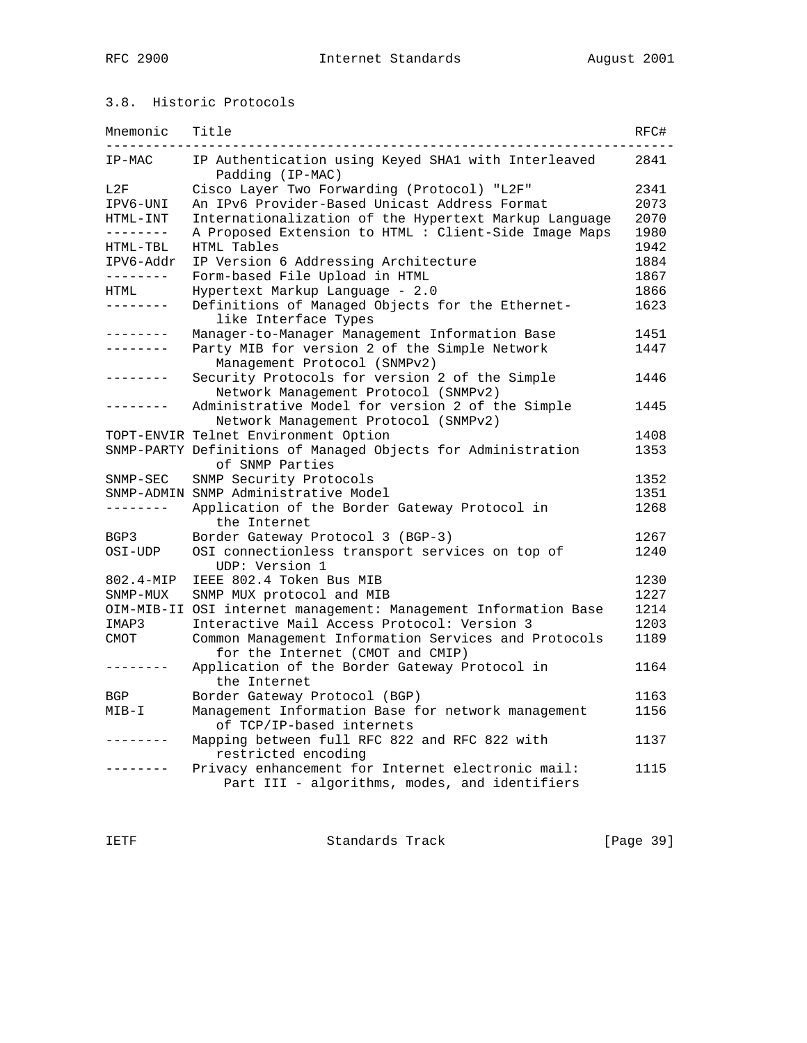## 3.8. Historic Protocols

| Mnemonic             | Title                                                                                              | RFC# |
|----------------------|----------------------------------------------------------------------------------------------------|------|
| IP-MAC               | IP Authentication using Keyed SHA1 with Interleaved<br>Padding (IP-MAC)                            | 2841 |
| L2F                  | Cisco Layer Two Forwarding (Protocol) "L2F"                                                        | 2341 |
| IPV6-UNI             | An IPv6 Provider-Based Unicast Address Format                                                      | 2073 |
| HTML-INT             | Internationalization of the Hypertext Markup Language                                              | 2070 |
| --------             | A Proposed Extension to HTML : Client-Side Image Maps                                              | 1980 |
| HTML-TBL             | HTML Tables                                                                                        | 1942 |
| IPV6-Addr            | IP Version 6 Addressing Architecture                                                               | 1884 |
| --------             | Form-based File Upload in HTML                                                                     | 1867 |
| HTML                 | Hypertext Markup Language - 2.0                                                                    | 1866 |
| .                    | Definitions of Managed Objects for the Ethernet-<br>like Interface Types                           | 1623 |
| . <u>.</u>           | Manager-to-Manager Management Information Base                                                     | 1451 |
| . <u>.</u>           | Party MIB for version 2 of the Simple Network<br>Management Protocol (SNMPv2)                      | 1447 |
| $- - - - - - - -$    | Security Protocols for version 2 of the Simple<br>Network Management Protocol (SNMPv2)             | 1446 |
|                      | Administrative Model for version 2 of the Simple<br>Network Management Protocol (SNMPv2)           | 1445 |
|                      | TOPT-ENVIR Telnet Environment Option                                                               | 1408 |
|                      | SNMP-PARTY Definitions of Managed Objects for Administration<br>of SNMP Parties                    | 1353 |
| ${\tt SNMP-SEC}$     | SNMP Security Protocols                                                                            | 1352 |
|                      | SNMP-ADMIN SNMP Administrative Model                                                               | 1351 |
| --------             | Application of the Border Gateway Protocol in<br>the Internet                                      | 1268 |
| BGP3                 | Border Gateway Protocol 3 (BGP-3)                                                                  | 1267 |
| OSI-UDP              | OSI connectionless transport services on top of<br>UDP: Version 1                                  | 1240 |
| $802.4 - \text{MIP}$ | IEEE 802.4 Token Bus MIB                                                                           | 1230 |
| SNMP-MUX             | SNMP MUX protocol and MIB                                                                          | 1227 |
|                      | OIM-MIB-II OSI internet management: Management Information Base                                    | 1214 |
| IMAP3                | Interactive Mail Access Protocol: Version 3                                                        | 1203 |
| CMOT                 | Common Management Information Services and Protocols<br>for the Internet (CMOT and CMIP)           | 1189 |
| --------             | Application of the Border Gateway Protocol in<br>the Internet                                      | 1164 |
| BGP                  | Border Gateway Protocol (BGP)                                                                      | 1163 |
| $MIB-I$              | Management Information Base for network management<br>of TCP/IP-based internets                    | 1156 |
|                      | Mapping between full RFC 822 and RFC 822 with<br>restricted encoding                               | 1137 |
|                      | Privacy enhancement for Internet electronic mail:<br>Part III - algorithms, modes, and identifiers | 1115 |

IETF Standards Track [Page 39]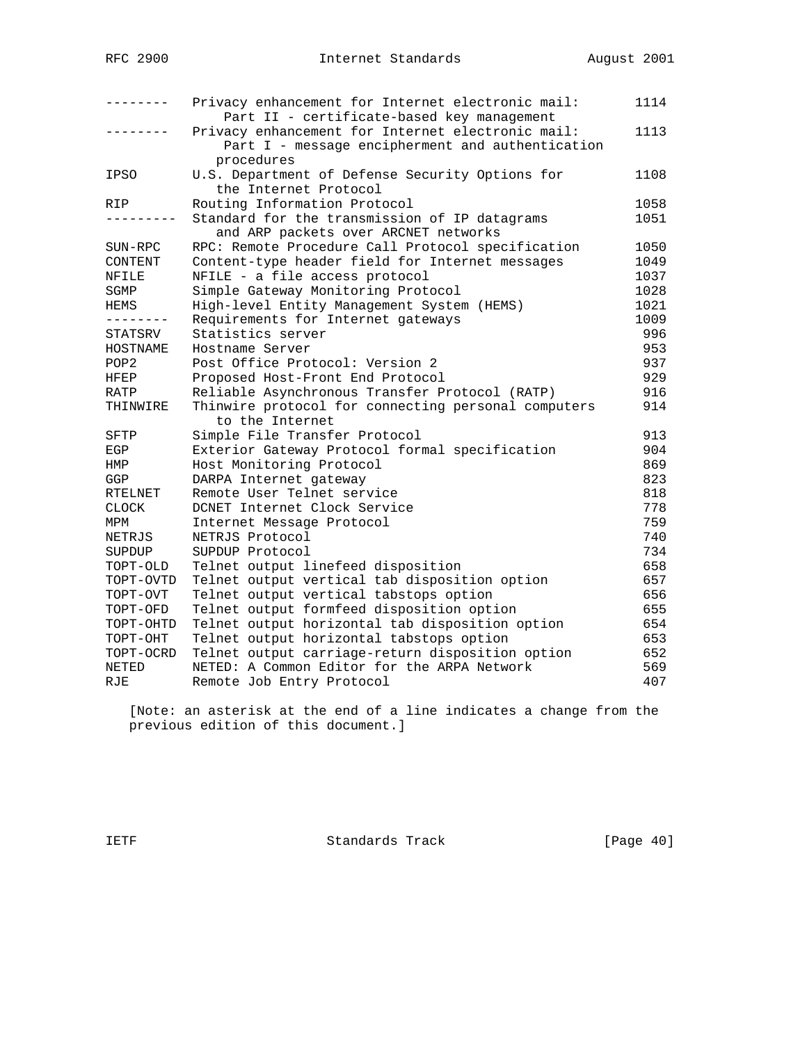|                  | Privacy enhancement for Internet electronic mail:<br>Part II - certificate-based key management                     | 1114 |
|------------------|---------------------------------------------------------------------------------------------------------------------|------|
|                  | Privacy enhancement for Internet electronic mail:<br>Part I - message encipherment and authentication<br>procedures | 1113 |
| <b>IPSO</b>      | U.S. Department of Defense Security Options for<br>the Internet Protocol                                            | 1108 |
| RIP.             | Routing Information Protocol                                                                                        | 1058 |
|                  | Standard for the transmission of IP datagrams<br>and ARP packets over ARCNET networks                               | 1051 |
| SUN-RPC          | RPC: Remote Procedure Call Protocol specification                                                                   | 1050 |
| CONTENT          | Content-type header field for Internet messages                                                                     | 1049 |
| NFILE            | NFILE - a file access protocol                                                                                      | 1037 |
| SGMP             | Simple Gateway Monitoring Protocol                                                                                  | 1028 |
| HEMS             | High-level Entity Management System (HEMS)                                                                          | 1021 |
| . - - - - - - -  | Requirements for Internet gateways                                                                                  | 1009 |
| STATSRV          | Statistics server                                                                                                   | 996  |
| HOSTNAME         | Hostname Server                                                                                                     | 953  |
| POP <sub>2</sub> | Post Office Protocol: Version 2                                                                                     | 937  |
| HFEP             | Proposed Host-Front End Protocol                                                                                    | 929  |
| RATP             | Reliable Asynchronous Transfer Protocol (RATP)                                                                      | 916  |
| THINWIRE         | Thinwire protocol for connecting personal computers<br>to the Internet                                              | 914  |
| SFTP             | Simple File Transfer Protocol                                                                                       | 913  |
| EGP              | Exterior Gateway Protocol formal specification                                                                      | 904  |
| HMP              | Host Monitoring Protocol                                                                                            | 869  |
| GGP              | DARPA Internet gateway                                                                                              | 823  |
| RTELNET          | Remote User Telnet service                                                                                          | 818  |
| <b>CLOCK</b>     | DCNET Internet Clock Service                                                                                        | 778  |
| MPM              | Internet Message Protocol                                                                                           | 759  |
| NETRJS           | NETRJS Protocol                                                                                                     | 740  |
| SUPDUP           | SUPDUP Protocol                                                                                                     | 734  |
| TOPT-OLD         | Telnet output linefeed disposition                                                                                  | 658  |
| TOPT-OVTD        | Telnet output vertical tab disposition option                                                                       | 657  |
| TOPT-OVT         | Telnet output vertical tabstops option                                                                              | 656  |
| TOPT-OFD         | Telnet output formfeed disposition option                                                                           | 655  |
| TOPT-OHTD        | Telnet output horizontal tab disposition option                                                                     | 654  |
| TOPT-OHT         | Telnet output horizontal tabstops option                                                                            | 653  |
| TOPT-OCRD        | Telnet output carriage-return disposition option                                                                    | 652  |
| NETED            | NETED: A Common Editor for the ARPA Network                                                                         | 569  |
| RJE              | Remote Job Entry Protocol                                                                                           | 407  |

 [Note: an asterisk at the end of a line indicates a change from the previous edition of this document.]

IETF Standards Track [Page 40]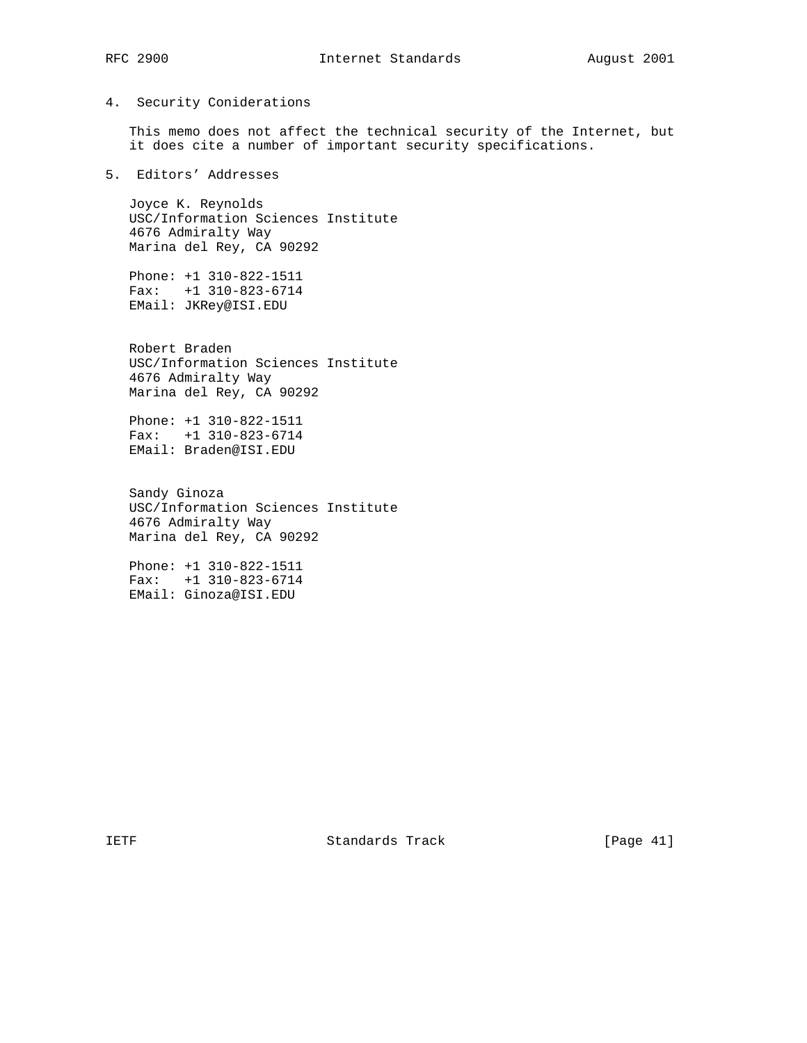#### 4. Security Coniderations

 This memo does not affect the technical security of the Internet, but it does cite a number of important security specifications.

5. Editors' Addresses

 Joyce K. Reynolds USC/Information Sciences Institute 4676 Admiralty Way Marina del Rey, CA 90292

 Phone: +1 310-822-1511 Fax: +1 310-823-6714 EMail: JKRey@ISI.EDU

 Robert Braden USC/Information Sciences Institute 4676 Admiralty Way Marina del Rey, CA 90292

 Phone: +1 310-822-1511 Fax: +1 310-823-6714 EMail: Braden@ISI.EDU

 Sandy Ginoza USC/Information Sciences Institute 4676 Admiralty Way Marina del Rey, CA 90292

 Phone: +1 310-822-1511 Fax: +1 310-823-6714 EMail: Ginoza@ISI.EDU

IETF Standards Track [Page 41]